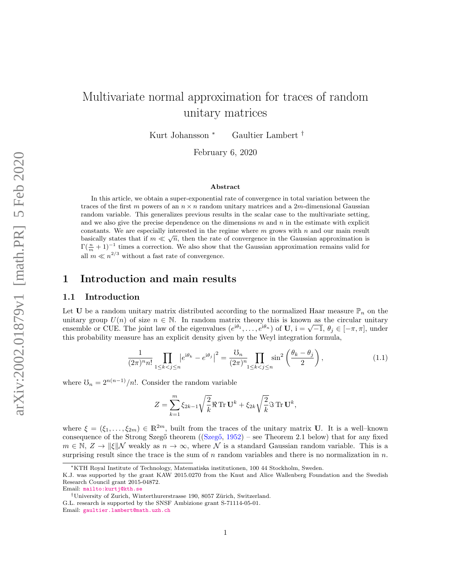# Multivariate normal approximation for traces of random unitary matrices

Kurt Johansson <sup>∗</sup> Gaultier Lambert †

February 6, 2020

#### Abstract

In this article, we obtain a super-exponential rate of convergence in total variation between the traces of the first m powers of an  $n \times n$  random unitary matrices and a 2m-dimensional Gaussian random variable. This generalizes previous results in the scalar case to the multivariate setting, and we also give the precise dependence on the dimensions  $m$  and  $n$  in the estimate with explicit constants. We are especially interested in the regime where  $m$  grows with  $n$  and our main result basically states that if  $m \ll \sqrt{n}$ , then the rate of convergence in the Gaussian approximation is  $\Gamma(\frac{n}{m}+1)^{-1}$  times a correction. We also show that the Gaussian approximation remains valid for all  $m \ll n^{2/3}$  without a fast rate of convergence.

## 1 Introduction and main results

#### 1.1 Introduction

Let U be a random unitary matrix distributed according to the normalized Haar measure  $\mathbb{P}_n$  on the unitary group  $U(n)$  of size  $n \in \mathbb{N}$ . In random matrix theory this is known as the circular unitary unitary group  $U(n)$  of size  $n \in \mathbb{N}$ . In random matrix theory this is known as the circular unitary<br>ensemble or CUE. The joint law of the eigenvalues  $(e^{i\theta_1}, \dots, e^{i\theta_n})$  of  $\mathbf{U}$ ,  $i = \sqrt{-1}$ ,  $\theta_j \in [-\pi, \pi]$ , under this probability measure has an explicit density given by the Weyl integration formula,

<span id="page-0-0"></span>
$$
\frac{1}{(2\pi)^n n!} \prod_{1 \le k < j \le n} \left| e^{i\theta_k} - e^{i\theta_j} \right|^2 = \frac{\mathcal{O}_n}{(2\pi)^n} \prod_{1 \le k < j \le n} \sin^2\left(\frac{\theta_k - \theta_j}{2}\right),\tag{1.1}
$$

where  $\mathfrak{O}_n = 2^{n(n-1)}/n!$ . Consider the random variable

$$
Z = \sum_{k=1}^{m} \xi_{2k-1} \sqrt{\frac{2}{k}} \Re \operatorname{Tr} \mathbf{U}^k + \xi_{2k} \sqrt{\frac{2}{k}} \Im \operatorname{Tr} \mathbf{U}^k,
$$

where  $\xi = (\xi_1, \ldots, \xi_{2m}) \in \mathbb{R}^{2m}$ , built from the traces of the unitary matrix U. It is a well–known consequence of the Strong Szegő theorem ( $(Szeg\breve{\sigma}, 1952)$  $(Szeg\breve{\sigma}, 1952)$  – see Theorem [2.1](#page-6-0) below) that for any fixed  $m \in \mathbb{N}, Z \to ||\xi||\mathcal{N}$  weakly as  $n \to \infty$ , where N is a standard Gaussian random variable. This is a surprising result since the trace is the sum of  $n$  random variables and there is no normalization in  $n$ .

<sup>∗</sup>KTH Royal Institute of Technology, Matematiska institutionen, 100 44 Stockholm, Sweden.

K.J. was supported by the grant KAW 2015.0270 from the Knut and Alice Wallenberg Foundation and the Swedish Research Council grant 2015-04872.

Email: <mailto:kurtj@kth.se>

<sup>&</sup>lt;sup>†</sup>University of Zurich, Winterthurerstrasse 190, 8057 Zürich, Switzerland.

G.L. research is supported by the SNSF Ambizione grant S-71114-05-01.

Email: [gaultier.lambert@math.uzh.ch](mailto:gaultier.lambert@math.uzh.ch)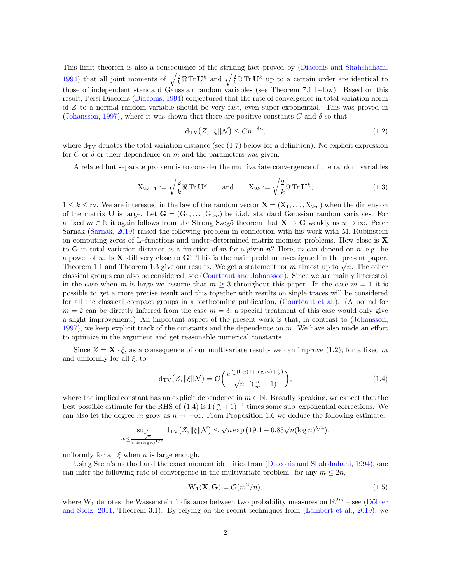This limit theorem is also a consequence of the striking fact proved by [\(Diaconis and Shahshahani,](#page-46-1) [1994\)](#page-46-1) that all joint moments of  $\sqrt{\frac{2}{k}} \Re \text{Tr} \mathbf{U}^k$  and  $\sqrt{\frac{2}{k}} \Im \text{Tr} \mathbf{U}^k$  up to a certain order are identical to those of independent standard Gaussian random variables (see Theorem [7.1](#page-33-0) below). Based on this result, Persi Diaconis [\(Diaconis,](#page-45-0) [1994\)](#page-45-0) conjectured that the rate of convergence in total variation norm of Z to a normal random variable should be very fast, even super-exponential. This was proved in [\(Johansson,](#page-46-2) [1997\)](#page-46-2), where it was shown that there are positive constants C and  $\delta$  so that

<span id="page-1-0"></span>
$$
d_{TV}(Z, ||\xi||\mathcal{N}) \le Cn^{-\delta n},\tag{1.2}
$$

where  $d_{TV}$  denotes the total variation distance (see [\(1.7\)](#page-2-0) below for a definition). No explicit expression for C or  $\delta$  or their dependence on m and the parameters was given.

A related but separate problem is to consider the multivariate convergence of the random variables

<span id="page-1-3"></span>
$$
\mathbf{X}_{2k-1} := \sqrt{\frac{2}{k}} \Re \operatorname{Tr} \mathbf{U}^k \quad \text{and} \quad \mathbf{X}_{2k} := \sqrt{\frac{2}{k}} \Im \operatorname{Tr} \mathbf{U}^k,\tag{1.3}
$$

 $1 \leq k \leq m$ . We are interested in the law of the random vector  $\mathbf{X} = (X_1, \ldots, X_{2m})$  when the dimension of the matrix U is large. Let  $G = (G_1, \ldots, G_{2m})$  be i.i.d. standard Gaussian random variables. For a fixed  $m \in \mathbb{N}$  it again follows from the Strong Szegő theorem that  $\mathbf{X} \to \mathbf{G}$  weakly as  $n \to \infty$ . Peter Sarnak [\(Sarnak,](#page-46-3) [2019\)](#page-46-3) raised the following problem in connection with his work with M. Rubinstein on computing zeros of L–functions and under–determined matrix moment problems. How close is  $\bf{X}$ to **G** in total variation distance as a function of m for a given n? Here, m can depend on n, e.g. be a power of n. Is  $X$  still very close to  $G$ ? This is the main problem investigated in the present paper. a power of *n*. is **A** still very close to **G**: This is the main problem investigated in the present paper.<br>Theorem [1.1](#page-2-1) and Theorem [1.3](#page-3-0) give our results. We get a statement for *m* almost up to  $\sqrt{n}$ . The other classical groups can also be considered, see [\(Courteaut and Johansson\)](#page-45-1). Since we are mainly interested in the case when m is large we assume that  $m \geq 3$  throughout this paper. In the case  $m = 1$  it is possible to get a more precise result and this together with results on single traces will be considered for all the classical compact groups in a forthcoming publication, [\(Courteaut et al.\)](#page-45-2). (A bound for  $m = 2$  can be directly inferred from the case  $m = 3$ ; a special treatment of this case would only give a slight improvement.) An important aspect of the present work is that, in contrast to [\(Johansson,](#page-46-2) [1997\)](#page-46-2), we keep explicit track of the constants and the dependence on  $m$ . We have also made an effort to optimize in the argument and get reasonable numerical constants.

Since  $Z = \mathbf{X} \cdot \xi$ , as a consequence of our multivariate results we can improve [\(1.2\)](#page-1-0), for a fixed m and uniformly for all  $\xi$ , to

<span id="page-1-1"></span>
$$
d_{\text{TV}}\left(Z, \|\xi\|\mathcal{N}\right) = \mathcal{O}\left(\frac{e^{\frac{n}{m}(\log(1 + \log m) + \frac{1}{2})}}{\sqrt{n}\ \Gamma(\frac{n}{m} + 1)}\right),\tag{1.4}
$$

where the implied constant has an explicit dependence in  $m \in \mathbb{N}$ . Broadly speaking, we expect that the best possible estimate for the RHS of  $(1.4)$  is  $\Gamma(\frac{n}{m}+1)^{-1}$  times some sub–exponential corrections. We can also let the degree m grow as  $n \to +\infty$ . From Proposition [1.6](#page-4-0) we deduce the following estimate:

$$
\sup_{m \leq \frac{\sqrt{n}}{6.45(\log n)^{1/4}}} d_{\mathrm{TV}}\big(Z, \|\xi\|\mathcal{N}\big) \leq \sqrt{n} \exp\big(19.4 - 0.83\sqrt{n}(\log n)^{5/4}\big).
$$

uniformly for all  $\xi$  when n is large enough.

Using Stein's method and the exact moment identities from [\(Diaconis and Shahshahani,](#page-46-1) [1994\)](#page-46-1), one can infer the following rate of convergence in the multivariate problem: for any  $m \leq 2n$ ,

<span id="page-1-2"></span>
$$
W_1(\mathbf{X}, \mathbf{G}) = \mathcal{O}(m^2/n),\tag{1.5}
$$

where  $W_1$  denotes the Wasserstein 1 distance between two probability measures on  $\mathbb{R}^{2m}$  – see (Döbler [and Stolz,](#page-46-4) [2011,](#page-46-4) Theorem 3.1). By relying on the recent techniques from [\(Lambert et al.,](#page-46-5) [2019\)](#page-46-5), we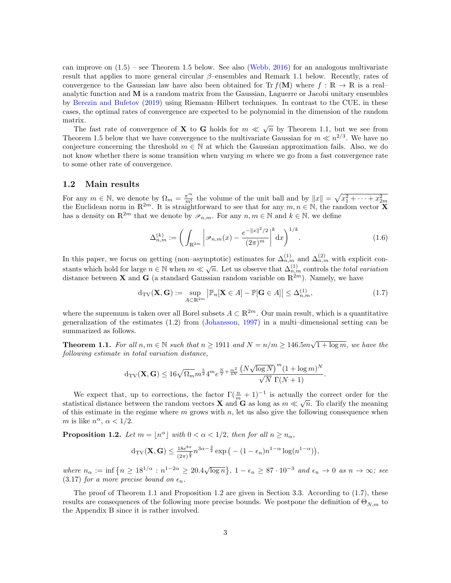can improve on  $(1.5)$  $(1.5)$  $(1.5)$  – see Theorem 1.5 below. See also [\(Webb,](#page-46-6) [2016\)](#page-46-6) for an analogous multivariate result that applies to more general circular  $\beta$ –ensembles and Remark [1.1](#page-4-1) below. Recently, rates of convergence to the Gaussian law have also been obtained for Tr  $f(\mathbf{M})$  where  $f : \mathbb{R} \to \mathbb{R}$  is a real– analytic function and M is a random matrix from the Gaussian, Laguerre or Jacobi unitary ensembles by [Berezin and Bufetov](#page-45-3) [\(2019\)](#page-45-3) using Riemann–Hilbert techniques. In contrast to the CUE, in these cases, the optimal rates of convergence are expected to be polynomial in the dimension of the random matrix.

The fast rate of convergence of **X** to **G** holds for  $m \ll \sqrt{n}$  by Theorem [1.1,](#page-2-1) but we see from Theorem [1.5](#page-3-1) below that we have convergence to the multivariate Gaussian for  $m \ll n^{2/3}$ . We have no conjecture concerning the threshold  $m \in \mathbb{N}$  at which the Gaussian approximation fails. Also, we do not know whether there is some transition when varying  $m$  where we go from a fast convergence rate to some other rate of convergence.

#### 1.2 Main results

For any  $m \in \mathbb{N}$ , we denote by  $\Omega_m = \frac{\pi^m}{m!}$  the volume of the unit ball and by  $||x|| = \sqrt{x_1^2 + \cdots + x_{2m}^2}$ <br>the Euclidean norm in  $\mathbb{R}^{2m}$ . It is straightforward to see that for any  $m, n \in \mathbb{N}$ , the random vect has a density on  $\mathbb{R}^{2m}$  that we denote by  $\mathscr{P}_{n,m}$ . For any  $n,m \in \mathbb{N}$  and  $k \in \mathbb{N}$ , we define

<span id="page-2-3"></span>
$$
\Delta_{n,m}^{(k)} := \left( \int_{\mathbb{R}^{2m}} \left| \mathcal{P}_{n,m}(x) - \frac{e^{-\|x\|^2/2}}{(2\pi)^m} \right|^k dx \right)^{1/k}.
$$
 (1.6)

In this paper, we focus on getting (non–asymptotic) estimates for  $\Delta_{n,m}^{(1)}$  and  $\Delta_{n,m}^{(2)}$  with explicit constants which hold for large  $n \in \mathbb{N}$  when  $m \ll \sqrt{n}$ . Let us observe that  $\Delta_{n,m}^{(1)}$  controls the *total variation* distance between **X** and **G** (a standard Gaussian random variable on  $\mathbb{R}^{2m}$ ). Namely, we have

<span id="page-2-0"></span>
$$
d_{\mathrm{TV}}(\mathbf{X}, \mathbf{G}) := \sup_{A \subset \mathbb{R}^{2m}} \left| \mathbb{P}_n[\mathbf{X} \in A] - \mathbb{P}[\mathbf{G} \in A] \right| \leq \Delta_{n,m}^{(1)},\tag{1.7}
$$

where the supremum is taken over all Borel subsets  $A \subset \mathbb{R}^{2m}$ . Our main result, which is a quantitative generalization of the estimates [\(1.2\)](#page-1-0) from [\(Johansson,](#page-46-2) [1997\)](#page-46-2) in a multi–dimensional setting can be summarized as follows.

<span id="page-2-1"></span>**Theorem 1.1.** For all  $n, m \in \mathbb{N}$  such that  $n \ge 1911$  and  $N = n/m \ge 146.5 m \sqrt{1 + \log m}$ , we have the following estimate in total variation distance,

$$
d_{\mathrm{TV}}(\mathbf{X},\mathbf{G}) \leq 16\sqrt{\Omega_m} m^{\frac{5}{2}} 4^m e^{\frac{N}{2} + \frac{m^2}{4N}} \frac{\left(N\sqrt{\log N}\right)^m (1 + \log m)^N}{\sqrt{N} \ \Gamma(N+1)}.
$$

We expect that, up to corrections, the factor  $\Gamma(\frac{n}{m}+1)^{-1}$  is actually the correct order for the we expect that, up to corrections, the factor  $\mathbf{1}(\frac{m}{m}+1)$  is actually the correct offer for the statistical distance between the random vectors **X** and **G** as long as  $m \ll \sqrt{n}$ . To clarify the meaning of this estimate in the regime where  $m$  grows with  $n$ , let us also give the following consequence when m is like  $n^{\alpha}$ ,  $\alpha$  < 1/2.

<span id="page-2-2"></span>**Proposition 1.2.** Let  $m = \lfloor n^{\alpha} \rfloor$  with  $0 < \alpha < 1/2$ , then for all  $n \ge n_{\alpha}$ ,

$$
d_{\mathrm{TV}}(\mathbf{X},\mathbf{G}) \le \tfrac{18e^{8\pi}}{(2\pi)^{\frac{3}{4}}}n^{3\alpha-\frac{3}{2}}\exp\big(-(1-\epsilon_n)n^{1-\alpha}\log(n^{1-\alpha})\big),
$$

where  $n_{\alpha} := \inf \{ n \geq 18^{1/\alpha} : n^{1-2\alpha} \geq 20.4\sqrt{\log n} \}, 1 - \epsilon_n \geq 87 \cdot 10^{-3}$  and  $\epsilon_n \to 0$  as  $n \to \infty$ ; see [\(3.17\)](#page-17-0) for a more precise bound on  $\epsilon_n$ .

The proof of Theorem [1.1](#page-2-1) and Proposition [1.2](#page-2-2) are given in Section [3.3.](#page-16-0) According to [\(1.7\)](#page-2-0), these results are consequences of the following more precise bounds. We postpone the definition of  $\Theta_{N,m}$  to the Appendix [B](#page-39-0) since it is rather involved.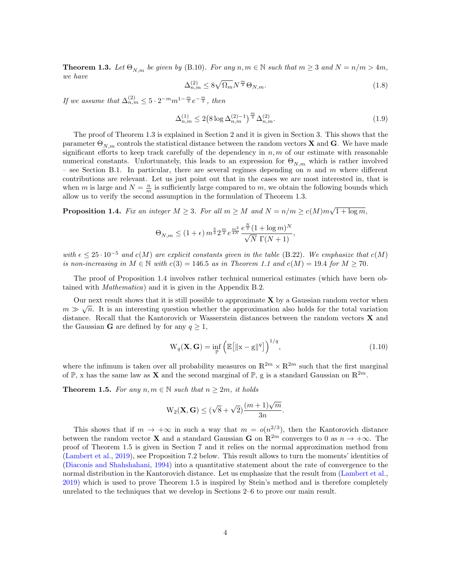<span id="page-3-0"></span>**Theorem 1.3.** Let  $\Theta_{N,m}$  be given by [\(B.10\)](#page-40-0). For any  $n, m \in \mathbb{N}$  such that  $m \geq 3$  and  $N = n/m > 4m$ , we have

<span id="page-3-3"></span>
$$
\Delta_{n,m}^{(2)} \le 8\sqrt{\Omega_m} N^{\frac{m}{2}} \Theta_{N,m}.\tag{1.8}
$$

If we assume that  $\Delta_{n,m}^{(2)} \leq 5 \cdot 2^{-m} m^{1-\frac{m}{2}} e^{-\frac{m}{2}}$ , then

<span id="page-3-4"></span>
$$
\Delta_{n,m}^{(1)} \le 2 \left( 8 \log \Delta_{n,m}^{(2)-1} \right)^{\frac{m}{2}} \Delta_{n,m}^{(2)}.\tag{1.9}
$$

The proof of Theorem [1.3](#page-3-0) is explained in Section [2](#page-4-2) and it is given in Section [3.](#page-12-0) This shows that the parameter  $\Theta_{N,m}$  controls the statistical distance between the random vectors **X** and **G**. We have made significant efforts to keep track carefully of the dependency in  $n, m$  of our estimate with reasonable numerical constants. Unfortunately, this leads to an expression for  $\Theta_{N,m}$  which is rather involved – see Section [B.1.](#page-39-1) In particular, there are several regimes depending on  $n$  and  $m$  where different contributions are relevant. Let us just point out that in the cases we are most interested in, that is when m is large and  $N = \frac{n}{m}$  is sufficiently large compared to m, we obtain the following bounds which allow us to verify the second assumption in the formulation of Theorem [1.3.](#page-3-0)

<span id="page-3-2"></span>**Proposition 1.4.** Fix an integer  $M \geq 3$ . For all  $m \geq M$  and  $N = n/m \geq c(M)m\sqrt{1 + \log m}$ ,

$$
\Theta_{N,m} \le (1+\epsilon) \, m^{\frac{5}{2}} 2^{\frac{m}{2}} e^{\frac{m^2}{4N}} \frac{e^{\frac{N}{2}} (1 + \log m)^N}{\sqrt{N} \, \Gamma(N+1)},
$$

with  $\epsilon \leq 25 \cdot 10^{-5}$  and  $c(M)$  are explicit constants given in the table [\(B.22\)](#page-43-0). We emphasize that  $c(M)$ is non-increasing in  $M \in \mathbb{N}$  with  $c(3) = 146.5$  as in Theorem [1.1](#page-2-1) and  $c(M) = 19.4$  for  $M \ge 70$ .

The proof of Proposition [1.4](#page-3-2) involves rather technical numerical estimates (which have been obtained with Mathematica) and it is given in the Appendix [B.2.](#page-41-0)

Our next result shows that it is still possible to approximate  $X$  by a Gaussian random vector when  $\subset$  $m \gg \sqrt{n}$ . It is an interesting question whether the approximation also holds for the total variation distance. Recall that the Kantorovich or Wasserstein distances between the random vectors X and the Gaussian **G** are defined by for any  $q \geq 1$ ,

<span id="page-3-5"></span>
$$
W_q(\mathbf{X}, \mathbf{G}) = \inf_{\mathbb{P}} \left( \mathbb{E} \left[ ||x - g||^q \right] \right)^{1/q}, \tag{1.10}
$$

where the infimum is taken over all probability measures on  $\mathbb{R}^{2m} \times \mathbb{R}^{2m}$  such that the first marginal of  $\mathbb{P}$ , x has the same law as **X** and the second marginal of  $\mathbb{P}$ , g is a standard Gaussian on  $\mathbb{R}^{2m}$ .

<span id="page-3-1"></span>**Theorem 1.5.** For any  $n, m \in \mathbb{N}$  such that  $n \geq 2m$ , it holds

$$
W_2(\mathbf{X}, \mathbf{G}) \le (\sqrt{8} + \sqrt{2})\frac{(m+1)\sqrt{m}}{3n}.
$$

This shows that if  $m \to +\infty$  in such a way that  $m = o(n^{2/3})$ , then the Kantorovich distance between the random vector **X** and a standard Gaussian **G** on  $\mathbb{R}^{2m}$  converges to 0 as  $n \to +\infty$ . The proof of Theorem [1.5](#page-3-1) is given in Section [7](#page-33-1) and it relies on the normal approximation method from [\(Lambert et al.,](#page-46-5) [2019\)](#page-46-5), see Proposition [7.2](#page-34-0) below. This result allows to turn the moments' identities of [\(Diaconis and Shahshahani,](#page-46-1) [1994\)](#page-46-1) into a quantitative statement about the rate of convergence to the normal distribution in the Kantorovich distance. Let us emphasize that the result from [\(Lambert et al.,](#page-46-5) [2019\)](#page-46-5) which is used to prove Theorem [1.5](#page-3-1) is inspired by Stein's method and is therefore completely unrelated to the techniques that we develop in Sections [2–](#page-4-2)[6](#page-24-0) to prove our main result.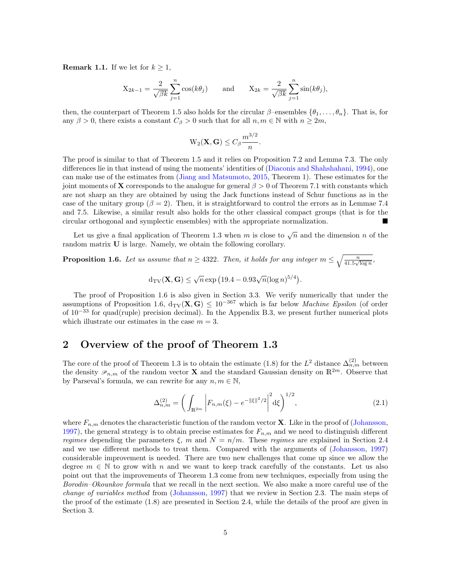<span id="page-4-1"></span>**Remark 1.1.** If we let for  $k \geq 1$ ,

$$
X_{2k-1} = \frac{2}{\sqrt{\beta k}} \sum_{j=1}^{n} \cos(k\theta_j) \quad \text{and} \quad X_{2k} = \frac{2}{\sqrt{\beta k}} \sum_{j=1}^{n} \sin(k\theta_j),
$$

then, the counterpart of Theorem [1.5](#page-3-1) also holds for the circular  $\beta$ –ensembles  $\{\theta_1, \ldots, \theta_n\}$ . That is, for any  $\beta > 0$ , there exists a constant  $C_{\beta} > 0$  such that for all  $n, m \in \mathbb{N}$  with  $n \geq 2m$ ,

$$
\mathrm{W}_2(\mathbf{X},\mathbf{G}) \le C_\beta \frac{m^{3/2}}{n}.
$$

The proof is similar to that of Theorem [1.5](#page-3-1) and it relies on Proposition [7.2](#page-34-0) and Lemma [7.3.](#page-34-1) The only differences lie in that instead of using the moments' identities of [\(Diaconis and Shahshahani,](#page-46-1) [1994\)](#page-46-1), one can make use of the estimates from [\(Jiang and Matsumoto,](#page-46-7) [2015,](#page-46-7) Theorem 1). These estimates for the joint moments of **X** corresponds to the analogue for general  $\beta > 0$  of Theorem [7.1](#page-33-0) with constants which are not sharp an they are obtained by using the Jack functions instead of Schur functions as in the case of the unitary group ( $\beta = 2$ ). Then, it is straightforward to control the errors as in Lemmae [7.4](#page-35-0) and [7.5.](#page-35-1) Likewise, a similar result also holds for the other classical compact groups (that is for the circular orthogonal and symplectic ensembles) with the appropriate normalization.

Let us give a final application of Theorem [1.3](#page-3-0) when m is close to  $\sqrt{n}$  and the dimension n of the random matrix U is large. Namely, we obtain the following corollary.

<span id="page-4-0"></span>**Proposition 1.6.** Let us assume that  $n \geq 4322$ . Then, it holds for any integer  $m \leq \sqrt{\frac{n}{41.5\sqrt{\log n}}},$ 

$$
d_{\rm TV}(\mathbf{X}, \mathbf{G}) \le \sqrt{n} \exp (19.4 - 0.93\sqrt{n} (\log n)^{5/4}).
$$

The proof of Proposition [1.6](#page-4-0) is also given in Section [3.3.](#page-16-0) We verify numerically that under the assumptions of Proposition [1.6,](#page-4-0)  $d_{TV}(X, G) \leq 10^{-367}$  which is far below *Machine Epsilon* (of order of  $10^{-33}$  for quad(ruple) precision decimal). In the Appendix [B.3,](#page-44-0) we present further numerical plots which illustrate our estimates in the case  $m = 3$ .

## <span id="page-4-2"></span>2 Overview of the proof of Theorem [1.3](#page-3-0)

The core of the proof of Theorem [1.3](#page-3-0) is to obtain the estimate [\(1.8\)](#page-3-3) for the  $L^2$  distance  $\Delta_{n,m}^{(2)}$  between the density  $\mathcal{P}_{n,m}$  of the random vector **X** and the standard Gaussian density on  $\mathbb{R}^{2m}$ . Observe that by Parseval's formula, we can rewrite for any  $n, m \in \mathbb{N}$ ,

<span id="page-4-3"></span>
$$
\Delta_{n,m}^{(2)} = \left(\int_{\mathbb{R}^{2m}} \left| F_{n,m}(\xi) - e^{-\|\xi\|^2/2} \right|^2 d\xi \right)^{1/2},\tag{2.1}
$$

where  $F_{n,m}$  denotes the characteristic function of the random vector **X**. Like in the proof of [\(Johansson,](#page-46-2) [1997\)](#page-46-2), the general strategy is to obtain precise estimates for  $F_{n,m}$  and we need to distinguish different regimes depending the parameters  $\xi$ , m and  $N = n/m$ . These regimes are explained in Section [2.4](#page-9-0) and we use different methods to treat them. Compared with the arguments of [\(Johansson,](#page-46-2) [1997\)](#page-46-2) considerable improvement is needed. There are two new challenges that come up since we allow the degree  $m \in \mathbb{N}$  to grow with n and we want to keep track carefully of the constants. Let us also point out that the improvements of Theorem [1.3](#page-3-0) come from new techniques, especially from using the Borodin–Okounkov formula that we recall in the next section. We also make a more careful use of the change of variables method from [\(Johansson,](#page-46-2) [1997\)](#page-46-2) that we review in Section [2.3.](#page-7-0) The main steps of the proof of the estimate [\(1.8\)](#page-3-3) are presented in Section [2.4,](#page-9-0) while the details of the proof are given in Section [3.](#page-12-0)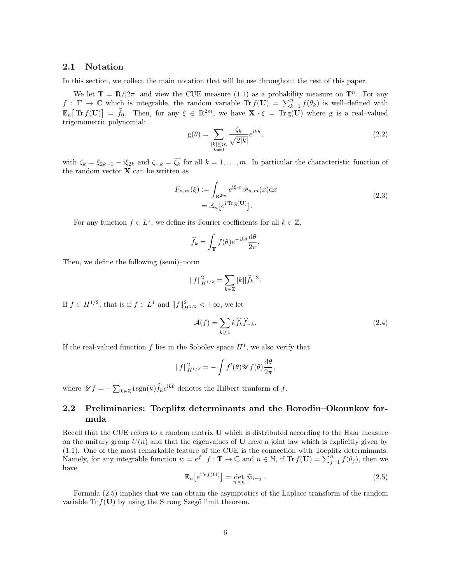#### 2.1 Notation

In this section, we collect the main notation that will be use throughout the rest of this paper.

We let  $\mathbb{T} = \mathbb{R}/[2\pi]$  and view the CUE measure [\(1.1\)](#page-0-0) as a probability measure on  $\mathbb{T}^n$ . For any  $f : \mathbb{T} \to \mathbb{C}$  which is integrable, the random variable  $\text{Tr } f(\mathbf{U}) = \sum_{k=1}^{n} f(\theta_k)$  is well-defined with  $\mathbb{E}_n[\text{Tr } f(\mathbf{U})] = \hat{f}_0.$  Then, for any  $\xi \in \mathbb{R}^{2m}$ , we have  $\mathbf{X} \cdot \xi = \text{Tr } g(\mathbf{U})$  where g is a real–valued trigonometric polynomial:

<span id="page-5-1"></span>
$$
g(\theta) = \sum_{\substack{|k| \le m \\ k \neq 0}} \frac{\zeta_k}{\sqrt{2|k|}} e^{ik\theta},\tag{2.2}
$$

with  $\zeta_k = \xi_{2k-1} - i\xi_{2k}$  and  $\zeta_{-k} = \overline{\zeta_k}$  for all  $k = 1, \ldots, m$ . In particular the characteristic function of the random vector  $X$  can be written as

<span id="page-5-2"></span>
$$
F_{n,m}(\xi) := \int_{\mathbb{R}^{2m}} e^{i\xi \cdot x} \mathcal{P}_{n,m}(x) dx
$$
  
=  $\mathbb{E}_n [e^{i \text{Tr } g(\mathbf{U})}].$  (2.3)

For any function  $f \in L^1$ , we define its Fourier coefficients for all  $k \in \mathbb{Z}$ ,

$$
\widehat{f}_k = \int_{\mathbb{T}} f(\theta) e^{-ik\theta} \frac{d\theta}{2\pi}.
$$

Then, we define the following (semi)–norm

$$
||f||_{H^{1/2}}^2 = \sum_{k \in \mathbb{Z}} |k||\widehat{f}_k|^2.
$$

If  $f \in H^{1/2}$ , that is if  $f \in L^1$  and  $||f||_{H^{1/2}}^2 < +\infty$ , we let

<span id="page-5-3"></span>
$$
\mathcal{A}(f) = \sum_{k \ge 1} k \hat{f}_k \hat{f}_{-k}.
$$
\n(2.4)

If the real-valued function f lies in the Sobolev space  $H^1$ , we also verify that

$$
||f||_{H^{1/2}}^2 = -\int f'(\theta) \mathscr{U} f(\theta) \frac{\mathrm{d}\theta}{2\pi},
$$

where  $\mathscr{U}f = -\sum_{k \in \mathbb{Z}} \text{isgn}(k) \hat{f}_k e^{\text{i}k\theta}$  denotes the Hilbert tranform of f.

## 2.2 Preliminaries: Toeplitz determinants and the Borodin–Okounkov formula

Recall that the CUE refers to a random matrix U which is distributed according to the Haar measure on the unitary group  $U(n)$  and that the eigenvalues of U have a joint law which is explicitly given by [\(1.1\)](#page-0-0). One of the most remarkable feature of the CUE is the connection with Toeplitz determinants. Namely, for any integrable function  $w = e^f$ ,  $f : \mathbb{T} \to \mathbb{C}$  and  $n \in \mathbb{N}$ , if  $\text{Tr } f(\mathbf{U}) = \sum_{j=1}^n f(\theta_j)$ , then we have

<span id="page-5-0"></span>
$$
\mathbb{E}_n[e^{\text{Tr }f(\mathbf{U})}] = \det_{n \times n}[\widehat{w}_{i-j}].
$$
\n(2.5)

Formula [\(2.5\)](#page-5-0) implies that we can obtain the asymptotics of the Laplace transform of the random variable Tr  $f(U)$  by using the Strong Szegő limit theorem.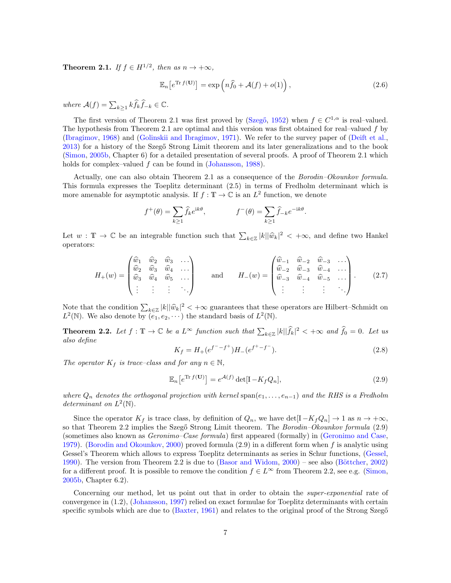<span id="page-6-0"></span>**Theorem 2.1.** If  $f \in H^{1/2}$ , then as  $n \to +\infty$ ,

$$
\mathbb{E}_n\left[e^{\text{Tr }f(\mathbf{U})}\right] = \exp\left(n\hat{f}_0 + \mathcal{A}(f) + o(1)\right),\tag{2.6}
$$

where  $\mathcal{A}(f) = \sum_{k \geq 1} k \widehat{f}_k \widehat{f}_{-k} \in \mathbb{C}$ .

The first version of Theorem [2.1](#page-6-0) was first proved by (Szegő, [1952\)](#page-46-0) when  $f \in C^{1,\alpha}$  is real-valued. The hypothesis from Theorem [2.1](#page-6-0) are optimal and this version was first obtained for real–valued  $f$  by [\(Ibragimov,](#page-46-8) [1968\)](#page-46-8) and [\(Golinskii and Ibragimov,](#page-46-9) [1971\)](#page-46-9). We refer to the survey paper of [\(Deift et al.,](#page-45-4) [2013\)](#page-45-4) for a history of the Szegő Strong Limit theorem and its later generalizations and to the book [\(Simon,](#page-46-10) [2005b,](#page-46-10) Chapter 6) for a detailed presentation of several proofs. A proof of Theorem [2.1](#page-6-0) which holds for complex–valued f can be found in [\(Johansson,](#page-46-11) [1988\)](#page-46-11).

Actually, one can also obtain Theorem [2.1](#page-6-0) as a consequence of the Borodin–Okounkov formula. This formula expresses the Toeplitz determinant [\(2.5\)](#page-5-0) in terms of Fredholm determinant which is more amenable for asymptotic analysis. If  $f: \mathbb{T} \to \mathbb{C}$  is an  $L^2$  function, we denote

$$
f^+(\theta) = \sum_{k \ge 1} \hat{f}_k e^{ik\theta}, \qquad f^-(\theta) = \sum_{k \ge 1} \hat{f}_{-k} e^{-ik\theta}.
$$

Let  $w : \mathbb{T} \to \mathbb{C}$  be an integrable function such that  $\sum_{k \in \mathbb{Z}} |k| |\hat{w}_k|^2 < +\infty$ , and define two Hankel operators:

<span id="page-6-4"></span>
$$
H_{+}(w) = \begin{pmatrix} \hat{w}_{1} & \hat{w}_{2} & \hat{w}_{3} & \dots \\ \hat{w}_{2} & \hat{w}_{3} & \hat{w}_{4} & \dots \\ \hat{w}_{3} & \hat{w}_{4} & \hat{w}_{5} & \dots \\ \vdots & \vdots & \vdots & \ddots \end{pmatrix} \quad \text{and} \quad H_{-}(w) = \begin{pmatrix} \hat{w}_{-1} & \hat{w}_{-2} & \hat{w}_{-3} & \dots \\ \hat{w}_{-2} & \hat{w}_{-3} & \hat{w}_{-4} & \dots \\ \hat{w}_{-3} & \hat{w}_{-4} & \hat{w}_{-5} & \dots \\ \vdots & \vdots & \vdots & \ddots \end{pmatrix} . \quad (2.7)
$$

Note that the condition  $\sum_{k\in\mathbb{Z}} |k| |\widehat{w}_k|^2 < +\infty$  guarantees that these operators are Hilbert–Schmidt on  $L^2(\mathbb{N})$ . We also denote by  $(e, e_1, \ldots)$  the standard basis of  $L^2(\mathbb{N})$ .  $L^2(\mathbb{N})$ . We also denote by  $(e_1, e_2, \cdots)$  the standard basis of  $L^2(\mathbb{N})$ .

<span id="page-6-1"></span>**Theorem 2.2.** Let  $f : \mathbb{T} \to \mathbb{C}$  be a  $L^{\infty}$  function such that  $\sum_{k \in \mathbb{Z}} |k| |\widehat{f}_k|^2 < +\infty$  and  $\widehat{f}_0 = 0$ . Let us also define

<span id="page-6-3"></span>
$$
K_f = H_+(e^{f^- - f^+})H_-(e^{f^+ - f^-}).
$$
\n(2.8)

The operator  $K_f$  is trace–class and for any  $n \in \mathbb{N}$ ,

<span id="page-6-2"></span>
$$
\mathbb{E}_n[e^{\text{Tr }f(\mathbf{U})}] = e^{\mathcal{A}(f)} \det[\mathbf{I} - K_f Q_n],\tag{2.9}
$$

where  $Q_n$  denotes the orthogonal projection with kernel span $(e_1, \ldots, e_{n-1})$  and the RHS is a Fredholm determinant on  $L^2(\mathbb{N})$ .

Since the operator  $K_f$  is trace class, by definition of  $Q_n$ , we have det $[I - K_f Q_n] \rightarrow 1$  as  $n \rightarrow +\infty$ , so that Theorem [2.2](#page-6-1) implies the Szegő Strong Limit theorem. The *Borodin–Okounkov formula*  $(2.9)$ (sometimes also known as Geronimo–Case formula) first appeared (formally) in [\(Geronimo and Case,](#page-46-12) [1979\)](#page-46-12). [\(Borodin and Okounkov,](#page-45-5) [2000\)](#page-45-5) proved formula [\(2.9\)](#page-6-2) in a different form when f is analytic using Gessel's Theorem which allows to express Toeplitz determinants as series in Schur functions, [\(Gessel,](#page-46-13) [1990\)](#page-46-13). The version from Theorem [2.2](#page-6-1) is due to  $(Basor and Widom, 2000)$  $(Basor and Widom, 2000)$  – see also  $(Böttcher, 2002)$  $(Böttcher, 2002)$ for a different proof. It is possible to remove the condition  $f \in L^{\infty}$  from Theorem [2.2,](#page-6-1) see e.g. [\(Simon,](#page-46-10) [2005b,](#page-46-10) Chapter 6.2).

Concerning our method, let us point out that in order to obtain the *super-exponential* rate of convergence in [\(1.2\)](#page-1-0), [\(Johansson,](#page-46-2) [1997\)](#page-46-2) relied on exact formulae for Toeplitz determinants with certain specific symbols which are due to  $(Baxter, 1961)$  $(Baxter, 1961)$  and relates to the original proof of the Strong Szeg $\tilde{o}$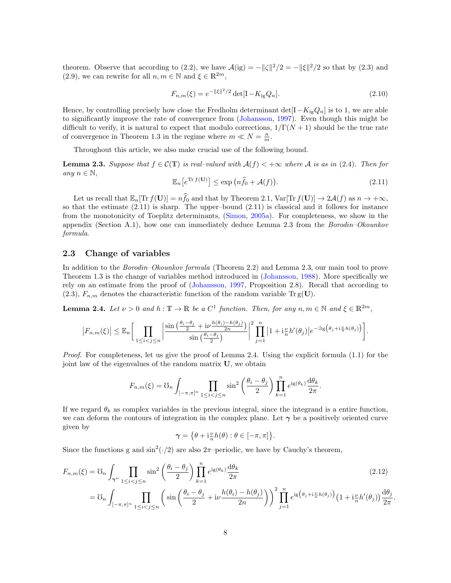theorem. Observe that according to [\(2.2\)](#page-5-1), we have  $\mathcal{A}(ig) = -||\zeta||^2/2 = -||\xi||^2/2$  so that by [\(2.3\)](#page-5-2) and [\(2.9\)](#page-6-2), we can rewrite for all  $n, m \in \mathbb{N}$  and  $\xi \in \mathbb{R}^{2m}$ ,

<span id="page-7-5"></span>
$$
F_{n,m}(\xi) = e^{-\|\xi\|^2/2} \det[\mathbf{I} - K_{\text{ig}} Q_n]. \tag{2.10}
$$

Hence, by controlling precisely how close the Fredholm determinant det $[I - K_{ig}Q_n]$  is to 1, we are able to significantly improve the rate of convergence from [\(Johansson,](#page-46-2) [1997\)](#page-46-2). Even though this might be difficult to verify, it is natural to expect that modulo corrections,  $1/\Gamma(N+1)$  should be the true rate of convergence in Theorem [1.3](#page-3-0) in the regime where  $m \ll N = \frac{n}{m}$ .

Throughout this article, we also make crucial use of the following bound.

<span id="page-7-2"></span>**Lemma 2.3.** Suppose that  $f \in \mathcal{C}(\mathbb{T})$  is real–valued with  $\mathcal{A}(f) < +\infty$  where A is as in [\(2.4\)](#page-5-3). Then for any  $n \in \mathbb{N}$ ,

<span id="page-7-1"></span>
$$
\mathbb{E}_n[e^{\text{Tr }f(\mathbf{U})}] \le \exp\left(n\hat{f}_0 + \mathcal{A}(f)\right). \tag{2.11}
$$

Let us recall that  $\mathbb{E}_n[\text{Tr } f(\mathbf{U})] = n\widehat{f}_0$  and that by Theorem [2.1,](#page-6-0)  $\text{Var}[\text{Tr } f(\mathbf{U})] \to 2\mathcal{A}(f)$  as  $n \to +\infty$ , so that the estimate [\(2.11\)](#page-7-1) is sharp. The upper–bound [\(2.11\)](#page-7-1) is classical and it follows for instance from the monotonicity of Toeplitz determinants, [\(Simon,](#page-46-14) [2005a\)](#page-46-14). For completeness, we show in the appendix (Section [A.1\)](#page-36-0), how one can immediately deduce Lemma [2.3](#page-7-2) from the Borodin–Okounkov formula.

#### <span id="page-7-0"></span>2.3 Change of variables

In addition to the Borodin–Okounkov formula (Theorem [2.2\)](#page-6-1) and Lemma [2.3,](#page-7-2) our main tool to prove Theorem [1.3](#page-3-0) is the change of variables method introduced in [\(Johansson,](#page-46-11) [1988\)](#page-46-11). More specifically we rely on an estimate from the proof of [\(Johansson,](#page-46-2) [1997,](#page-46-2) Proposition 2.8). Recall that according to  $(2.3)$ ,  $F_{n,m}$  denotes the characteristic function of the random variable Tr g(U).

<span id="page-7-3"></span>**Lemma 2.4.** Let  $\nu > 0$  and  $h : \mathbb{T} \to \mathbb{R}$  be a  $C^1$  function. Then, for any  $n, m \in \mathbb{N}$  and  $\xi \in \mathbb{R}^{2m}$ ,

$$
|F_{n,m}(\xi)| \leq \mathbb{E}_n \bigg[ \prod_{1 \leq i < j \leq n} \bigg| \frac{\sin \big( \frac{\theta_i - \theta_j}{2} + i \nu \frac{h(\theta_i) - h(\theta_j)}{2n} \big)}{\sin \big( \frac{\theta_i - \theta_j}{2} \big)} \bigg|^2 \prod_{j=1}^n \big| 1 + i \frac{\nu}{n} h'(\theta_j) \big| e^{-\Im \xi \big( \theta_j + i \frac{\nu}{n} h(\theta_j) \big)} \bigg].
$$

Proof. For completeness, let us give the proof of Lemma [2.4.](#page-7-3) Using the explicit formula  $(1.1)$  for the joint law of the eigenvalues of the random matrix U, we obtain

$$
F_{n,m}(\xi) = \mathcal{O}_n \int_{[-\pi,\pi]^n} \prod_{1 \le i < j \le n} \sin^2\left(\frac{\theta_i - \theta_j}{2}\right) \prod_{k=1}^n e^{ig(\theta_k)} \frac{d\theta_k}{2\pi}.
$$

If we regard  $\theta_k$  as complex variables in the previous integral, since the integrand is a entire function, we can deform the contours of integration in the complex plane. Let  $\gamma$  be a positively oriented curve given by

$$
\gamma = \big\{\theta + \mathrm{i} \frac{\nu}{n} h(\theta) : \theta \in [-\pi, \pi] \big\}.
$$

Since the functions g and  $\sin^2(\cdot/2)$  are also  $2\pi$ -periodic, we have by Cauchy's theorem,

$$
F_{n,m}(\xi) = \mathcal{U}_n \int_{\gamma^n} \prod_{1 \le i < j \le n} \sin^2\left(\frac{\theta_i - \theta_j}{2}\right) \prod_{k=1}^n e^{i g(\theta_k)} \frac{d\theta_k}{2\pi}
$$
\n
$$
= \mathcal{U}_n \int_{[-\pi,\pi]^n} \prod_{1 \le i < j \le n} \left(\sin\left(\frac{\theta_i - \theta_j}{2} + i\nu \frac{h(\theta_i) - h(\theta_j)}{2n}\right)\right)^2 \prod_{j=1}^n e^{i g\left(\theta_j + i\frac{\nu}{n}h(\theta_j)\right)} \left(1 + i\frac{\nu}{n}h'(\theta_j)\right) \frac{d\theta_j}{2\pi}
$$
\n(2.12)

<span id="page-7-4"></span>.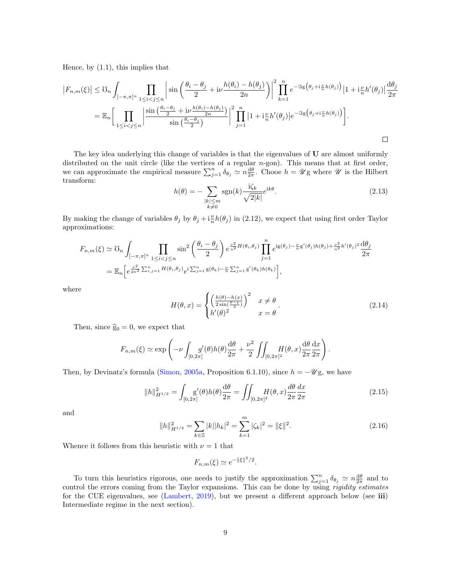Hence, by  $(1.1)$ , this implies that

$$
\left|F_{n,m}(\xi)\right| \leq \mathcal{U}_n \int_{[-\pi,\pi]^n} \prod_{1 \leq i < j \leq n} \left|\sin\left(\frac{\theta_i - \theta_j}{2} + i\nu \frac{h(\theta_i) - h(\theta_j)}{2n}\right)\right|^2 \prod_{k=1}^n e^{-\Im(\theta_j + i\frac{\nu}{n}h(\theta_j))} \left|1 + i\frac{\nu}{n}h'(\theta_j)\right| \frac{d\theta_j}{2\pi}
$$
\n
$$
= \mathbb{E}_n \Bigg[ \prod_{1 \leq i < j \leq n} \left|\frac{\sin\left(\frac{\theta_i - \theta_j}{2} + i\nu \frac{h(\theta_i) - h(\theta_j)}{2n}\right)}{\sin\left(\frac{\theta_i - \theta_j}{2}\right)}\right|^2 \prod_{j=1}^n \left|1 + i\frac{\nu}{n}h'(\theta_j)\right| e^{-\Im(\theta_j + i\frac{\nu}{n}h(\theta_j))} \Bigg].
$$

The key idea underlying this change of variables is that the eigenvalues of U are almost uniformly distributed on the unit circle (like the vertices of a regular  $n$ -gon). This means that at first order, we can approximate the empirical measure  $\sum_{j=1}^n \delta_{\theta_j} \simeq n \frac{d\theta}{2\pi}$ . Chooe  $h = \mathscr{U}$ g where  $\mathscr{U}$  is the Hilbert transform:

<span id="page-8-0"></span>
$$
h(\theta) = -\sum_{\substack{|k| \le m \\ k \neq 0}} \text{sgn}(k) \frac{\mathrm{i}\zeta_k}{\sqrt{2|k|}} e^{\mathrm{i}k\theta}.\tag{2.13}
$$

By making the change of variables  $\theta_j$  by  $\theta_j + i\frac{\nu}{n}h(\theta_j)$  in [\(2.12\)](#page-7-4), we expect that using first order Taylor approximations:

$$
F_{n,m}(\xi) \simeq \mathbb{G}_n \int_{[-\pi,\pi]^n} \prod_{1 \leq i < j \leq n} \sin^2\left(\frac{\theta_i - \theta_j}{2}\right) e^{\frac{\nu^2}{n^2} H(\theta_i,\theta_j)} \prod_{j=1}^n e^{i g(\theta_j) - \frac{\nu}{n} g'(\theta_j) h(\theta_j) + \frac{\nu^2}{n^2} h'(\theta_j)^2} \frac{d\theta_j}{2\pi}
$$
\n
$$
= \mathbb{E}_n \left[ e^{\frac{\nu^2}{2n^2} \sum_{i,j=1}^n H(\theta_i,\theta_j)} e^{i \sum_{j=1}^n g(\theta_k) - \frac{\nu}{n} \sum_{j=1}^n g'(\theta_k) h(\theta_k)} \right],
$$

where

<span id="page-8-1"></span>
$$
H(\theta, x) = \begin{cases} \left(\frac{h(\theta) - h(x)}{2\sin(\frac{\theta - x}{2})}\right)^2 & x \neq \theta \\ h'(\theta)^2 & x = \theta \end{cases}.
$$
 (2.14)

Then, since  $\hat{g}_0 = 0$ , we expect that

$$
F_{n,m}(\xi) \simeq \exp\left(-\nu \int_{[0,2\pi]} g'(\theta)h(\theta)\frac{\mathrm{d}\theta}{2\pi} + \frac{\nu^2}{2}\iint_{[0,2\pi]^2} H(\theta,x)\frac{\mathrm{d}\theta}{2\pi}\frac{\mathrm{d}x}{2\pi}\right).
$$

Then, by Devinatz's formula [\(Simon,](#page-46-14) [2005a,](#page-46-14) Proposition 6.1.10), since  $h = -\mathscr{U}g$ , we have

<span id="page-8-2"></span>
$$
||h||_{H^{1/2}}^2 = \int_{[0,2\pi]} g'(\theta)h(\theta)\frac{d\theta}{2\pi} = \iint_{[0,2\pi]^2} H(\theta,x)\frac{d\theta}{2\pi}\frac{dx}{2\pi}
$$
 (2.15)

and

<span id="page-8-3"></span>
$$
||h||_{H^{1/2}}^2 = \sum_{k \in \mathbb{Z}} |k||h_k|^2 = \sum_{k=1}^m |\zeta_k|^2 = ||\xi||^2.
$$
 (2.16)

Whence it follows from this heuristic with  $\nu = 1$  that

$$
F_{n,m}(\xi) \simeq e^{-\|\xi\|^2/2}.
$$

To turn this heuristics rigorous, one needs to justify the approximation  $\sum_{j=1}^n \delta_{\theta_j} \simeq n \frac{d\theta}{2\pi}$  and to control the errors coming from the Taylor expansions. This can be done by using *rigidity estimates* for the CUE eigenvalues, see [\(Lambert,](#page-46-15) [2019\)](#page-46-15), but we present a different approach below (see iii) Intermediate regime in the next section).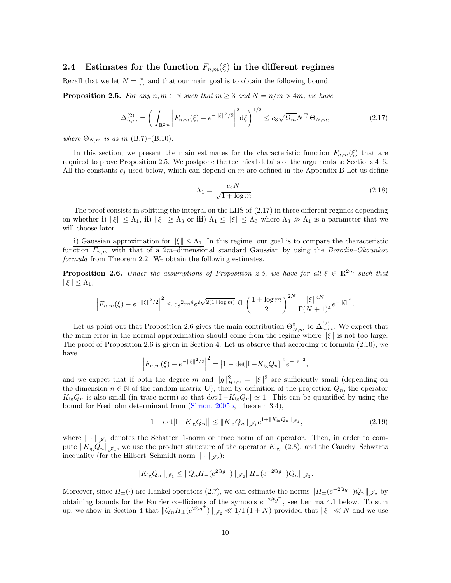#### <span id="page-9-0"></span>2.4 Estimates for the function  $F_{n,m}(\xi)$  in the different regimes

Recall that we let  $N = \frac{n}{m}$  and that our main goal is to obtain the following bound.

<span id="page-9-1"></span>**Proposition 2.5.** For any  $n, m \in \mathbb{N}$  such that  $m \geq 3$  and  $N = n/m > 4m$ , we have

<span id="page-9-2"></span>
$$
\Delta_{n,m}^{(2)} = \left( \int_{\mathbb{R}^{2m}} \left| F_{n,m}(\xi) - e^{-\|\xi\|^2/2} \right|^2 d\xi \right)^{1/2} \le c_3 \sqrt{\Omega_m} N^{\frac{m}{2}} \Theta_{N,m},\tag{2.17}
$$

where  $\Theta_{N,m}$  is as in [\(B.7\)](#page-40-1)–[\(B.10\)](#page-40-0).

In this section, we present the main estimates for the characteristic function  $F_{n,m}(\xi)$  that are required to prove Proposition [2.5.](#page-9-1) We postpone the technical details of the arguments to Sections [4–](#page-18-0)[6.](#page-24-0) All the constants  $c_i$  used below, which can depend on m are defined in the Appendix [B](#page-39-0) Let us define

<span id="page-9-4"></span>
$$
\Lambda_1 = \frac{c_4 N}{\sqrt{1 + \log m}}.\tag{2.18}
$$

.

The proof consists in splitting the integral on the LHS of [\(2.17\)](#page-9-2) in three different regimes depending on whether i)  $\|\xi\| \leq \Lambda_1$ , ii)  $\|\xi\| \geq \Lambda_3$  or iii)  $\Lambda_1 \leq \|\xi\| \leq \Lambda_3$  where  $\Lambda_3 \gg \Lambda_1$  is a parameter that we will choose later.

i) Gaussian approximation for  $\|\xi\| \leq \Lambda_1$ . In this regime, our goal is to compare the characteristic function  $F_{n,m}$  with that of a 2m–dimensional standard Gaussian by using the Borodin–Okounkov formula from Theorem [2.2.](#page-6-1) We obtain the following estimates.

<span id="page-9-3"></span>**Proposition 2.6.** Under the assumptions of Proposition [2.5,](#page-9-1) we have for all  $\xi \in \mathbb{R}^{2m}$  such that  $\|\xi\| \leq \Lambda_1$ ,

$$
\left| F_{n,m}(\xi) - e^{-\|\xi\|^2/2} \right|^2 \leq c_8^{\, 2} m^4 e^{2\sqrt{2(1+\log m)}} \|\xi\| \left(\frac{1+\log m}{2}\right)^{2N} \frac{\|\xi\|^{4N}}{\Gamma(N+1)^4} e^{-\|\xi\|^2}
$$

Let us point out that Proposition [2.6](#page-9-3) gives the main contribution  $\Theta_{N,m}^0$  to  $\Delta_{n,m}^{(2)}$ . We expect that the main error in the normal approximation should come from the regime where  $\|\xi\|$  is not too large. The proof of Proposition [2.6](#page-9-3) is given in Section [4.](#page-18-0) Let us observe that according to formula [\(2.10\)](#page-7-5), we have

$$
\left|F_{n,m}(\xi) - e^{-\|\xi\|^2/2}\right|^2 = \left|1 - \det[\mathbf{I} - K_{\text{ig}}Q_n]\right|^2 e^{-\|\xi\|^2},
$$

and we expect that if both the degree m and  $||g||_{H^{1/2}}^2 = ||\xi||^2$  are sufficiently small (depending on the dimension  $n \in \mathbb{N}$  of the random matrix U), then by definition of the projection  $Q_n$ , the operator  $K_{\rm ig}Q_n$  is also small (in trace norm) so that  $\det[I-K_{\rm ig}Q_n] \simeq 1$ . This can be quantified by using the bound for Fredholm determinant from [\(Simon,](#page-46-10) [2005b,](#page-46-10) Theorem 3.4),

<span id="page-9-5"></span>
$$
\left|1 - \det[\mathbf{I} - K_{\rm ig} Q_n]\right| \le \|K_{\rm ig} Q_n\|_{\mathscr{J}_1} e^{1 + \|K_{\rm ig} Q_n\|_{\mathscr{J}_1}},\tag{2.19}
$$

where  $\|\cdot\|_{\mathscr{I}_1}$  denotes the Schatten 1-norm or trace norm of an operator. Then, in order to compute  $||K_{ig}Q_n||_{\mathscr{J}_1}$ , we use the product structure of the operator  $K_{ig}$ , [\(2.8\)](#page-6-3), and the Cauchy–Schwartz inequality (for the Hilbert–Schmidt norm  $\|\cdot\|_{\mathscr{J}_2}$ ):

$$
||K_{\rm ig}Q_n||_{\mathscr{J}_1} \leq ||Q_nH_+(e^{2\Im g^+})||_{\mathscr{J}_2}||H_-(e^{-2\Im g^+})Q_n||_{\mathscr{J}_2}.
$$

Moreover, since  $H_{\pm}(\cdot)$  are Hankel operators [\(2.7\)](#page-6-4), we can estimate the norms  $\|H_{\pm}(e^{-2\Im g^{\pm}})Q_n\|_{\mathscr{J}_2}$  by obtaining bounds for the Fourier coefficients of the symbols  $e^{-2\Im g^{\pm}}$ , see Lemma [4.1](#page-18-1) below. To sum up, we show in Section [4](#page-18-0) that  $||Q_nH_{\pm}(e^{2\Im g^{\pm}})||_{\mathscr{J}_2} \ll 1/\Gamma(1+N)$  provided that  $||\xi|| \ll N$  and we use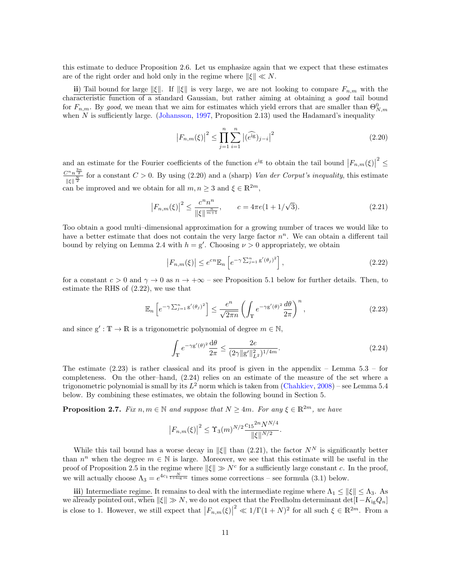this estimate to deduce Proposition [2.6.](#page-9-3) Let us emphasize again that we expect that these estimates are of the right order and hold only in the regime where  $\|\xi\| \ll N$ .

ii) Tail bound for large  $\|\xi\|$ . If  $\|\xi\|$  is very large, we are not looking to compare  $F_{n,m}$  with the characteristic function of a standard Gaussian, but rather aiming at obtaining a good tail bound for  $F_{n,m}$ . By good, we mean that we aim for estimates which yield errors that are smaller than  $\Theta_{N,m}^0$ when  $N$  is sufficiently large. [\(Johansson,](#page-46-2) [1997,](#page-46-2) Proposition 2.13) used the Hadamard's inequality

<span id="page-10-0"></span>
$$
\left|F_{n,m}(\xi)\right|^2 \le \prod_{j=1}^n \sum_{i=1}^n \left|(\widehat{e^{ig}})_{j-i}\right|^2\tag{2.20}
$$

and an estimate for the Fourier coefficients of the function  $e^{i\mathsf{g}}$  to obtain the tail bound  $|F_{n,m}(\xi)|^2 \leq$ and an estimate for the Fourier coefficients of the function  $e^{i\mathbf{g}}$  to obtain the tail bound  $|F_{n,m}(\xi)|$ <br> $C^{n}n^{\frac{3n}{2}}$  for a constant  $C > 0$ . By using (2.20) and a (sharp) *Van der Corput's inequality* this ostim  $\frac{\sum_{k=1}^{n} x_k}{\|\xi\|^{N}}$  for a constant  $C > 0$ . By using [\(2.20\)](#page-10-0) and a (sharp) Van der Corput's inequality, this estimate can be improved and we obtain for all  $m, n \geq 3$  and  $\xi \in \mathbb{R}^{2m}$ ,

<span id="page-10-4"></span>
$$
\left|F_{n,m}(\xi)\right|^2 \le \frac{c^n n^n}{\|\xi\|^{\frac{n}{m+1}}}, \qquad c = 4\pi e (1 + 1/\sqrt{3}).\tag{2.21}
$$

Too obtain a good multi–dimensional approximation for a growing number of traces we would like to have a better estimate that does not contain the very large factor  $n<sup>n</sup>$ . We can obtain a different tail bound by relying on Lemma [2.4](#page-7-3) with  $h = g'$ . Choosing  $\nu > 0$  appropriately, we obtain

<span id="page-10-1"></span>
$$
\left|F_{n,m}(\xi)\right| \le e^{cn} \mathbb{E}_n \left[e^{-\gamma \sum_{j=1}^n g'(\theta_j)^2}\right],\tag{2.22}
$$

for a constant  $c > 0$  and  $\gamma \to 0$  as  $n \to +\infty$  – see Proposition [5.1](#page-20-0) below for further details. Then, to estimate the RHS of [\(2.22\)](#page-10-1), we use that

<span id="page-10-2"></span>
$$
\mathbb{E}_n\left[e^{-\gamma \sum_{j=1}^n g'(\theta_j)^2}\right] \le \frac{e^n}{\sqrt{2\pi n}} \left(\int_{\mathbb{T}} e^{-\gamma g'(\theta)^2} \frac{d\theta}{2\pi}\right)^n, \tag{2.23}
$$

and since  $g' : T \to \mathbb{R}$  is a trigonometric polynomial of degree  $m \in \mathbb{N}$ ,

<span id="page-10-3"></span>
$$
\int_{\mathbb{T}} e^{-\gamma g'(\theta)^2} \frac{d\theta}{2\pi} \le \frac{2e}{(2\gamma \|g'\|_{L^2}^2)^{1/4m}}.
$$
\n(2.24)

The estimate  $(2.23)$  is rather classical and its proof is given in the appendix – Lemma  $5.3$  – for completeness. On the other–hand, [\(2.24\)](#page-10-3) relies on an estimate of the measure of the set where a trigonometric polynomial is small by its  $L^2$  norm which is taken from [\(Chahkiev,](#page-45-9) [2008\)](#page-45-9) – see Lemma [5.4](#page-22-1) below. By combining these estimates, we obtain the following bound in Section [5.](#page-20-1)

<span id="page-10-5"></span>**Proposition 2.7.** Fix  $n, m \in \mathbb{N}$  and suppose that  $N \ge 4m$ . For any  $\xi \in \mathbb{R}^{2m}$ , we have

$$
|F_{n,m}(\xi)|^2 \leq \Upsilon_3(m)^{N/2} \frac{c_{15}^2 n N^{N/4}}{ \|\xi\|^{N/2}}.
$$

While this tail bound has a worse decay in  $\|\xi\|$  than [\(2.21\)](#page-10-4), the factor  $N^N$  is significantly better than  $n^n$  when the degree  $m \in \mathbb{N}$  is large. Moreover, we see that this estimate will be useful in the proof of Proposition [2.5](#page-9-1) in the regime where  $\|\xi\| \gg N^c$  for a sufficiently large constant c. In the proof, we will actually choose  $\Lambda_3 = e^{4c_1 \frac{N}{1+\log m}}$  times some corrections – see formula [\(3.1\)](#page-12-1) below.

iii) Intermediate regime. It remains to deal with the intermediate regime where  $\Lambda_1 \leq ||\xi|| \leq \Lambda_3$ . As we already pointed out, when  $\|\xi\| \gg N$ , we do not expect that the Fredholm determinant det $[I - K_{ig}Q_n]$ is close to 1. However, we still expect that  $|F_{n,m}(\xi)|$ <sup>2</sup>  $\ll 1/\Gamma(1+N)^2$  for all such  $\xi \in \mathbb{R}^{2m}$ . From a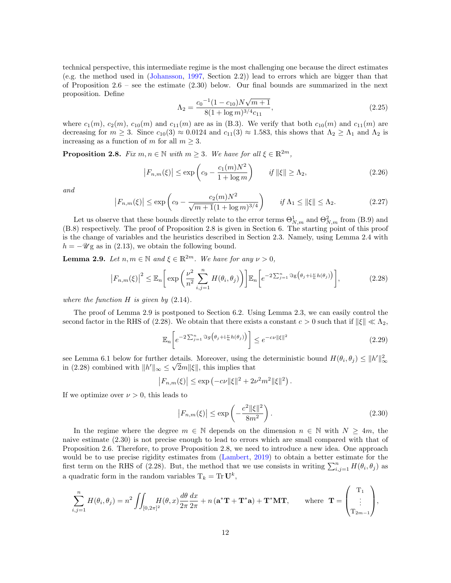technical perspective, this intermediate regime is the most challenging one because the direct estimates (e.g. the method used in [\(Johansson,](#page-46-2) [1997,](#page-46-2) Section 2.2)) lead to errors which are bigger than that of Proposition  $2.6$  – see the estimate  $(2.30)$  below. Our final bounds are summarized in the next proposition. Define √

<span id="page-11-4"></span>
$$
\Lambda_2 = \frac{c_0^{-1}(1 - c_{10})N\sqrt{m+1}}{8(1 + \log m)^{3/4}c_{11}},\tag{2.25}
$$

where  $c_1(m)$ ,  $c_2(m)$ ,  $c_{10}(m)$  and  $c_{11}(m)$  are as in [\(B.3\)](#page-39-2). We verify that both  $c_{10}(m)$  and  $c_{11}(m)$  are decreasing for  $m \geq 3$ . Since  $c_{10}(3) \approx 0.0124$  and  $c_{11}(3) \approx 1.583$ , this shows that  $\Lambda_2 \geq \Lambda_1$  and  $\Lambda_2$  is increasing as a function of m for all  $m \geq 3$ .

<span id="page-11-1"></span>**Proposition 2.8.** Fix  $m, n \in \mathbb{N}$  with  $m \geq 3$ . We have for all  $\xi \in \mathbb{R}^{2m}$ ,

<span id="page-11-5"></span>
$$
\left|F_{n,m}(\xi)\right| \le \exp\left(c_9 - \frac{c_1(m)N^2}{1 + \log m}\right) \qquad \text{if } \|\xi\| \ge \Lambda_2,\tag{2.26}
$$

and

<span id="page-11-6"></span>
$$
|F_{n,m}(\xi)| \le \exp\left(c_9 - \frac{c_2(m)N^2}{\sqrt{m+1}(1+\log m)^{3/4}}\right) \qquad \text{if } \Lambda_1 \le ||\xi|| \le \Lambda_2. \tag{2.27}
$$

Let us observe that these bounds directly relate to the error terms  $\Theta_{N,m}^1$  and  $\Theta_{N,m}^2$  from [\(B.9\)](#page-40-2) and [\(B.8\)](#page-40-3) respectively. The proof of Proposition [2.8](#page-11-1) is given in Section [6.](#page-24-0) The starting point of this proof is the change of variables and the heuristics described in Section [2.3.](#page-7-0) Namely, using Lemma [2.4](#page-7-3) with  $h = -\mathscr{U}$ g as in [\(2.13\)](#page-8-0), we obtain the following bound.

<span id="page-11-2"></span>**Lemma 2.9.** Let  $n, m \in \mathbb{N}$  and  $\xi \in \mathbb{R}^{2m}$ . We have for any  $\nu > 0$ ,

<span id="page-11-3"></span>
$$
\left|F_{n,m}(\xi)\right|^2 \leq \mathbb{E}_n\bigg[\exp\bigg(\frac{\nu^2}{n^2}\sum_{i,j=1}^n H(\theta_i,\theta_j)\bigg)\bigg]\mathbb{E}_n\bigg[e^{-2\sum_{j=1}^n\Im g\big(\theta_j+i\frac{\nu}{n}h(\theta_j)\big)}\bigg],\tag{2.28}
$$

where the function  $H$  is given by  $(2.14)$ .

The proof of Lemma [2.9](#page-11-2) is postponed to Section [6.2.](#page-25-0) Using Lemma [2.3,](#page-7-2) we can easily control the second factor in the RHS of [\(2.28\)](#page-11-3). We obtain that there exists a constant  $c > 0$  such that if  $\|\xi\| \ll \Lambda_2$ ,

$$
\mathbb{E}_n\left[e^{-2\sum_{j=1}^n \Im g\left(\theta_j + i\frac{\nu}{n}h(\theta_j)\right)}\right] \le e^{-c\nu \|\xi\|^2} \tag{2.29}
$$

see Lemma [6.1](#page-24-1) below for further details. Moreover, using the deterministic bound  $H(\theta_i, \theta_j) \leq ||h'||_{\infty}^2$ in [\(2.28\)](#page-11-3) combined with  $||h'||_{\infty} \leq \sqrt{2}m||\xi||$ , this implies that

$$
|F_{n,m}(\xi)| \le \exp(-c\nu ||\xi||^2 + 2\nu^2 m^2 ||\xi||^2).
$$

If we optimize over  $\nu > 0$ , this leads to

<span id="page-11-0"></span>
$$
|F_{n,m}(\xi)| \le \exp\left(-\frac{c^2 \|\xi\|^2}{8m^2}\right).
$$
 (2.30)

In the regime where the degree  $m \in \mathbb{N}$  depends on the dimension  $n \in \mathbb{N}$  with  $N \geq 4m$ , the naive estimate [\(2.30\)](#page-11-0) is not precise enough to lead to errors which are small compared with that of Proposition [2.6.](#page-9-3) Therefore, to prove Proposition [2.8,](#page-11-1) we need to introduce a new idea. One approach would be to use precise rigidity estimates from [\(Lambert,](#page-46-15) [2019\)](#page-46-15) to obtain a better estimate for the first term on the RHS of [\(2.28\)](#page-11-3). But, the method that we use consists in writing  $\sum_{i,j=1}^{n} H(\theta_i, \theta_j)$  as a quadratic form in the random variables  $T_k = \text{Tr} \mathbf{U}^k$ ,

$$
\sum_{i,j=1}^n H(\theta_i, \theta_j) = n^2 \iint_{[0,2\pi]^2} H(\theta, x) \frac{d\theta}{2\pi} \frac{dx}{2\pi} + n \left( \mathbf{a}^* \mathbf{T} + \mathbf{T}^* \mathbf{a} \right) + \mathbf{T}^* \mathbf{M} \mathbf{T}, \quad \text{where } \mathbf{T} = \begin{pmatrix} \mathbf{T}_1 \\ \vdots \\ \mathbf{T}_{2m-1} \end{pmatrix},
$$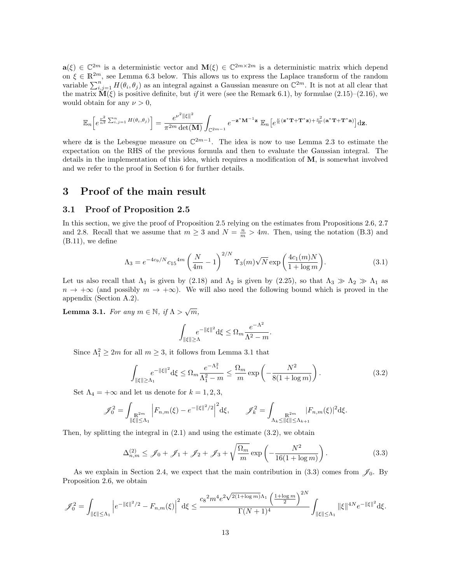$\mathbf{a}(\xi) \in \mathbb{C}^{2m}$  is a deterministic vector and  $\mathbf{M}(\xi) \in \mathbb{C}^{2m \times 2m}$  is a deterministic matrix which depend on  $\xi \in \mathbb{R}^{2m}$ , see Lemma [6.3](#page-28-0) below. This allows us to express the Laplace transform of the random variable  $\sum_{i,j=1}^n H(\theta_i, \theta_j)$  as an integral against a Gaussian measure on  $\mathbb{C}^{2m}$ . It is not at all clear that the matrix  $\mathbf{\widetilde{M}}(\xi)$  is positive definite, but if it were (see the Remark [6.1\)](#page-30-0), by formulae [\(2.15\)](#page-8-2)–[\(2.16\)](#page-8-3), we would obtain for any  $\nu > 0$ ,

$$
\mathbb{E}_n\Big[e^{\frac{\nu^2}{n^2}\sum_{i,j=1}^nH(\theta_i,\theta_j)}\Big]=\frac{e^{\nu^2\|\xi\|^2}}{\pi^{2m}\det(\mathbf{M})}\int_{\mathbb{C}^{2m-1}}e^{-\mathbf{z}^*\mathbf{M}^{-1}\mathbf{z}}\mathbb{E}_n\Big[e^{\frac{\nu}{n}(\mathbf{z}^*\mathbf{T}+\mathbf{T}^*\mathbf{z})+\frac{\nu^2}{n}(\mathbf{a}^*\mathbf{T}+\mathbf{T}^*\mathbf{a})}\Big]\mathrm{d}\mathbf{z}.
$$

where dz is the Lebesgue measure on  $\mathbb{C}^{2m-1}$ . The idea is now to use Lemma [2.3](#page-7-2) to estimate the expectation on the RHS of the previous formula and then to evaluate the Gaussian integral. The details in the implementation of this idea, which requires a modification of M, is somewhat involved and we refer to the proof in Section [6](#page-24-0) for further details.

## <span id="page-12-0"></span>3 Proof of the main result

#### 3.1 Proof of Proposition [2.5](#page-9-1)

In this section, we give the proof of Proposition [2.5](#page-9-1) relying on the estimates from Propositions [2.6,](#page-9-3) [2.7](#page-10-5) and [2.8.](#page-11-1) Recall that we assume that  $m \geq 3$  and  $N = \frac{n}{m} > 4m$ . Then, using the notation [\(B.3\)](#page-39-2) and  $(B.11)$ , we define

<span id="page-12-1"></span>
$$
\Lambda_3 = e^{-4c_9/N} c_{15}^{4m} \left(\frac{N}{4m} - 1\right)^{2/N} \Upsilon_3(m) \sqrt{N} \exp\left(\frac{4c_1(m)N}{1 + \log m}\right).
$$
 (3.1)

Let us also recall that  $\Lambda_1$  is given by [\(2.18\)](#page-9-4) and  $\Lambda_2$  is given by [\(2.25\)](#page-11-4), so that  $\Lambda_3 \gg \Lambda_2 \gg \Lambda_1$  as  $n \to +\infty$  (and possibly  $m \to +\infty$ ). We will also need the following bound which is proved in the appendix (Section [A.2\)](#page-37-0).

<span id="page-12-2"></span>**Lemma 3.1.** For any  $m \in \mathbb{N}$ , if  $\Lambda > \sqrt{m}$ ,

$$
\int_{\|\xi\|\geq \Lambda} e^{-\|\xi\|^2} \mathrm{d}\xi \leq \Omega_m \frac{e^{-\Lambda^2}}{\Lambda^2 - m}.
$$

Since  $\Lambda_1^2 \geq 2m$  for all  $m \geq 3$ , it follows from Lemma [3.1](#page-12-2) that

<span id="page-12-3"></span>
$$
\int_{\|\xi\| \ge \Lambda_1} e^{-\|\xi\|^2} d\xi \le \Omega_m \frac{e^{-\Lambda_1^2}}{\Lambda_1^2 - m} \le \frac{\Omega_m}{m} \exp\left(-\frac{N^2}{8(1 + \log m)}\right). \tag{3.2}
$$

Set  $\Lambda_4 = +\infty$  and let us denote for  $k = 1, 2, 3$ ,

$$
\mathscr{J}_0^2 = \int_{\substack{\mathbb{R}^{2m} \\ \|\xi\| \le \Lambda_1}} \left| F_{n,m}(\xi) - e^{-\|\xi\|^2/2} \right|^2 d\xi, \qquad \mathscr{J}_k^2 = \int_{\Lambda_k \le \|\xi\| \le \Lambda_{k+1}} \left| F_{n,m}(\xi) \right|^2 d\xi.
$$

Then, by splitting the integral in  $(2.1)$  and using the estimate  $(3.2)$ , we obtain

<span id="page-12-4"></span>
$$
\Delta_{n,m}^{(2)} \leq \mathcal{J}_0 + \mathcal{J}_1 + \mathcal{J}_2 + \mathcal{J}_3 + \sqrt{\frac{\Omega_m}{m}} \exp\left(-\frac{N^2}{16(1 + \log m)}\right). \tag{3.3}
$$

As we explain in Section [2.4,](#page-9-0) we expect that the main contribution in  $(3.3)$  comes from  $\mathscr{J}_0$ . By Proposition [2.6,](#page-9-3) we obtain

$$
\mathscr{J}_0^2 = \int_{\|\xi\| \leq \Lambda_1} \left| e^{-\|\xi\|^2/2} - F_{n,m}(\xi) \right|^2 \mathrm{d} \xi \leq \frac{c_8^2 m^4 e^{2\sqrt{2(1+\log m)} \Lambda_1} \left( \frac{1+\log m}{2} \right)^{2N} }{\Gamma(N+1)^4} \int_{\|\xi\| \leq \Lambda_1} \|\xi\|^{4N} e^{-\|\xi\|^2} \mathrm{d} \xi.
$$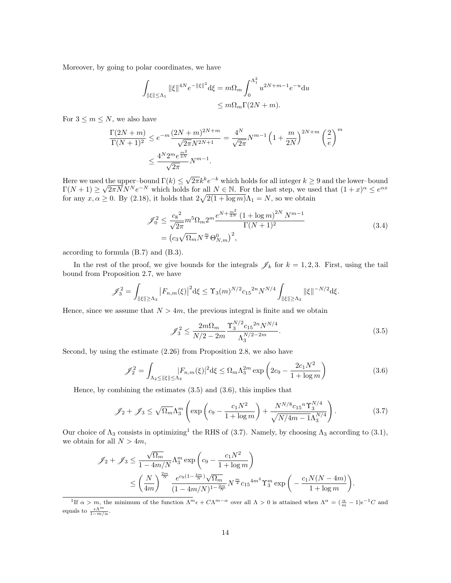Moreover, by going to polar coordinates, we have

$$
\int_{\|\xi\| \le \Lambda_1} \|\xi\|^{4N} e^{-\|\xi\|^2} d\xi = m\Omega_m \int_0^{\Lambda_1^2} u^{2N+m-1} e^{-u} du
$$
  

$$
\le m\Omega_m \Gamma(2N+m).
$$

For  $3 \leq m \leq N$ , we also have

$$
\frac{\Gamma(2N+m)}{\Gamma(N+1)^2} \le e^{-m} \frac{(2N+m)^{2N+m}}{\sqrt{2\pi}N^{2N+1}} = \frac{4^N}{\sqrt{2\pi}} N^{m-1} \left(1 + \frac{m}{2N}\right)^{2N+m} \left(\frac{2}{e}\right)^m
$$

$$
\le \frac{4^N 2^m e^{\frac{m^2}{2N}}}{\sqrt{2\pi}} N^{m-1}.
$$

Here we used the upper–bound  $\Gamma(k) \leq$ d the upper-bound  $\Gamma(k) \leq \sqrt{2\pi}k^k e^{-k}$  which holds for all integer  $k \geq 9$  and the lower-bound  $\Gamma(N+1) \geq \sqrt{2\pi N} N^N e^{-N}$  which holds for all  $N \in \mathbb{N}$ . For the last step, we used that  $(1+x)^{\alpha} \leq e^{\alpha x}$ for any  $x, \alpha \ge 0$ . By [\(2.18\)](#page-9-4), it holds that  $2\sqrt{2(1 + \log m)}\Lambda_1 = N$ , so we obtain

<span id="page-13-4"></span>
$$
\mathcal{J}_0^2 \le \frac{c_8^2}{\sqrt{2\pi}} m^5 \Omega_m 2^m \frac{e^{N + \frac{m^2}{2N}} (1 + \log m)^{2N} N^{m-1}}{\Gamma(N+1)^2}
$$
\n
$$
= (c_3 \sqrt{\Omega_m} N^{\frac{m}{2}} \Theta_{N,m}^0)^2,
$$
\n(3.4)

according to formula [\(B.7\)](#page-40-1) and [\(B.3\)](#page-39-2).

In the rest of the proof, we give bounds for the integrals  $\mathscr{J}_k$  for  $k = 1, 2, 3$ . First, using the tail bound from Proposition [2.7,](#page-10-5) we have

$$
\mathscr{J}_3^2 = \int_{\|\xi\| \ge \Lambda_3} \left| F_{n,m}(\xi) \right|^2 \mathrm{d}\xi \le \Upsilon_3(m)^{N/2} c_{15}^{2n} N^{N/4} \int_{\|\xi\| \ge \Lambda_3} \|\xi\|^{-N/2} \mathrm{d}\xi.
$$

Hence, since we assume that  $N > 4m$ , the previous integral is finite and we obtain

<span id="page-13-0"></span>
$$
\mathcal{J}_3^2 \le \frac{2m\Omega_m}{N/2 - 2m} \frac{\Upsilon_3^{N/2} c_{15}^{2n} N^{N/4}}{\Lambda_3^{N/2 - 2m}}.
$$
\n(3.5)

Second, by using the estimate [\(2.26\)](#page-11-5) from Proposition [2.8,](#page-11-1) we also have

<span id="page-13-1"></span>
$$
\mathcal{J}_2^2 = \int_{\Lambda_2 \le ||\xi|| \le \Lambda_3} |F_{n,m}(\xi)|^2 d\xi \le \Omega_m \Lambda_3^{2m} \exp\left(2c_9 - \frac{2c_1 N^2}{1 + \log m}\right) \tag{3.6}
$$

Hence, by combining the estimates  $(3.5)$  and  $(3.6)$ , this implies that

<span id="page-13-3"></span>
$$
\mathcal{J}_2 + \mathcal{J}_3 \le \sqrt{\Omega_m} \Lambda_3^m \left( \exp\left( c_9 - \frac{c_1 N^2}{1 + \log m} \right) + \frac{N^{N/8} c_{15}{}^n \Upsilon_3^{N/4}}{\sqrt{N/4m - 1} \Lambda_3^{N/4}} \right). \tag{3.7}
$$

Our choice of  $\Lambda_3$  consists in optimizing<sup>[1](#page-13-2)</sup> the RHS of [\(3.7\)](#page-13-3). Namely, by choosing  $\Lambda_3$  according to [\(3.1\)](#page-12-1), we obtain for all  $N > 4m$ ,

$$
\mathscr{J}_2 + \mathscr{J}_3 \le \frac{\sqrt{\Omega_m}}{1 - 4m/N} \Lambda_3^m \exp\left(c_9 - \frac{c_1 N^2}{1 + \log m}\right)
$$
  

$$
\le \left(\frac{N}{4m}\right)^{\frac{2m}{N}} \frac{e^{c_9(1 - \frac{4m}{N})}\sqrt{\Omega_m}}{(1 - 4m/N)^{1 - \frac{2m}{N}}} N^{\frac{m}{2}} c_{15}^{4m^2} \Upsilon_3^m \exp\bigg(-\frac{c_1 N(N - 4m)}{1 + \log m}\bigg).
$$

<span id="page-13-2"></span><sup>1</sup>If  $\alpha > m$ , the minimum of the function  $\Lambda^m \epsilon + C \Lambda^{m-\alpha}$  over all  $\Lambda > 0$  is attained when  $\Lambda^{\alpha} = (\frac{\alpha}{m} - 1) \epsilon^{-1} C$  and equals to  $\frac{\epsilon \Lambda^m}{1 - m/\alpha}$ .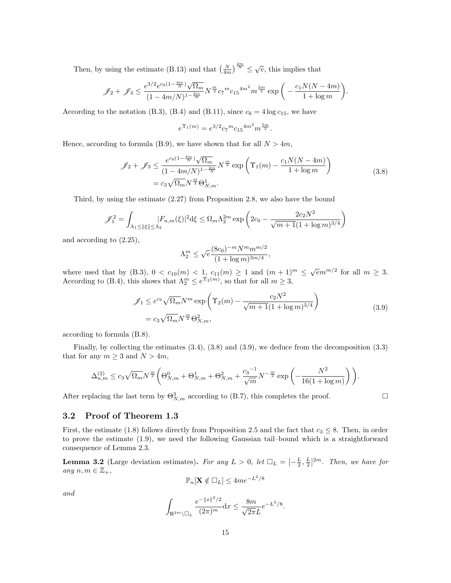Then, by using the estimate [\(B.13\)](#page-41-1) and that  $\left(\frac{N}{4m}\right)^{\frac{2m}{N}} \leq \sqrt{e}$ , this implies that

$$
\mathscr{J}_2 + \mathscr{J}_3 \le \frac{e^{3/2} e^{c_9 (1 - \frac{4m}{N})} \sqrt{\Omega_m}}{(1 - 4m/N)^{1 - \frac{2m}{N}}} N^{\frac{m}{2}} c_7^{-m} c_{15}^{4m^2} m^{\frac{5m}{2}} \exp\bigg(-\frac{c_1 N(N - 4m)}{1 + \log m}\bigg).
$$

According to the notation [\(B.3\)](#page-39-2), [\(B.4\)](#page-40-5) and [\(B.11\)](#page-40-4), since  $c_6 = 4 \log c_{15}$ , we have

$$
e^{\Upsilon_1(m)} = e^{3/2} c_7{}^m c_{15}{}^{4m^2} m^{\frac{5m}{2}}.
$$

Hence, according to formula [\(B.9\)](#page-40-2), we have shown that for all  $N > 4m$ ,

<span id="page-14-0"></span>
$$
\mathcal{J}_2 + \mathcal{J}_3 \le \frac{e^{c_9 (1 - \frac{4m}{N})} \sqrt{\Omega_m}}{(1 - 4m/N)^{1 - \frac{2m}{N}}} N^{\frac{m}{2}} \exp\left(\Upsilon_1(m) - \frac{c_1 N(N - 4m)}{1 + \log m}\right)
$$
  
=  $c_3 \sqrt{\Omega_m} N^{\frac{m}{2}} \Theta_{N,m}^1$ . (3.8)

Third, by using the estimate [\(2.27\)](#page-11-6) from Proposition [2.8,](#page-11-1) we also have the bound

$$
\mathcal{J}_1^2 = \int_{\Lambda_1 \le ||\xi|| \le \Lambda_2} |F_{n,m}(\xi)|^2 d\xi \le \Omega_m \Lambda_2^{2m} \exp\left(2c_9 - \frac{2c_2 N^2}{\sqrt{m+1}(1+\log m)^{3/4}}\right)
$$

and according to [\(2.25\)](#page-11-4),

$$
\Lambda_2^m \le \sqrt{e} \frac{(8c_0)^{-m} N^m m^{m/2}}{(1 + \log m)^{3m/4}},
$$

where used that by [\(B.3\)](#page-39-2),  $0 < c_{10}(m) < 1$ ,  $c_{11}(m) \geq 1$  and  $(m+1)^m \leq \sqrt{e}m^{m/2}$  for all  $m \geq 3$ . According to [\(B.4\)](#page-40-5), this shows that  $\Lambda_2^m \leq e^{\Upsilon_2(m)}$ , so that for all  $m \geq 3$ ,

<span id="page-14-1"></span>
$$
\mathcal{J}_1 \le e^{c_9} \sqrt{\Omega_m} N^m \exp\left(\Upsilon_2(m) - \frac{c_2 N^2}{\sqrt{m+1} (1 + \log m)^{3/4}}\right)
$$
  
=  $c_3 \sqrt{\Omega_m} N^{\frac{m}{2}} \Theta_{N,m}^2$ , (3.9)

according to formula [\(B.8\)](#page-40-3).

Finally, by collecting the estimates  $(3.4)$ ,  $(3.8)$  and  $(3.9)$ , we deduce from the decomposition  $(3.3)$ that for any  $m \geq 3$  and  $N > 4m$ ,

$$
\Delta_{n,m}^{(2)} \le c_3 \sqrt{\Omega_m} N^{\frac{m}{2}} \bigg( \Theta_{N,m}^0 + \Theta_{N,m}^1 + \Theta_{N,m}^2 + \frac{c_3 - 1}{\sqrt{m}} N^{-\frac{m}{2}} \exp \bigg( - \frac{N^2}{16(1 + \log m)} \bigg) \bigg).
$$

After replacing the last term by  $\Theta_{N,m}^3$  according to [\(B.7\)](#page-40-1), this completes the proof.

#### 3.2 Proof of Theorem [1.3](#page-3-0)

First, the estimate [\(1.8\)](#page-3-3) follows directly from Proposition [2.5](#page-9-1) and the fact that  $c_3 \leq 8$ . Then, in order to prove the estimate [\(1.9\)](#page-3-4), we need the following Gaussian tail–bound which is a straightforward consequence of Lemma [2.3.](#page-7-2)

<span id="page-14-2"></span>**Lemma 3.2** (Large deviation estimates). For any  $L > 0$ , let  $\Box_L = \left[-\frac{L}{2}, \frac{L}{2}\right]^{2m}$ . Then, we have for any  $n, m \in \mathbb{Z}_+,$ 

$$
\mathbb{P}_n[\mathbf{X} \notin \Box_L] \le 4me^{-L^2/8}
$$

and

$$
\int_{\mathbb{R}^{2m}\backslash \square_L} \frac{e^{-\|x\|^2/2}}{(2\pi)^m} \mathrm{d} x \le \frac{8m}{\sqrt{2\pi}L} e^{-L^2/8}.
$$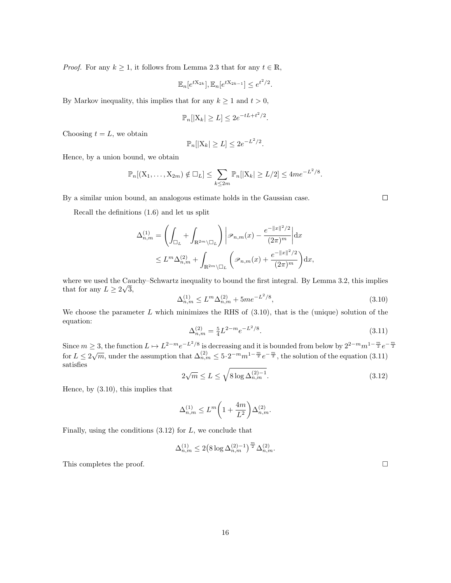*Proof.* For any  $k \ge 1$ , it follows from Lemma [2.3](#page-7-2) that for any  $t \in \mathbb{R}$ ,

$$
\mathbb{E}_n[e^{tX_{2k}}], \mathbb{E}_n[e^{tX_{2k-1}}] \le e^{t^2/2}
$$

.

By Markov inequality, this implies that for any  $k \geq 1$  and  $t > 0$ ,

$$
\mathbb{P}_n[|X_k| \ge L] \le 2e^{-tL+t^2/2}.
$$

Choosing  $t = L$ , we obtain

$$
\mathbb{P}_n[|X_k| \ge L] \le 2e^{-L^2/2}.
$$

Hence, by a union bound, we obtain

$$
\mathbb{P}_n[(X_1,\ldots,X_{2m}) \notin \square_L] \leq \sum_{k \leq 2m} \mathbb{P}_n[|X_k| \geq L/2] \leq 4me^{-L^2/8}.
$$

By a similar union bound, an analogous estimate holds in the Gaussian case.

Recall the definitions [\(1.6\)](#page-2-3) and let us split

$$
\Delta_{n,m}^{(1)} = \left( \int_{\Box_L} + \int_{\mathbb{R}^{2m} \setminus \Box_L} \right) \left| \mathcal{P}_{n,m}(x) - \frac{e^{-\|x\|^2/2}}{(2\pi)^m} \right| dx
$$
  

$$
\leq L^m \Delta_{n,m}^{(2)} + \int_{\mathbb{R}^{2m} \setminus \Box_L} \left( \mathcal{P}_{n,m}(x) + \frac{e^{-\|x\|^2/2}}{(2\pi)^m} \right) dx,
$$

where we used the Cauchy–Schwartz inequality to bound the first integral. By Lemma [3.2,](#page-14-2) this implies that for any  $L \geq 2\sqrt{3}$ ,

<span id="page-15-0"></span>
$$
\Delta_{n,m}^{(1)} \le L^m \Delta_{n,m}^{(2)} + 5me^{-L^2/8},\tag{3.10}
$$

We choose the parameter  $L$  which minimizes the RHS of  $(3.10)$ , that is the (unique) solution of the equation:

<span id="page-15-1"></span>
$$
\Delta_{n,m}^{(2)} = \frac{5}{4} L^{2-m} e^{-L^2/8}.
$$
\n(3.11)

Since  $m \geq 3$ , the function  $L \mapsto L^{2-m}e^{-L^2/8}$  is decreasing and it is bounded from below by  $2^{2-m}m^{1-\frac{m}{2}}e^{-\frac{m}{2}}$ for  $L \le 2\sqrt{m}$ , under the assumption that  $\Delta_{n,m}^{(2)} \le 5 \cdot 2^{-m} m^{1-\frac{m}{2}} e^{-\frac{m}{2}}$ , the solution of the equation [\(3.11\)](#page-15-1) satisfies

<span id="page-15-2"></span>
$$
2\sqrt{m} \le L \le \sqrt{8\log \Delta_{n,m}^{(2)-1}}.\tag{3.12}
$$

Hence, by [\(3.10\)](#page-15-0), this implies that

$$
\Delta_{n,m}^{(1)} \le L^m \bigg(1 + \frac{4m}{L^2}\bigg) \Delta_{n,m}^{(2)}.
$$

Finally, using the conditions  $(3.12)$  for L, we conclude that

$$
\Delta_{n,m}^{(1)} \le 2 \big( 8 \log \Delta_{n,m}^{(2)-1} \big)^{\frac{m}{2}} \Delta_{n,m}^{(2)}.
$$

This completes the proof.  $\Box$ 

16

 $\Box$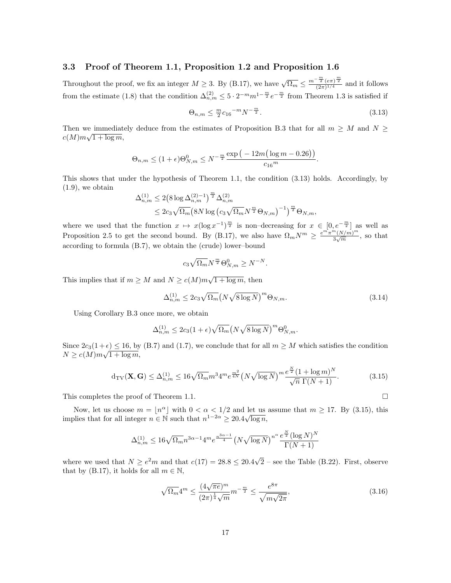#### <span id="page-16-0"></span>3.3 Proof of Theorem [1.1,](#page-2-1) Proposition [1.2](#page-2-2) and Proposition [1.6](#page-4-0)

Throughout the proof, we fix an integer  $M \geq 3$ . By [\(B.17\)](#page-42-0), we have  $\sqrt{\Omega_m} \leq \frac{m^{-\frac{m}{2}} (e\pi)^{\frac{m}{2}}}{(2\pi)^{1/4}}$  $\frac{2(e\pi)^2}{(2\pi)^{1/4}}$  and it follows from the estimate [\(1.8\)](#page-3-3) that the condition  $\Delta_{n,m}^{(2)} \leq 5 \cdot 2^{-m} m^{1-\frac{m}{2}} e^{-\frac{m}{2}}$  from Theorem [1.3](#page-3-0) is satisfied if

<span id="page-16-1"></span>
$$
\Theta_{n,m} \le \frac{m}{2} c_{16}^{-m} N^{-\frac{m}{2}}.
$$
\n(3.13)

Then we immediately deduce from the estimates of Proposition [B.3](#page-42-1) that for all  $m \geq M$  and  $N \geq$  $c(M)m\sqrt{1+\log m},$ 

$$
\Theta_{n,m} \le (1+\epsilon)\Theta_{N,m}^0 \le N^{-\frac{m}{2}}\frac{\exp\big(-12m\big(\log m - 0.26\big)\big)}{c_{16}^m}.
$$

This shows that under the hypothesis of Theorem [1.1,](#page-2-1) the condition [\(3.13\)](#page-16-1) holds. Accordingly, by  $(1.9)$ , we obtain

$$
\Delta_{n,m}^{(1)} \le 2 \left( 8 \log \Delta_{n,m}^{(2)-1} \right)^{\frac{m}{2}} \Delta_{n,m}^{(2)} \n\le 2c_3 \sqrt{\Omega_m} \left( 8N \log \left( c_3 \sqrt{\Omega_m} N^{\frac{m}{2}} \Theta_{N,m} \right)^{-1} \right)^{\frac{m}{2}} \Theta_{N,m},
$$

where we used that the function  $x \mapsto x(\log x^{-1})^{\frac{m}{2}}$  is non–decreasing for  $x \in [0, e^{-\frac{m}{2}}]$  as well as Proposition [2.5](#page-9-1) to get the second bound. By [\(B.17\)](#page-42-0), we also have  $\Omega_m N^m \geq \frac{e^{m^2}\pi^m (N/m)^m}{3\sqrt{m}}$  $\frac{(N/m)}{3\sqrt{m}}$ , so that according to formula [\(B.7\)](#page-40-1), we obtain the (crude) lower–bound

$$
c_3\sqrt{\Omega_m}N^{\frac{m}{2}}\Theta_{N,m}^0\geq N^{-N}.
$$

This implies that if  $m \geq M$  and  $N \geq c(M)m\sqrt{1 + \log m}$ , then

$$
\Delta_{n,m}^{(1)} \le 2c_3 \sqrt{\Omega_m} \left( N \sqrt{8 \log N} \right)^m \Theta_{N,m}.
$$
\n(3.14)

Using Corollary [B.3](#page-42-1) once more, we obtain

$$
\Delta_{n,m}^{(1)} \le 2c_3(1+\epsilon)\sqrt{\Omega_m} \big(N\sqrt{8\log N}\big)^m \Theta_{N,m}^0.
$$

Since  $2c_3(1+\epsilon) \le 16$ , by [\(B.7\)](#page-40-1) and [\(1.7\)](#page-2-0), we conclude that for all  $m \ge M$  which satisfies the condition  $N \ge c(M)m\sqrt{1+\log m},$ 

<span id="page-16-2"></span>
$$
d_{\rm TV}(\mathbf{X}, \mathbf{G}) \le \Delta_{n,m}^{(1)} \le 16\sqrt{\Omega_m} m^3 4^m e^{\frac{m^2}{4N}} \left(N\sqrt{\log N}\right)^m \frac{e^{\frac{N}{2}} (1 + \log m)^N}{\sqrt{n} \Gamma(N+1)}.\tag{3.15}
$$

This completes the proof of Theorem [1.1.](#page-2-1)

Now, let us choose  $m = \lfloor n^{\alpha} \rfloor$  with  $0 < \alpha < 1/2$  and let us assume that  $m \ge 17$ . By [\(3.15\)](#page-16-2), this implies that for all integer  $n \in \mathbb{N}$  such that  $n^{1-2\alpha} \geq 20.4\sqrt{\log n}$ ,

$$
\Delta_{n,m}^{(1)} \le 16\sqrt{\Omega_m} n^{3\alpha-1} 4^m e^{\frac{n^{3\alpha-1}}{4}} \left(N\sqrt{\log N}\right)^{n^\alpha} \frac{e^{\frac{N}{2}} (\log N)^N}{\Gamma(N+1)}
$$

where we used that  $N \ge e^2 m$  and that  $c(17) = 28.8 \le 20.4 \sqrt{ }$  $2$  – see the Table [\(B.22\)](#page-43-0). First, observe that by [\(B.17\)](#page-42-0), it holds for all  $m \in \mathbb{N}$ ,

<span id="page-16-3"></span>
$$
\sqrt{\Omega_m} 4^m \le \frac{(4\sqrt{\pi e})^m}{(2\pi)^{\frac{1}{4}}\sqrt{m}} m^{-\frac{m}{2}} \le \frac{e^{8\pi}}{\sqrt{m\sqrt{2\pi}}},
$$
\n(3.16)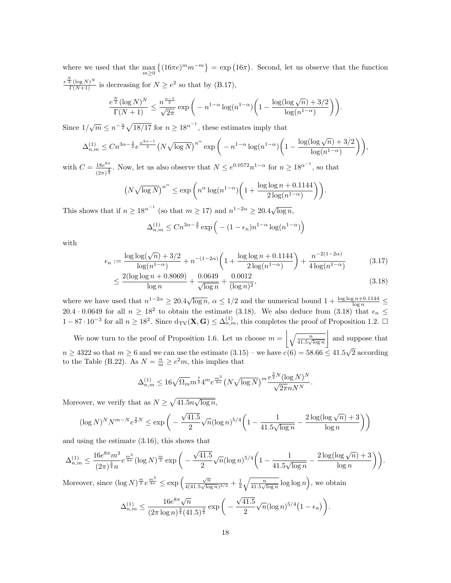where we used that the  $\max_{m\geq 0} \{(16\pi e)^m m^{-m}\} = \exp(16\pi)$ . Second, let us observe that the function  $\frac{e^{\frac{N}{2}}(\log N)^N}{\Gamma(N+1)}$  is decreasing for  $N \ge e^2$  so that by [\(B.17\)](#page-42-0),

$$
\frac{e^{\frac{N}{2}}(\log N)^N}{\Gamma(N+1)} \le \frac{n^{\frac{\alpha-1}{2}}}{\sqrt{2\pi}} \exp\bigg(-n^{1-\alpha}\log(n^{1-\alpha})\bigg(1-\frac{\log(\log\sqrt{n})+3/2}{\log(n^{1-\alpha})}\bigg)\bigg).
$$

Since  $1/\sqrt{m} \leq n^{-\frac{\alpha}{2}} \sqrt{18/17}$  for  $n \geq 18^{\alpha^{-1}}$ , these estimates imply that

$$
\Delta_{n,m}^{(1)} \leq C n^{3\alpha-\frac{3}{2}} e^{\frac{n^{3\alpha-1}}{4}} \left(N\sqrt{\log N}\right)^{n^\alpha} \exp\bigg(-n^{1-\alpha}\log(n^{1-\alpha})\bigg(1-\frac{\log(\log\sqrt{n})+3/2}{\log(n^{1-\alpha})}\bigg)\bigg),
$$

with  $C = \frac{18e^{8\pi}}{10^{-3}}$  $\frac{18e^{8\pi}}{(2\pi)^{\frac{3}{4}}}$ . Now, let us also observe that  $N \leq e^{0.0572} n^{1-\alpha}$  for  $n \geq 18^{\alpha^{-1}}$ , so that

$$
\left(N\sqrt{\log N}\right)^{n^{\alpha}} \le \exp\bigg(n^{\alpha}\log(n^{1-\alpha})\bigg(1+\frac{\log\log n+0.1144}{2\log(n^{1-\alpha})}\bigg)\bigg).
$$

This shows that if  $n \geq 18^{\alpha^{-1}}$  (so that  $m \geq 17$ ) and  $n^{1-2\alpha} \geq 20.4\sqrt{\log n}$ ,

<span id="page-17-1"></span><span id="page-17-0"></span>
$$
\Delta_{n,m}^{(1)} \le Cn^{3\alpha - \frac{3}{2}} \exp\left(-\left(1 - \epsilon_n\right)n^{1-\alpha} \log(n^{1-\alpha})\right)
$$

with

$$
\epsilon_n := \frac{\log \log(\sqrt{n}) + 3/2}{\log(n^{1-\alpha})} + n^{-(1-2\alpha)} \left( 1 + \frac{\log \log n + 0.1144}{2 \log(n^{1-\alpha})} \right) + \frac{n^{-2(1-2\alpha)}}{4 \log(n^{1-\alpha})} \tag{3.17}
$$

$$
\leq \frac{2(\log\log n + 0.8069)}{\log n} + \frac{0.0649}{\sqrt{\log n}} + \frac{0.0012}{(\log n)^2},\tag{3.18}
$$

where we have used that  $n^{1-2\alpha} \geq 20.4\sqrt{\log n}$ ,  $\alpha \leq 1/2$  and the numerical bound  $1 + \frac{\log \log n + 0.1144}{\log n} \leq$ 20.4 · 0.0649 for all  $n \geq 18^2$  to obtain the estimate [\(3.18\)](#page-17-1). We also deduce from (3.18) that  $\epsilon_n \leq$  $1-87 \cdot 10^{-3}$  for all  $n \ge 18^2$ . Since  $d_{\text{TV}}(X, G) \le \Delta_{n,m}^{(1)}$ , this completes the proof of Proposition [1.2.](#page-2-2) □

We now turn to the proof of Proposition [1.6.](#page-4-0) Let us choose  $m = \left\lfloor \sqrt{\frac{n}{41.5\sqrt{\log n}}} \right\rfloor$  and suppose that  $n \geq 4322$  so that  $m \geq 6$  and we can use the estimate  $(3.15)$  – we have  $c(6) = 58.66 \leq 41.5$ √ 2 according to the Table [\(B.22\)](#page-43-0). As  $N = \frac{n}{m} \ge e^2 m$ , this implies that

$$
\Delta_{n,m}^{(1)} \le 16 \sqrt{\Omega_m} m^{\frac{7}{2}} 4^m e^{\frac{m^3}{4n}} \left( N \sqrt{\log N} \right)^m \frac{e^{\frac{3}{2}N} (\log N)^N}{\sqrt{2\pi} n N^N}.
$$

Moreover, we verify that as  $N \geq \sqrt{41.5n\sqrt{\log n}}$ ,

$$
(\log N)^N N^{m-N} e^{\frac{3}{2}N} \le \exp\bigg(-\frac{\sqrt{41.5}}{2} \sqrt{n} (\log n)^{5/4} \bigg(1 - \frac{1}{41.5\sqrt{\log n}} - \frac{2 \log(\log \sqrt{n}) + 3}{\log n}\bigg)\bigg)
$$

and using the estimate [\(3.16\)](#page-16-3), this shows that

$$
\Delta_{n,m}^{(1)} \le \frac{16e^{8\pi}m^3}{(2\pi)^{\frac{3}{4}}n}e^{\frac{m^3}{4n}}(\log N)^{\frac{m}{2}}\exp\bigg(-\frac{\sqrt{41.5}}{2}\sqrt{n}(\log n)^{5/4}\bigg(1-\frac{1}{41.5\sqrt{\log n}}-\frac{2\log(\log\sqrt{n})+3}{\log n}\bigg)\bigg).
$$

Moreover, since  $(\log N)^{\frac{m}{2}}e^{\frac{m^3}{4n}} \leq \exp\left(\frac{\sqrt{n}}{4(41.5 \sqrt{\log n})}\right)$  $\frac{\sqrt{n}}{4(41.5\sqrt{\log n})^{3/2}} + \frac{1}{2}\sqrt{\frac{n}{41.5\sqrt{\log n}}}\log\log n$ , we obtain

$$
\Delta_{n,m}^{(1)} \leq \frac{16e^{8\pi}\sqrt{n}}{(2\pi\log n)^{\frac{3}{4}}(41.5)^{\frac{3}{2}}}\exp\bigg(-\frac{\sqrt{41.5}}{2}\sqrt{n}(\log n)^{5/4}(1-\epsilon_n)\bigg).
$$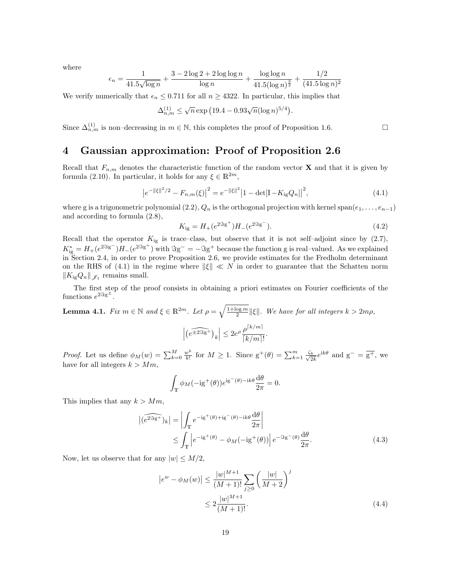where

$$
\epsilon_n = \frac{1}{41.5\sqrt{\log n}} + \frac{3 - 2\log 2 + 2\log \log n}{\log n} + \frac{\log \log n}{41.5(\log n)^{\frac{3}{2}}} + \frac{1/2}{(41.5\log n)^2}
$$

We verify numerically that  $\epsilon_n \leq 0.711$  for all  $n \geq 4322$ . In particular, this implies that

$$
\Delta_{n,m}^{(1)} \le \sqrt{n} \exp\left(19.4 - 0.93\sqrt{n}(\log n)^{5/4}\right).
$$

Since  $\Delta_{n,m}^{(1)}$  is non–decreasing in  $m \in \mathbb{N}$ , this completes the proof of Proposition [1.6.](#page-4-0)

## <span id="page-18-0"></span>4 Gaussian approximation: Proof of Proposition [2.6](#page-9-3)

Recall that  $F_{n,m}$  denotes the characteristic function of the random vector **X** and that it is given by formula [\(2.10\)](#page-7-5). In particular, it holds for any  $\xi \in \mathbb{R}^{2m}$ ,

<span id="page-18-2"></span>
$$
\left|e^{-\|\xi\|^2/2} - F_{n,m}(\xi)\right|^2 = e^{-\|\xi\|^2} \left|1 - \det[I - K_{\rm ig}Q_n]\right|^2,\tag{4.1}
$$

where g is a trigonometric polynomial [\(2.2\)](#page-5-1),  $Q_n$  is the orthogonal projection with kernel span $(e_1, \ldots, e_{n-1})$ and according to formula [\(2.8\)](#page-6-3),

<span id="page-18-5"></span>
$$
K_{\rm ig} = H_+(e^{2\Im g^+})H_-(e^{2\Im g^-}).\tag{4.2}
$$

Recall that the operator  $K_{ig}$  is trace–class, but observe that it is not self–adjoint since by  $(2.7)$ ,  $K_{ig}^* = H_+(e^{2\Im g^-})H_-(e^{2\Im g^+})$  with  $\Im g^- = -\Im g^+$  because the function g is real-valued. As we explained in Section [2.4,](#page-9-0) in order to prove Proposition [2.6,](#page-9-3) we provide estimates for the Fredholm determinant on the RHS of [\(4.1\)](#page-18-2) in the regime where  $\|\xi\| \ll N$  in order to guarantee that the Schatten norm  $||K_{ig}Q_n||_{\mathscr{J}_1}$  remains small.

The first step of the proof consists in obtaining a priori estimates on Fourier coefficients of the functions  $e^{2\Im g^{\pm}}$ .

<span id="page-18-1"></span>**Lemma 4.1.** Fix  $m \in \mathbb{N}$  and  $\xi \in \mathbb{R}^{2m}$ . Let  $\rho = \sqrt{\frac{1+\log m}{2}} ||\xi||$ . We have for all integers  $k > 2m\rho$ ,  $\left(\widehat{e^{\pm 2\Im g^+}}\right)_k \Big| \leq 2e^{\rho} \frac{\rho^{\lceil k/m \rceil}}{\lceil k/m \rceil}$  $\frac{P}{\lceil k/m \rceil!}$ .

*Proof.* Let us define  $\phi_M(w) = \sum_{k=0}^M \frac{w^k}{k!}$  $\frac{w^k}{k!}$  for  $M \geq 1$ . Since  $g^+(\theta) = \sum_{k=1}^m \frac{\zeta_k}{\sqrt{2}}$  $\frac{1}{2k}e^{ik\theta}$  and  $g^{-} = \overline{g^{+}}$ , we have for all integers  $k > Mm$ ,

<span id="page-18-3"></span>
$$
\int_{\mathbb{T}} \phi_M(-ig^+(\theta))e^{ig^-(\theta)-ik\theta}\frac{d\theta}{2\pi} = 0.
$$

This implies that any  $k > Mm$ ,

$$
\begin{aligned} \left| \widehat{(e^{2\Im g^{-+}})}_k \right| &= \left| \int_{\mathbb{T}} e^{-ig^+(\theta) + ig^-(\theta) - ik\theta} \frac{d\theta}{2\pi} \right| \\ &\leq \int_{\mathbb{T}} \left| e^{-ig^+(\theta)} - \phi_M(-ig^+(\theta)) \right| e^{-\Im g^-(\theta)} \frac{d\theta}{2\pi} . \end{aligned} \tag{4.3}
$$

Now, let us observe that for any  $|w| \leq M/2$ ,

<span id="page-18-4"></span>
$$
|e^{w} - \phi_M(w)| \le \frac{|w|^{M+1}}{(M+1)!} \sum_{j \ge 0} \left(\frac{|w|}{M+2}\right)^j
$$
  

$$
\le 2 \frac{|w|^{M+1}}{(M+1)!}.
$$
 (4.4)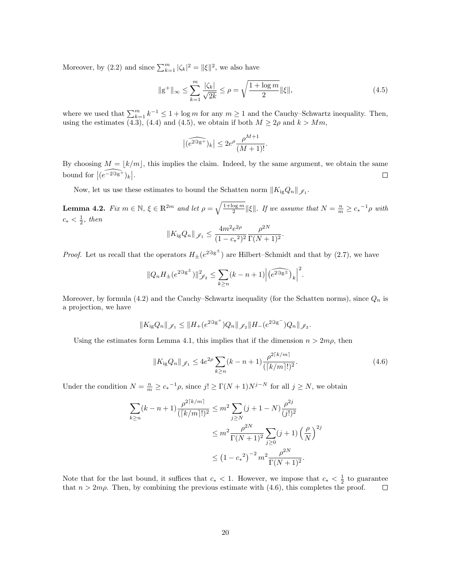Moreover, by [\(2.2\)](#page-5-1) and since  $\sum_{k=1}^{m} |\zeta_k|^2 = ||\xi||^2$ , we also have

<span id="page-19-0"></span>
$$
\|g^+\|_{\infty} \le \sum_{k=1}^m \frac{|\zeta_k|}{\sqrt{2k}} \le \rho = \sqrt{\frac{1 + \log m}{2}} \|\xi\|,\tag{4.5}
$$

where we used that  $\sum_{k=1}^{m} k^{-1} \leq 1 + \log m$  for any  $m \geq 1$  and the Cauchy–Schwartz inequality. Then, using the estimates [\(4.3\)](#page-18-3), [\(4.4\)](#page-18-4) and [\(4.5\)](#page-19-0), we obtain if both  $M \geq 2\rho$  and  $k > Mm$ ,

$$
\big|\widehat{(e^{2\Im g^+})_k}\big|\leq 2e^\rho\frac{\rho^{M+1}}{(M+1)!}.
$$

By choosing  $M = |k/m|$ , this implies the claim. Indeed, by the same argument, we obtain the same bound for  $\left| \widehat{(e^{-2\Im g^+})_k} \right|.$  $\Box$ 

Now, let us use these estimates to bound the Schatten norm  $||K_{ig}Q_n||_{\mathscr{J}_1}$ .

<span id="page-19-2"></span>**Lemma 4.2.** Fix  $m \in \mathbb{N}$ ,  $\xi \in \mathbb{R}^{2m}$  and let  $\rho = \sqrt{\frac{1+\log m}{2}} ||\xi||$ . If we assume that  $N = \frac{n}{m} \ge c_*^{-1} \rho$  with  $c_* < \frac{1}{2}$ , then

$$
||K_{\rm ig}Q_n||_{\mathscr{J}_1} \le \frac{4m^2e^{2\rho}}{(1-c_*)^2} \frac{\rho^{2N}}{\Gamma(N+1)^2}.
$$

*Proof.* Let us recall that the operators  $H_{\pm}(e^{2\Im g^{\pm}})$  are Hilbert–Schmidt and that by [\(2.7\)](#page-6-4), we have

$$
||Q_nH_{\pm}(e^{2\Im g^{\pm}})||_{\mathscr{J}_2}^2 \leq \sum_{k\geq n} (k-n+1) \Big| \widehat{\left(e^{2\Im g^{\pm}}\right)}_k \Big|^2.
$$

Moreover, by formula [\(4.2\)](#page-18-5) and the Cauchy–Schwartz inequality (for the Schatten norms), since  $Q_n$  is a projection, we have

$$
||K_{\rm ig}Q_n||_{\mathscr{J}_1} \le ||H_+(e^{2\Im g^+})Q_n||_{\mathscr{J}_2} ||H_-(e^{2\Im g^-})Q_n||_{\mathscr{J}_2}.
$$

Using the estimates form Lemma [4.1,](#page-18-1) this implies that if the dimension  $n > 2m\rho$ , then

<span id="page-19-1"></span>
$$
||K_{\rm ig}Q_n||_{\mathscr{J}_1} \le 4e^{2\rho} \sum_{k \ge n} (k - n + 1) \frac{\rho^{2\lceil k/m \rceil}}{(\lceil k/m \rceil!)^2}.
$$
 (4.6)

Under the condition  $N = \frac{n}{m} \ge c_*^{-1} \rho$ , since  $j! \ge \Gamma(N+1)N^{j-N}$  for all  $j \ge N$ , we obtain

$$
\sum_{k\geq n} (k - n + 1) \frac{\rho^{2\lceil k/m \rceil}}{(\lceil k/m \rceil!)^2} \leq m^2 \sum_{j\geq N} (j + 1 - N) \frac{\rho^{2j}}{(j!)^2}
$$
  

$$
\leq m^2 \frac{\rho^{2N}}{\Gamma(N+1)^2} \sum_{j\geq 0} (j + 1) \left(\frac{\rho}{N}\right)^{2j}
$$
  

$$
\leq \left(1 - c_*^2\right)^{-2} m^2 \frac{\rho^{2N}}{\Gamma(N+1)^2}.
$$

Note that for the last bound, it suffices that  $c_* < 1$ . However, we impose that  $c_* < \frac{1}{2}$  to guarantee that  $n > 2m\rho$ . Then, by combining the previous estimate with [\(4.6\)](#page-19-1), this completes the proof.  $\Box$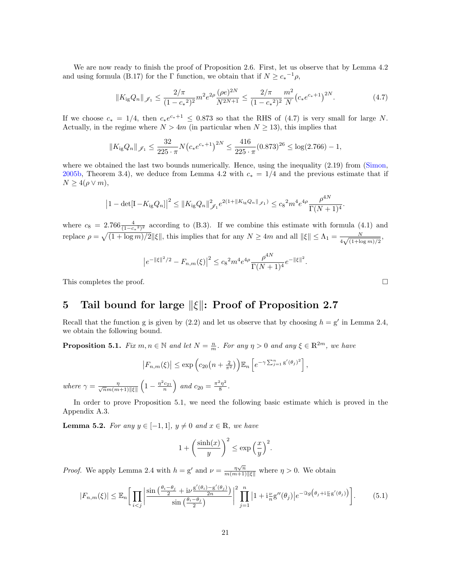We are now ready to finish the proof of Proposition [2.6.](#page-9-3) First, let us observe that by Lemma [4.2](#page-19-2) and using formula [\(B.17\)](#page-42-0) for the  $\Gamma$  function, we obtain that if  $N \geq c_*^{-1}\rho$ ,

<span id="page-20-2"></span>
$$
||K_{\rm ig}Q_n||_{\mathscr{J}_1} \le \frac{2/\pi}{(1 - c_*^2)^2} m^2 e^{2\rho} \frac{(\rho e)^{2N}}{N^{2N+1}} \le \frac{2/\pi}{(1 - c_*^2)^2} \frac{m^2}{N} \left(c_* e^{c_*+1}\right)^{2N}.
$$
 (4.7)

If we choose  $c_* = 1/4$ , then  $c_* e^{c_*+1} \le 0.873$  so that the RHS of [\(4.7\)](#page-20-2) is very small for large N. Actually, in the regime where  $N > 4m$  (in particular when  $N \ge 13$ ), this implies that

$$
||K_{\rm ig}Q_n||_{\mathscr{J}_1} \le \frac{32}{225 \cdot \pi} N \big(c_* e^{c_*+1}\big)^{2N} \le \frac{416}{225 \cdot \pi} (0.873)^{26} \le \log(2.766) - 1,
$$

where we obtained the last two bounds numerically. Hence, using the inequality  $(2.19)$  from [\(Simon,](#page-46-10) [2005b,](#page-46-10) Theorem 3.4), we deduce from Lemma [4.2](#page-19-2) with  $c_* = 1/4$  and the previous estimate that if  $N \geq 4(\rho \vee m),$ 

$$
\left|1-\det[\mathbf{I}-K_{\rm ig}Q_n]\right|^2 \leq \|K_{\rm ig}Q_n\|_{\mathscr{J}_1}^2 e^{2(1+\|K_{\rm ig}Q_n\|_{\mathscr{J}_1})} \leq c_8^2 m^4 e^{4\rho} \frac{\rho^{4N}}{\Gamma(N+1)^4}.
$$

where  $c_8 = 2.766 \frac{4}{(1-c_*)^2}$  according to [\(B.3\)](#page-39-2). If we combine this estimate with formula [\(4.1\)](#page-18-2) and replace  $\rho = \sqrt{(1 + \log m)/2} ||\xi||$ , this implies that for any  $N \ge 4m$  and all  $||\xi|| \le \Lambda_1 = \frac{N}{4\sqrt{(1 + \log m)}}$  $\frac{N}{4\sqrt{(1+\log m)/2}}$ 

$$
\left|e^{-\|\xi\|^2/2} - F_{n,m}(\xi)\right|^2 \le c_8^2 m^4 e^{4\rho} \frac{\rho^{4N}}{\Gamma(N+1)^4} e^{-\|\xi\|^2}.
$$

This completes the proof.  $\square$ 

## <span id="page-20-1"></span>5 Tail bound for large  $\|\xi\|$ : Proof of Proposition [2.7](#page-10-5)

Recall that the function g is given by  $(2.2)$  and let us observe that by choosing  $h = g'$  in Lemma [2.4,](#page-7-3) we obtain the following bound.

<span id="page-20-0"></span>**Proposition 5.1.** Fix  $m, n \in \mathbb{N}$  and let  $N = \frac{n}{m}$ . For any  $\eta > 0$  and any  $\xi \in \mathbb{R}^{2m}$ , we have

$$
\left|F_{n,m}(\xi)\right| \leq \exp\left(c_{20}\left(n+\frac{2}{\pi^2}\right)\right) \mathbb{E}_n\left[e^{-\gamma \sum_{j=1}^n g'(\theta_j)^2}\right],
$$

where  $\gamma = \frac{\eta}{\sqrt{2m(m)}}$  $\frac{\eta}{\overline{n}m(m+1)\|\xi\|}\left(1-\frac{\eta^2c_{21}}{n}\right)$  and  $c_{20}=\frac{\pi^2\eta^2}{8}$  $rac{\eta}{8}$ .

In order to prove Proposition [5.1,](#page-20-0) we need the following basic estimate which is proved in the Appendix [A.3.](#page-37-1)

<span id="page-20-3"></span>**Lemma 5.2.** For any  $y \in [-1, 1]$ ,  $y \neq 0$  and  $x \in \mathbb{R}$ , we have

$$
1 + \left(\frac{\sinh(x)}{y}\right)^2 \le \exp\left(\frac{x}{y}\right)^2.
$$

*Proof.* We apply Lemma [2.4](#page-7-3) with  $h = g'$  and  $\nu = \frac{\eta \sqrt{n}}{m(m+1) \|\xi\|}$  where  $\eta > 0$ . We obtain

<span id="page-20-4"></span>
$$
|F_{n,m}(\xi)| \leq \mathbb{E}_n \left[ \prod_{i < j} \left| \frac{\sin\left(\frac{\theta_i - \theta_j}{2} + i\nu \frac{g'(\theta_i) - g'(\theta_j)}{2n}\right)}{\sin\left(\frac{\theta_i - \theta_j}{2}\right)} \right|^2 \prod_{j=1}^n \left| 1 + i\frac{\nu}{n} g''(\theta_j) \right| e^{-\Im g\left(\theta_j + i\frac{\nu}{n} g'(\theta_j)\right)} \right]. \tag{5.1}
$$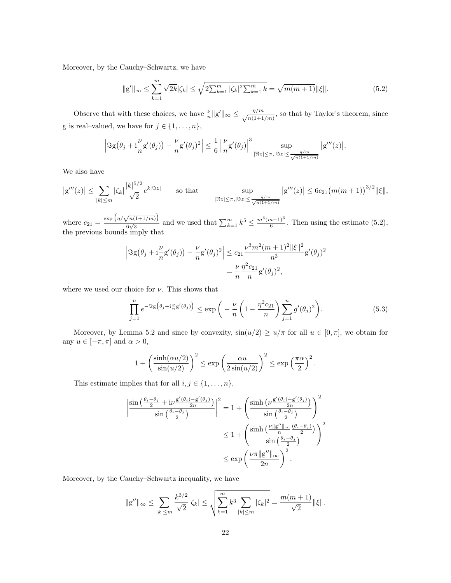Moreover, by the Cauchy–Schwartz, we have

<span id="page-21-0"></span>
$$
\|g'\|_{\infty} \le \sum_{k=1}^{m} \sqrt{2k} |\zeta_k| \le \sqrt{2 \sum_{k=1}^{m} |\zeta_k|^2 \sum_{k=1}^{m} k} = \sqrt{m(m+1)} \|\xi\|.
$$
 (5.2)

Observe that with these choices, we have  $\frac{\nu}{n} ||g'||_{\infty} \leq \frac{\eta/m}{\sqrt{n(1+1)}}$  $\frac{\eta/m}{n(1+1/m)}$ , so that by Taylor's theorem, since g is real–valued, we have for  $j \in \{1, \ldots, n\}$ ,

$$
\left|\Im g(\theta_j+i\frac{\nu}{n}g'(\theta_j))-\frac{\nu}{n}g'(\theta_j)^2\right|\leq\frac{1}{6}\left|\frac{\nu}{n}g'(\theta_j)\right|^3\sup_{|\Re z|\leq\pi,|\Im z|\leq\frac{\eta/m}{\sqrt{n(1+1/m)}}}|g'''(z)|.
$$

We also have

$$
|g'''(z)| \leq \sum_{|k| \leq m} |\zeta_k| \frac{|k|^{5/2}}{\sqrt{2}} e^{k|\Im z|} \qquad \text{so that} \qquad \sup_{|\Re z| \leq \pi, |\Im z| \leq \frac{\eta/m}{\sqrt{n(1+1/m)}}} |g'''(z)| \leq 6c_{21} (m(m+1))^{3/2} \|\xi\|,
$$

where  $c_{21} = \frac{\exp \left( \frac{\eta}{\sqrt{n(1+1/m)}} \right)}{6\sqrt{3}}$  $\frac{\binom{n(1+1/m)}{6\sqrt{3}}}{\binom{6}{3}}$  and we used that  $\sum_{k=1}^{m} k^5 \le \frac{m^3(m+1)^3}{6}$  $\frac{n+1}{6}$ . Then using the estimate  $(5.2)$ , the previous bounds imply that

$$
\left| \Im g(\theta_j + i\frac{\nu}{n} g'(\theta_j)) - \frac{\nu}{n} g'(\theta_j)^2 \right| \le c_{21} \frac{\nu^3 m^2 (m+1)^2 ||\xi||^2}{n^3} g'(\theta_j)^2
$$
  
=  $\frac{\nu}{n} \frac{\eta^2 c_{21}}{n} g'(\theta_j)^2$ ,

where we used our choice for  $\nu$ . This shows that

<span id="page-21-1"></span>
$$
\prod_{j=1}^{n} e^{-\Im g\left(\theta_j + i\frac{\nu}{n}g'(\theta_j)\right)} \le \exp\left(-\frac{\nu}{n}\left(1 - \frac{\eta^2 c_{21}}{n}\right)\sum_{j=1}^{n}g'(\theta_j)^2\right).
$$
\n(5.3)

Moreover, by Lemma [5.2](#page-20-3) and since by convexity,  $sin(u/2) \ge u/\pi$  for all  $u \in [0, \pi]$ , we obtain for any  $u\in[-\pi,\pi]$  and  $\alpha>0,$ 

$$
1 + \left(\frac{\sinh(\alpha u/2)}{\sin(u/2)}\right)^2 \le \exp\left(\frac{\alpha u}{2\sin(u/2)}\right)^2 \le \exp\left(\frac{\pi\alpha}{2}\right)^2.
$$

This estimate implies that for all  $i, j \in \{1, \ldots, n\}$ ,

$$
\left| \frac{\sin\left(\frac{\theta_i - \theta_j}{2} + i\nu \frac{g'(\theta_i) - g'(\theta_j)}{2n}\right)}{\sin\left(\frac{\theta_i - \theta_j}{2}\right)} \right|^2 = 1 + \left( \frac{\sinh\left(\nu \frac{g'(\theta_i) - g'(\theta_j)}{2n}\right)}{\sin\left(\frac{\theta_i - \theta_j}{2}\right)} \right)^2
$$
  

$$
\leq 1 + \left( \frac{\sinh\left(\frac{\nu || g'' ||_{\infty}}{n} \frac{(\theta_i - \theta_j)}{2}\right)}{\sin\left(\frac{\theta_i - \theta_j}{2}\right)} \right)^2
$$
  

$$
\leq \exp\left(\frac{\nu \pi || g'' ||_{\infty}}{2n}\right)^2.
$$

Moreover, by the Cauchy–Schwartz inequality, we have

$$
||g''||_{\infty} \le \sum_{|k| \le m} \frac{k^{3/2}}{\sqrt{2}} |\zeta_k| \le \sqrt{\sum_{k=1}^m k^3 \sum_{|k| \le m} |\zeta_k|^2} = \frac{m(m+1)}{\sqrt{2}} ||\xi||.
$$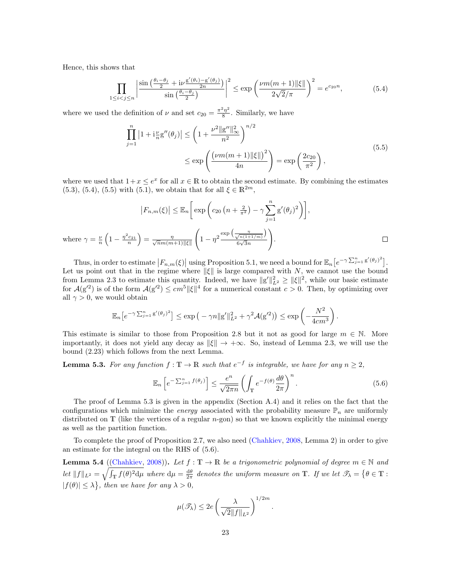Hence, this shows that

<span id="page-22-2"></span>
$$
\prod_{1 \le i < j \le n} \left| \frac{\sin\left(\frac{\theta_i - \theta_j}{2} + i\nu \frac{g'(\theta_i) - g'(\theta_j)}{2n}\right)}{\sin\left(\frac{\theta_i - \theta_j}{2}\right)} \right|^2 \le \exp\left(\frac{\nu m(m+1) \|\xi\|}{2\sqrt{2}/\pi}\right)^2 = e^{c_{20}n},\tag{5.4}
$$

where we used the definition of  $\nu$  and set  $c_{20} = \frac{\pi^2 \eta^2}{8}$  $\frac{\eta}{8}$ . Similarly, we have

<span id="page-22-3"></span>
$$
\prod_{j=1}^{n} |1 + i_n^{\nu} g''(\theta_j)| \le \left(1 + \frac{\nu^2 \|g''\|_{\infty}^2}{n^2}\right)^{n/2} \le \exp\left(\frac{(\nu m(m+1) \|\xi\|)^2}{4n}\right) = \exp\left(\frac{2c_{20}}{\pi^2}\right),\tag{5.5}
$$

where we used that  $1+x \leq e^x$  for all  $x \in \mathbb{R}$  to obtain the second estimate. By combining the estimates [\(5.3\)](#page-21-1), [\(5.4\)](#page-22-2), [\(5.5\)](#page-22-3) with [\(5.1\)](#page-20-4), we obtain that for all  $\xi \in \mathbb{R}^{2m}$ ,

$$
\left|F_{n,m}(\xi)\right| \leq \mathbb{E}_n\left[\exp\left(c_{20}\left(n+\frac{2}{\pi^2}\right)-\gamma\sum_{j=1}^n g'(\theta_j)^2\right)\right],
$$
  
where  $\gamma = \frac{\nu}{n}\left(1-\frac{\eta^2c_{21}}{n}\right) = \frac{\eta}{\sqrt{n}m(m+1)\|\xi\|}\left(1-\eta^2\frac{\exp\left(\frac{\eta}{\sqrt{n(1+\frac{1}{\eta})}}\right)}{6\sqrt{3}n}\right).$ 

Thus, in order to estimate  $|F_{n,m}(\xi)|$  using Proposition [5.1,](#page-20-0) we need a bound for  $\mathbb{E}_n[e^{-\gamma \sum_{j=1}^n g'(\theta_j)^2}]$ . Let us point out that in the regime where  $\|\xi\|$  is large compared with N, we cannot use the bound from Lemma [2.3](#page-7-2) to estimate this quantity. Indeed, we have  $||g'||_{L^2}^2 \ge ||\xi||^2$ , while our basic estimate for  $\mathcal{A}(g'^2)$  is of the form  $\mathcal{A}(g'^2) \le cm^5 ||\xi||^4$  for a numerical constant  $c > 0$ . Then, by optimizing over all  $\gamma > 0$ , we would obtain

$$
\mathbb{E}_n\big[e^{-\gamma \sum_{j=1}^n g'(\theta_j)^2}\big] \leq \exp\big(-\gamma n \|g'\|_{L^2}^2 + \gamma^2 \mathcal{A}(g'^2)\big) \leq \exp\left(-\frac{N^2}{4cm^3}\right).
$$

This estimate is similar to those from Proposition [2.8](#page-11-1) but it not as good for large  $m \in \mathbb{N}$ . More importantly, it does not yield any decay as  $\|\xi\| \to +\infty$ . So, instead of Lemma [2.3,](#page-7-2) we will use the bound [\(2.23\)](#page-10-2) which follows from the next Lemma.

<span id="page-22-0"></span>**Lemma 5.3.** For any function  $f: \mathbb{T} \to \mathbb{R}$  such that  $e^{-f}$  is integrable, we have for any  $n \geq 2$ ,

<span id="page-22-4"></span>
$$
\mathbb{E}_n\left[e^{-\sum_{j=1}^n f(\theta_j)}\right] \le \frac{e^n}{\sqrt{2\pi n}} \left(\int_{\mathbb{T}} e^{-f(\theta)} \frac{d\theta}{2\pi}\right)^n.
$$
\n(5.6)

The proof of Lemma [5.3](#page-22-0) is given in the appendix (Section [A.4\)](#page-38-0) and it relies on the fact that the configurations which minimize the *energy* associated with the probability measure  $\mathbb{P}_n$  are uniformly distributed on  $T$  (like the vertices of a regular *n*-gon) so that we known explicitly the minimal energy as well as the partition function.

To complete the proof of Proposition [2.7,](#page-10-5) we also need [\(Chahkiev,](#page-45-9) [2008,](#page-45-9) Lemma 2) in order to give an estimate for the integral on the RHS of [\(5.6\)](#page-22-4).

<span id="page-22-1"></span>**Lemma 5.4** ([\(Chahkiev,](#page-45-9) [2008\)](#page-45-9)). Let  $f : \mathbb{T} \to \mathbb{R}$  be a trigonometric polynomial of degree  $m \in \mathbb{N}$  and Let  $||f||_{L^2} = \sqrt{\int_{\mathbb{T}} f(\theta)^2 d\mu}$  where  $d\mu = \frac{d\theta}{2\pi}$  denotes the uniform measure on T. If we let  $\mathcal{T}_\lambda = \{ \theta \in \mathbb{T} :$  $|f(\theta)| \leq \lambda$ , then we have for any  $\lambda > 0$ ,

$$
\mu(\mathscr{T}_{\lambda}) \leq 2e \left( \frac{\lambda}{\sqrt{2} \| f \|_{L^2}} \right)^{1/2m}.
$$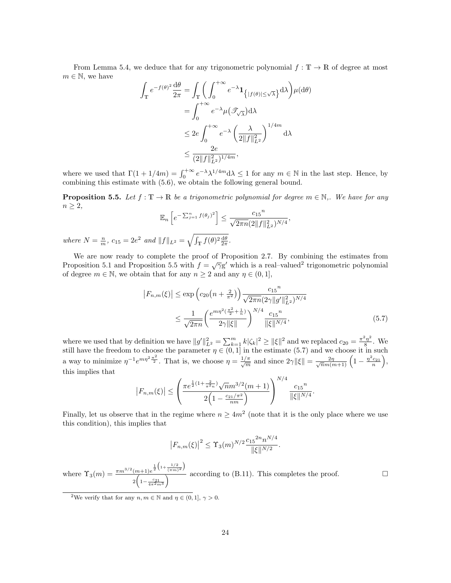From Lemma [5.4,](#page-22-1) we deduce that for any trigonometric polynomial  $f : \mathbb{T} \to \mathbb{R}$  of degree at most  $m \in \mathbb{N}$ , we have

$$
\int_{\mathbb{T}} e^{-f(\theta)^2} \frac{d\theta}{2\pi} = \int_{\mathbb{T}} \left( \int_0^{+\infty} e^{-\lambda} \mathbf{1}_{\{|f(\theta)| \le \sqrt{\lambda}\}} d\lambda \right) \mu(d\theta)
$$

$$
= \int_0^{+\infty} e^{-\lambda} \mu(\mathcal{T}_\sqrt{\lambda}) d\lambda
$$

$$
\le 2e \int_0^{+\infty} e^{-\lambda} \left( \frac{\lambda}{2\|f\|_{L^2}^2} \right)^{1/4m} d\lambda
$$

$$
\le \frac{2e}{(2\|f\|_{L^2}^2)^{1/4m}},
$$

where we used that  $\Gamma(1+1/4m) = \int_0^{+\infty} e^{-\lambda} \lambda^{1/4m} d\lambda \leq 1$  for any  $m \in \mathbb{N}$  in the last step. Hence, by combining this estimate with [\(5.6\)](#page-22-4), we obtain the following general bound.

<span id="page-23-0"></span>**Proposition 5.5.** Let  $f : \mathbb{T} \to \mathbb{R}$  be a trigonometric polynomial for degree  $m \in \mathbb{N}$ ,. We have for any  $n \geq 2$ ,

$$
\mathbb{E}_n\left[e^{-\sum_{j=1}^n f(\theta_j)^2}\right] \le \frac{c_{15}^n}{\sqrt{2\pi n}(2\|f\|_{L^2}^2)^{N/4}},
$$

where  $N = \frac{n}{m}$ ,  $c_{15} = 2e^2$  and  $||f||_{L^2} = \sqrt{\int_{\mathbb{T}} f(\theta)^2 \frac{d\theta}{2\pi}}$ .

We are now ready to complete the proof of Proposition [2.7.](#page-10-5) By combining the estimates from Proposition [5.1](#page-20-0) and Proposition [5.5](#page-23-0) with  $f = \sqrt{\gamma}g'$  which is a real–valued<sup>[2](#page-23-1)</sup> trigonometric polynomial of degree  $m \in \mathbb{N}$ , we obtain that for any  $n \geq 2$  and any  $\eta \in (0, 1]$ ,

<span id="page-23-2"></span>
$$
\left|F_{n,m}(\xi)\right| \le \exp\left(c_{20}\left(n+\frac{2}{\pi^2}\right)\right) \frac{c_{15}^n}{\sqrt{2\pi n} (2\gamma \|g'\|_{L^2}^2)^{N/4}} \le \frac{1}{\sqrt{2\pi n}} \left(\frac{e^{m\eta^2(\frac{\pi^2}{2}+\frac{1}{n})}}{2\gamma \|\xi\|}\right)^{N/4} \frac{c_{15}^n}{\|\xi\|^{N/4}},\tag{5.7}
$$

where we used that by definition we have  $||g'||_{L^2}^2 = \sum_{k=1}^m k |\zeta_k|^2 \ge ||\xi||^2$  and we replaced  $c_{20} = \frac{\pi^2 \eta^2}{8}$  $\frac{5\eta^2}{8}$ . We still have the freedom to choose the parameter  $\eta \in (0,1]$  in the estimate [\(5.7\)](#page-23-2) and we choose it in such a way to minimize  $\eta^{-1}e^{mn^2\frac{\pi^2}{2}}$ . That is, we choose  $\eta = \frac{1/\pi}{\sqrt{m}}$  and since  $2\gamma \|\xi\| = \frac{2\eta}{\sqrt{n}m(m+1)}\left(1 - \frac{\eta^2 c_{21}}{n}\right)$ , this implies that

$$
|F_{n,m}(\xi)| \leq \left(\frac{\pi e^{\frac{1}{2}(1+\frac{2}{\pi^2 n})}\sqrt{n}m^{3/2}(m+1)}{2\left(1-\frac{c_{21}/\pi^2}{nm}\right)}\right)^{N/4} \frac{c_{15}^n}{\|\xi\|^{N/4}}.
$$

Finally, let us observe that in the regime where  $n \geq 4m^2$  (note that it is the only place where we use this condition), this implies that

$$
|F_{n,m}(\xi)|^2 \leq \Upsilon_3(m)^{N/2} \frac{c_{15}^{2n} n^{N/4}}{\|\xi\|^{N/2}}.
$$

where  $\Upsilon_3(m) = \frac{\pi m^{3/2} (m+1) e^{\frac{1}{2} \left(1 + \frac{1/2}{(\pi m)^2}\right)}}{\sqrt{m}}$  $\frac{(m+1)e^{2\sqrt{-(m+1)e^{2\sqrt{-(m+1)}}}}}{2\left(1-\frac{c_{21}}{4\pi^{2}m^{3}}\right)}$  according to [\(B.11\)](#page-40-4). This completes the proof.

<span id="page-23-1"></span><sup>2</sup>We verify that for any  $n, m \in \mathbb{N}$  and  $\eta \in (0, 1], \gamma > 0$ .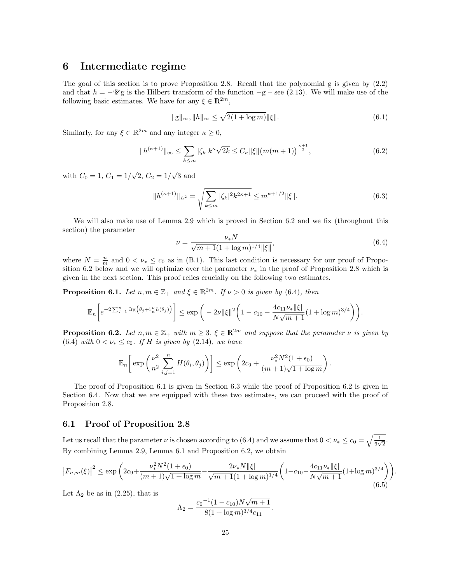## <span id="page-24-0"></span>6 Intermediate regime

The goal of this section is to prove Proposition [2.8.](#page-11-1) Recall that the polynomial g is given by [\(2.2\)](#page-5-1) and that  $h = -\mathscr{U}$ g is the Hilbert transform of the function  $-g$  – see [\(2.13\)](#page-8-0). We will make use of the following basic estimates. We have for any  $\xi \in \mathbb{R}^{2m}$ ,

<span id="page-24-5"></span>
$$
\|g\|_{\infty}, \|h\|_{\infty} \le \sqrt{2(1 + \log m)} \|\xi\|.
$$
\n(6.1)

Similarly, for any  $\xi \in \mathbb{R}^{2m}$  and any integer  $\kappa \geq 0$ ,

$$
||h^{(\kappa+1)}||_{\infty} \le \sum_{k \le m} |\zeta_k| k^{\kappa} \sqrt{2k} \le C_{\kappa} ||\xi|| \big(m(m+1)\big)^{\frac{\kappa+1}{2}},\tag{6.2}
$$

with  $C_0 = 1, C_1 = 1/$ √  $2, C_2 = 1/$ √ 3 and

<span id="page-24-6"></span>
$$
||h^{(\kappa+1)}||_{L^2} = \sqrt{\sum_{k \le m} |\zeta_k|^2 k^{2\kappa+1}} \le m^{\kappa+1/2} ||\xi||. \tag{6.3}
$$

We will also make use of Lemma [2.9](#page-11-2) which is proved in Section [6.2](#page-25-0) and we fix (throughout this section) the parameter

<span id="page-24-3"></span>
$$
\nu = \frac{\nu_* N}{\sqrt{m+1}(1+\log m)^{1/4} \|\xi\|},\tag{6.4}
$$

where  $N = \frac{n}{m}$  and  $0 < \nu_* \leq c_0$  as in [\(B.1\)](#page-39-3). This last condition is necessary for our proof of Propo-sition [6.2](#page-24-2) below and we will optimize over the parameter  $\nu_*$  in the proof of Proposition [2.8](#page-11-1) which is given in the next section. This proof relies crucially on the following two estimates.

<span id="page-24-1"></span>**Proposition 6.1.** Let  $n, m \in \mathbb{Z}_+$  and  $\xi \in \mathbb{R}^{2m}$ . If  $\nu > 0$  is given by [\(6.4\)](#page-24-3), then

$$
\mathbb{E}_n\bigg[e^{-2\sum_{j=1}^n\Im g\big(\theta_j+i_n^zh(\theta_j)\big)}\bigg]\leq \exp\bigg(-2\nu\|\xi\|^2\bigg(1-c_{10}-\frac{4c_{11}\nu_*\|\xi\|}{N\sqrt{m+1}}(1+\log m)^{3/4}\bigg)\bigg).
$$

<span id="page-24-2"></span>**Proposition 6.2.** Let  $n, m \in \mathbb{Z}_+$  with  $m \geq 3$ ,  $\xi \in \mathbb{R}^{2m}$  and suppose that the parameter  $\nu$  is given by [\(6.4\)](#page-24-3) with  $0 < \nu_* \leq c_0$ . If H is given by [\(2.14\)](#page-8-1), we have

$$
\mathbb{E}_n\bigg[\exp\bigg(\frac{\nu^2}{n^2}\sum_{i,j=1}^n H(\theta_i,\theta_j)\bigg)\bigg] \leq \exp\bigg(2c_9 + \frac{\nu_*^2N^2(1+\epsilon_0)}{(m+1)\sqrt{1+\log m}}\bigg).
$$

The proof of Proposition [6.1](#page-24-1) is given in Section [6.3](#page-26-0) while the proof of Proposition [6.2](#page-24-2) is given in Section [6.4.](#page-27-0) Now that we are equipped with these two estimates, we can proceed with the proof of Proposition [2.8.](#page-11-1)

#### 6.1 Proof of Proposition [2.8](#page-11-1)

Let us recall that the parameter  $\nu$  is chosen according to [\(6.4\)](#page-24-3) and we assume that  $0 < \nu_* \le c_0 = \sqrt{\frac{1}{6\sqrt{2}}}$ . By combining Lemma [2.9,](#page-11-2) Lemma [6.1](#page-24-1) and Proposition [6.2,](#page-24-2) we obtain

<span id="page-24-4"></span>
$$
\left|F_{n,m}(\xi)\right|^2 \le \exp\left(2c_9 + \frac{\nu_*^2 N^2 (1+\epsilon_0)}{(m+1)\sqrt{1+\log m}} - \frac{2\nu_* N \|\xi\|}{\sqrt{m+1}(1+\log m)^{1/4}} \left(1-c_{10} - \frac{4c_{11}\nu_* \|\xi\|}{N\sqrt{m+1}} (1+\log m)^{3/4}\right)\right).
$$
\n
$$
(6.5)
$$

Let  $\Lambda_2$  be as in [\(2.25\)](#page-11-4), that is

$$
\Lambda_2 = \frac{c_0^{-1} (1 - c_{10}) N \sqrt{m+1}}{8 (1 + \log m)^{3/4} c_{11}}.
$$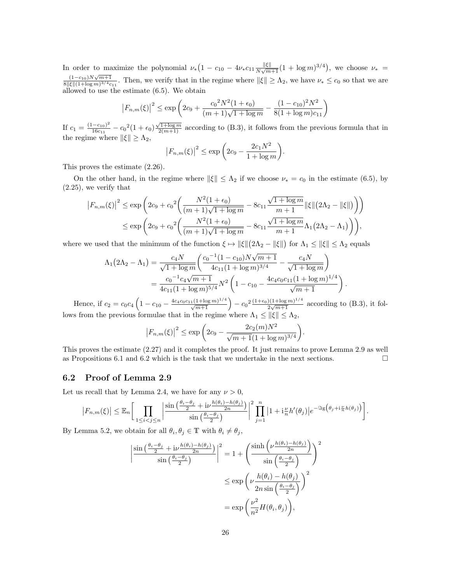In order to maximize the polynomial  $\nu_*(1 - c_{10} - 4\nu_*c_{11}\frac{\|\xi\|}{N\sqrt{m}})$  $\frac{\|\xi\|}{N\sqrt{m+1}}(1+\log m)^{3/4}),$  we choose  $\nu_* =$  $(1-c_{10})N\sqrt{m+1}$  $\frac{(1-c_{10})N\sqrt{m+1}}{8\|\xi\|(1+\log m)^{3/4}c_{11}}$ . Then, we verify that in the regime where  $\|\xi\|\geq \Lambda_2$ , we have  $\nu_* \leq c_0$  so that we are allowed to use the estimate [\(6.5\)](#page-24-4). We obtain

$$
|F_{n,m}(\xi)|^2 \le \exp\left(2c_9 + \frac{c_0^2 N^2 (1+\epsilon_0)}{(m+1)\sqrt{1+\log m}} - \frac{(1-c_{10})^2 N^2}{8(1+\log m)c_{11}}\right)
$$

If  $c_1 = \frac{(1-c_{10})^2}{16c_{11}}$  $\frac{(-c_{10})^2}{16c_{11}} - c_0^2(1+\epsilon_0)\frac{\sqrt{1+\log m}}{2(m+1)}$  according to [\(B.3\)](#page-39-2), it follows from the previous formula that in the regime where  $\|\xi\| \geq \Lambda_2$ ,

$$
|F_{n,m}(\xi)|^2 \le \exp\left(2c_9 - \frac{2c_1N^2}{1 + \log m}\right).
$$

This proves the estimate [\(2.26\)](#page-11-5).

On the other hand, in the regime where  $\|\xi\| \leq \Lambda_2$  if we choose  $\nu_* = c_0$  in the estimate [\(6.5\)](#page-24-4), by [\(2.25\)](#page-11-4), we verify that

$$
|F_{n,m}(\xi)|^2 \le \exp\left(2c_9 + c_0^2 \left(\frac{N^2(1+\epsilon_0)}{(m+1)\sqrt{1+\log m}} - 8c_{11}\frac{\sqrt{1+\log m}}{m+1} ||\xi|| (2\Lambda_2 - ||\xi||)\right)\right)
$$
  

$$
\le \exp\left(2c_9 + c_0^2 \left(\frac{N^2(1+\epsilon_0)}{(m+1)\sqrt{1+\log m}} - 8c_{11}\frac{\sqrt{1+\log m}}{m+1}\Lambda_1(2\Lambda_2 - \Lambda_1)\right)\right),
$$

where we used that the minimum of the function  $\xi \mapsto ||\xi|| (2\Lambda_2 - ||\xi||)$  for  $\Lambda_1 \le ||\xi|| \le \Lambda_2$  equals

$$
\Lambda_1(2\Lambda_2 - \Lambda_1) = \frac{c_4 N}{\sqrt{1 + \log m}} \left( \frac{c_0^{-1} (1 - c_{10}) N \sqrt{m+1}}{4c_{11} (1 + \log m)^{3/4}} - \frac{c_4 N}{\sqrt{1 + \log m}} \right)
$$
  
= 
$$
\frac{c_0^{-1} c_4 \sqrt{m+1}}{4c_{11} (1 + \log m)^{5/4}} N^2 \left( 1 - c_{10} - \frac{4c_4 c_0 c_{11} (1 + \log m)^{1/4}}{\sqrt{m+1}} \right).
$$

Hence, if  $c_2 = c_0 c_4 \left( 1 - c_{10} - \frac{4 c_4 c_0 c_{11} (1 + \log m)^{1/4}}{\sqrt{m+1}} \right) - c_0^2 \frac{(1 + \epsilon_0)(1 + \log m)^{1/4}}{2\sqrt{m+1}}$  $\frac{2(1+\log m)^{2/3}}{2\sqrt{m+1}}$  according to [\(B.3\)](#page-39-2), it follows from the previous formulae that in the regime where  $\Lambda_1 \leq ||\xi|| \leq \Lambda_2$ ,

$$
|F_{n,m}(\xi)|^2 \le \exp\left(2c_9 - \frac{2c_2(m)N^2}{\sqrt{m+1}(1+\log m)^{3/4}}\right).
$$

This proves the estimate [\(2.27\)](#page-11-6) and it completes the proof. It just remains to prove Lemma [2.9](#page-11-2) as well as Propositions [6.1](#page-24-1) and [6.2](#page-24-2) which is the task that we undertake in the next sections.  $\Box$ 

#### <span id="page-25-0"></span>6.2 Proof of Lemma [2.9](#page-11-2)

Let us recall that by Lemma [2.4,](#page-7-3) we have for any  $\nu > 0$ ,

$$
|F_{n,m}(\xi)| \leq \mathbb{E}_n \bigg[ \prod_{1 \leq i < j \leq n} \bigg| \frac{\sin \big( \frac{\theta_i - \theta_j}{2} + i \nu \frac{h(\theta_i) - h(\theta_j)}{2n} \big)}{\sin \big( \frac{\theta_i - \theta_j}{2} \big)} \bigg|^2 \prod_{j=1}^n \big| 1 + i \frac{\nu}{n} h'(\theta_j) \big| e^{-\Im \xi \big( \theta_j + i \frac{\nu}{n} h(\theta_j) \big)} \bigg].
$$

By Lemma [5.2,](#page-20-3) we obtain for all  $\theta_i, \theta_j \in \mathbb{T}$  with  $\theta_i \neq \theta_j$ ,

$$
\left| \frac{\sin\left(\frac{\theta_i - \theta_j}{2} + i\nu \frac{h(\theta_i) - h(\theta_j)}{2n}\right)}{\sin\left(\frac{\theta_i - \theta_j}{2}\right)} \right|^2 = 1 + \left( \frac{\sinh\left(\nu \frac{h(\theta_i) - h(\theta_j)}{2n}\right)}{\sin\left(\frac{\theta_i - \theta_j}{2}\right)} \right)^2
$$

$$
\leq \exp\left(\nu \frac{h(\theta_i) - h(\theta_j)}{2n \sin\left(\frac{\theta_i - \theta_j}{2}\right)}\right)^2
$$

$$
= \exp\left(\frac{\nu^2}{n^2} H(\theta_i, \theta_j)\right),
$$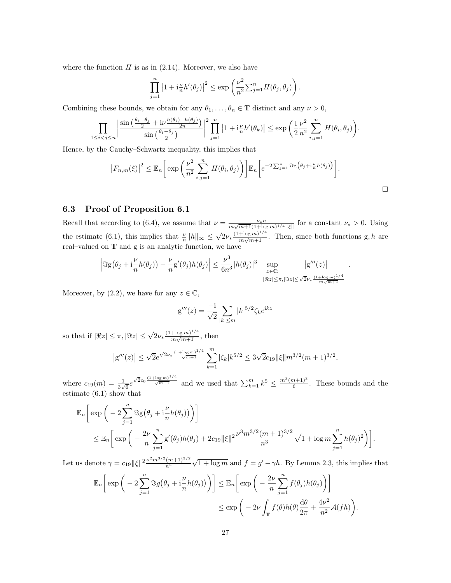where the function  $H$  is as in  $(2.14)$ . Moreover, we also have

$$
\prod_{j=1}^n \left|1 + \mathrm{i} \frac{\nu}{n} h'(\theta_j)\right|^2 \leq \exp\left(\frac{\nu^2}{n^2} \sum_{j=1}^n H(\theta_j, \theta_j)\right).
$$

Combining these bounds, we obtain for any  $\theta_1, \ldots, \theta_n \in \mathbb{T}$  distinct and any  $\nu > 0$ ,

$$
\prod_{1 \leq i < j \leq n} \left| \frac{\sin \left( \frac{\theta_i - \theta_j}{2} + i \nu \frac{h(\theta_i) - h(\theta_j)}{2n} \right)}{\sin \left( \frac{\theta_i - \theta_j}{2} \right)} \right|^2 \prod_{j=1}^n \left| 1 + i \frac{\nu}{n} h'(\theta_k) \right| \leq \exp \left( \frac{1}{2} \frac{\nu^2}{n^2} \sum_{i,j=1}^n H(\theta_i, \theta_j) \right).
$$

Hence, by the Cauchy–Schwartz inequality, this implies that

$$
\left|F_{n,m}(\xi)\right|^2 \leq \mathbb{E}_n\bigg[\exp\bigg(\frac{\nu^2}{n^2}\sum_{i,j=1}^n H(\theta_i,\theta_j)\bigg)\bigg]\mathbb{E}_n\bigg[e^{-2\sum_{j=1}^n\Im g\big(\theta_j+i\frac{\nu}{n}h(\theta_j)\big)}\bigg].
$$

#### <span id="page-26-0"></span>6.3 Proof of Proposition [6.1](#page-24-1)

Recall that according to [\(6.4\)](#page-24-3), we assume that  $\nu = \frac{\nu_* n}{m \sqrt{m+1} (1 + \log m)^{1/4} ||\xi||}$  for a constant  $\nu_* > 0$ . Using the estimate [\(6.1\)](#page-24-5), this implies that  $\frac{\nu}{n} ||h||_{\infty} \leq$ √  $2\nu_* \frac{(1+\log m)^{1/4}}{m \sqrt{m+1}}$  $\frac{(\pm \log m)^n}{m\sqrt{m+1}}$ . Then, since both functions g, h are real–valued on T and g is an analytic function, we have

$$
\left|\Im g(\theta_j+i\frac{\nu}{n}h(\theta_j))-\frac{\nu}{n}g'(\theta_j)h(\theta_j)\right|\leq \frac{\nu^3}{6n^3}|h(\theta_j)|^3\sup_{\substack{z\in\mathbb{C}:\\|\Re z|\leq \pi,|\Im z|\leq \sqrt{2}\nu_*}\frac{|\mathrm{g}'''(z)|}{\frac{m\sqrt{m+1}}{m\sqrt{m+1}}}}.
$$

Moreover, by  $(2.2)$ , we have for any  $z \in \mathbb{C}$ ,

$$
g'''(z) = \frac{-i}{\sqrt{2}} \sum_{|k| \le m} |k|^{5/2} \zeta_k e^{ikz}
$$

so that if  $|\Re z| \leq \pi$ ,  $|\Im z| \leq \sqrt{2}\nu_* \frac{(1+\log m)^{1/4}}{m \sqrt{m+1}}$  $\frac{+ \log m}{m \sqrt{m+1}}$ , then

$$
|g'''(z)| \le \sqrt{2}e^{\sqrt{2}\nu_* \frac{(1+\log m)^{1/4}}{\sqrt{m+1}}} \sum_{k=1}^m |\zeta_k| k^{5/2} \le 3\sqrt{2}c_{19} ||\xi|| m^{3/2} (m+1)^{3/2},
$$

where  $c_{19}(m) = \frac{1}{3\sqrt{6}}e$  $\sqrt{2}c_0 \frac{(1+\log m)^{1/4}}{\sqrt{m+1}}$  and we used that  $\sum_{k=1}^m k^5 \le \frac{m^3(m+1)^3}{6}$  $\frac{n+1}{6}$ . These bounds and the estimate [\(6.1\)](#page-24-5) show that

$$
\mathbb{E}_n \bigg[ \exp \bigg( -2 \sum_{j=1}^n \Im g \big( \theta_j + i \frac{\nu}{n} h(\theta_j) \big) \bigg) \bigg] \n\leq \mathbb{E}_n \bigg[ \exp \bigg( -\frac{2\nu}{n} \sum_{j=1}^n g'(\theta_j) h(\theta_j) + 2c_{19} ||\xi||^2 \frac{\nu^3 m^{3/2} (m+1)^{3/2}}{n^3} \sqrt{1 + \log m} \sum_{j=1}^n h(\theta_j)^2 \bigg) \bigg].
$$

Let us denote  $\gamma = c_{19} ||\xi||^2 \frac{\nu^2 m^{3/2} (m+1)^{3/2}}{n^2}$  $\overline{n^2}$  $\sqrt{1 + \log m}$  and  $f = g' - \gamma h$ . By Lemma [2.3,](#page-7-2) this implies that

$$
\mathbb{E}_n\bigg[\exp\bigg(-2\sum_{j=1}^n \Im g(\theta_j + i\frac{\nu}{n}h(\theta_j))\bigg)\bigg] \leq \mathbb{E}_n\bigg[\exp\bigg(-\frac{2\nu}{n}\sum_{j=1}^n f(\theta_j)h(\theta_j)\bigg)\bigg]
$$
  

$$
\leq \exp\bigg(-2\nu\int_{\mathbb{T}} f(\theta)h(\theta)\frac{d\theta}{2\pi} + \frac{4\nu^2}{n^2}\mathcal{A}(fh)\bigg).
$$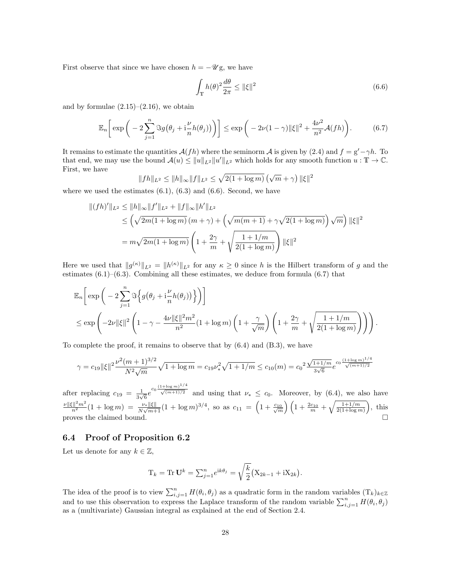First observe that since we have chosen  $h = -\mathscr{U}$ g, we have

<span id="page-27-1"></span>
$$
\int_{\mathbb{T}} h(\theta)^2 \frac{d\theta}{2\pi} \le \|\xi\|^2 \tag{6.6}
$$

and by formulae  $(2.15)$ – $(2.16)$ , we obtain

<span id="page-27-2"></span>
$$
\mathbb{E}_n\bigg[\exp\bigg(-2\sum_{j=1}^n\Im g\big(\theta_j+i\frac{\nu}{n}h(\theta_j)\big)\bigg)\bigg]\leq \exp\bigg(-2\nu(1-\gamma)\|\xi\|^2+\frac{4\nu^2}{n^2}\mathcal{A}(fh)\bigg). \tag{6.7}
$$

It remains to estimate the quantities  $A(fh)$  where the seminorm A is given by [\(2.4\)](#page-5-3) and  $f = g' - \gamma h$ . To that end, we may use the bound  $\mathcal{A}(u) \le ||u||_{L^2} ||u'||_{L^2}$  which holds for any smooth function  $u : \mathbb{T} \to \mathbb{C}$ . First, we have

$$
||fh||_{L^2} \le ||h||_{\infty} ||f||_{L^2} \le \sqrt{2(1 + \log m)} \left(\sqrt{m} + \gamma\right) ||\xi||^2
$$

where we used the estimates  $(6.1)$ ,  $(6.3)$  and  $(6.6)$ . Second, we have

$$
\begin{aligned} ||(fh)'||_{L^2} &\le ||h||_{\infty} ||f'||_{L^2} + ||f||_{\infty} ||h'||_{L^2} \\ &\le \left(\sqrt{2m(1+\log m)} \left(m+\gamma\right) + \left(\sqrt{m(m+1)} + \gamma \sqrt{2(1+\log m)}\right) \sqrt{m}\right) ||\xi||^2 \\ &= m\sqrt{2m(1+\log m)} \left(1 + \frac{2\gamma}{m} + \sqrt{\frac{1+1/m}{2(1+\log m)}}\right) ||\xi||^2 \end{aligned}
$$

Here we used that  $||g^{(\kappa)}||_{L^2} = ||h^{(\kappa)}||_{L^2}$  for any  $\kappa \geq 0$  since h is the Hilbert transform of g and the estimates  $(6.1)$ – $(6.3)$ . Combining all these estimates, we deduce from formula  $(6.7)$  that

$$
\mathbb{E}_n\bigg[\exp\bigg(-2\sum_{j=1}^n\Im\bigg\{g\big(\theta_j+i\frac{\nu}{n}h(\theta_j)\big)\bigg\}\bigg)\bigg]
$$
  
\$\leq\$ exp
$$
\bigg(-2\nu\|\xi\|^2\left(1-\gamma-\frac{4\nu\|\xi\|^2m^2}{n^2}(1+\log m)\left(1+\frac{\gamma}{\sqrt{m}}\right)\left(1+\frac{2\gamma}{m}+\sqrt{\frac{1+1/m}{2(1+\log m)}}\right)\bigg)\bigg].
$$

To complete the proof, it remains to observe that by  $(6.4)$  and  $(B.3)$ , we have

$$
\gamma = c_{19} \|\xi\|^2 \frac{\nu^2 (m+1)^{3/2}}{N^2 \sqrt{m}} \sqrt{1 + \log m} = c_{19} \nu_*^2 \sqrt{1 + 1/m} \le c_{10}(m) = c_0^2 \frac{\sqrt{1 + 1/m}}{3\sqrt{6}} e^{c_0 \frac{(1 + \log m)^{1/4}}{\sqrt{(m+1)/2}}}
$$

after replacing  $c_{19} = \frac{1}{3}$  $\frac{1}{3\sqrt{6}}e^{c_0\frac{(1+\log m)^{1/4}}{\sqrt{(m+1)/2}}}$  and using that  $\nu_* \leq c_0$ . Moreover, by [\(6.4\)](#page-24-3), we also have  $\frac{\nu \|\xi\|^2 m^2}{n^2}(1 + \log m) = \frac{\nu_* \|\xi\|}{N\sqrt{m+1}}(1 + \log m)^{3/4}$ , so as  $c_{11} = \left(1 + \frac{c_{10}}{\sqrt{m}}\right)\left(1 + \frac{2c_{10}}{m} + \sqrt{\frac{1+1/m}{2(1+\log m)}}\right)$ , this proves the claimed bound.  $\Box$ 

## <span id="page-27-0"></span>6.4 Proof of Proposition [6.2](#page-24-2)

Let us denote for any  $k \in \mathbb{Z}$ ,

$$
T_k = \text{Tr } \mathbf{U}^k = \sum_{j=1}^n e^{ik\theta_j} = \sqrt{\frac{k}{2}} (X_{2k-1} + iX_{2k}).
$$

The idea of the proof is to view  $\sum_{i,j=1}^n H(\theta_i, \theta_j)$  as a quadratic form in the random variables  $(T_k)_{k \in \mathbb{Z}}$ and to use this observation to express the Laplace transform of the random variable  $\sum_{i,j=1}^{n} H(\theta_i, \theta_j)$ as a (multivariate) Gaussian integral as explained at the end of Section [2.4.](#page-9-0)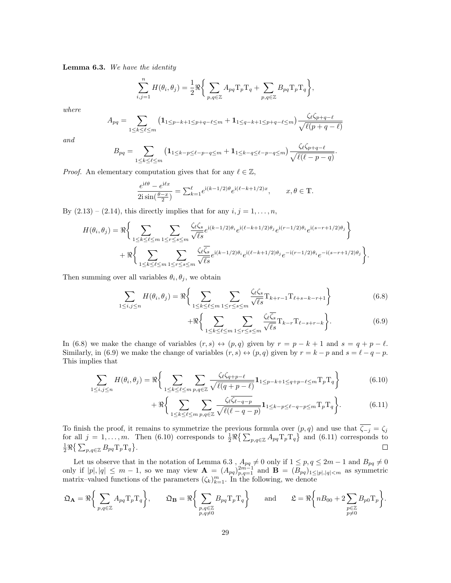<span id="page-28-0"></span>Lemma 6.3. We have the identity

$$
\sum_{i,j=1}^n H(\theta_i, \theta_j) = \frac{1}{2} \Re \bigg\{ \sum_{p,q \in \mathbb{Z}} A_{pq} T_p T_q + \sum_{p,q \in \mathbb{Z}} B_{pq} T_p T_q \bigg\},\,
$$

where

$$
A_{pq} = \sum_{1 \le k \le \ell \le m} (1_{1 \le p-k+1 \le p+q-\ell \le m} + 1_{1 \le q-k+1 \le p+q-\ell \le m}) \frac{\zeta_{\ell} \zeta_{p+q-\ell}}{\sqrt{\ell(p+q-\ell)}}
$$

and

$$
B_{pq} = \sum_{1 \leq k \leq \ell \leq m} \left( \mathbf{1}_{1 \leq k-p \leq \ell-p-q \leq m} + \mathbf{1}_{1 \leq k-q \leq \ell-p-q \leq m} \right) \frac{\zeta_{\ell} \zeta_{p+q-\ell}}{\sqrt{\ell(\ell-p-q)}}.
$$

*Proof.* An elementary computation gives that for any  $\ell \in \mathbb{Z}$ ,

$$
\frac{e^{i\ell\theta} - e^{i\ell x}}{2i\sin(\frac{\theta - x}{2})} = \sum_{k=1}^{\ell} e^{i(k-1/2)\theta} e^{i(\ell - k + 1/2)x}, \qquad x, \theta \in \mathbb{T}.
$$

By  $(2.13) - (2.14)$  $(2.13) - (2.14)$ , this directly implies that for any  $i, j = 1, \ldots, n$ ,

$$
H(\theta_i, \theta_j) = \Re \Bigg\{ \sum_{1 \leq k \leq \ell \leq m} \sum_{1 \leq r \leq s \leq m} \frac{\zeta_{\ell} \zeta_s}{\sqrt{\ell s}} e^{i(k-1/2)\theta_i} e^{i(\ell-k+1/2)\theta_j} e^{i(r-1/2)\theta_i} e^{i(s-r+1/2)\theta_j} \Bigg\} + \Re \Bigg\{ \sum_{1 \leq k \leq \ell \leq m} \sum_{1 \leq r \leq s \leq m} \frac{\zeta_{\ell} \zeta_s}{\sqrt{\ell s}} e^{i(k-1/2)\theta_i} e^{i(\ell-k+1/2)\theta_j} e^{-i(r-1/2)\theta_i} e^{-i(s-r+1/2)\theta_j} \Bigg\}.
$$

Then summing over all variables  $\theta_i, \theta_j$ , we obtain

$$
\sum_{1 \le i,j \le n} H(\theta_i, \theta_j) = \Re \left\{ \sum_{1 \le k \le \ell \le m} \sum_{1 \le r \le s \le m} \frac{\zeta_\ell \zeta_s}{\sqrt{\ell s}} \mathcal{T}_{k+r-1} \mathcal{T}_{\ell+s-k-r+1} \right\}
$$
(6.8)

<span id="page-28-4"></span><span id="page-28-3"></span><span id="page-28-2"></span><span id="page-28-1"></span>
$$
+\Re\bigg\{\sum_{1\leq k\leq\ell\leq m}\sum_{1\leq r\leq s\leq m}\frac{\zeta_{\ell}\overline{\zeta_{s}}}{\sqrt{\ell s}}\mathcal{T}_{k-r}\mathcal{T}_{\ell-s+r-k}\bigg\}.\tag{6.9}
$$

In [\(6.8\)](#page-28-1) we make the change of variables  $(r, s) \leftrightarrow (p, q)$  given by  $r = p - k + 1$  and  $s = q + p - \ell$ . Similarly, in [\(6.9\)](#page-28-2) we make the change of variables  $(r, s) \leftrightarrow (p, q)$  given by  $r = k - p$  and  $s = \ell - q - p$ . This implies that

$$
\sum_{1 \leq i,j \leq n} H(\theta_i, \theta_j) = \Re \left\{ \sum_{1 \leq k \leq \ell \leq m} \sum_{p,q \in \mathbb{Z}} \frac{\zeta_{\ell} \zeta_{q+p-\ell}}{\sqrt{\ell(q+p-\ell)}} \mathbf{1}_{1 \leq p-k+1 \leq q+p-\ell \leq m} T_p T_q \right\}
$$
(6.10)

$$
+\Re\bigg\{\sum_{1\leq k\leq\ell\leq m}\sum_{p,q\in\mathbb{Z}}\frac{\zeta_{\ell}\overline{\zeta_{\ell-q-p}}}{\sqrt{\ell(\ell-q-p)}}\mathbf{1}_{1\leq k-p\leq\ell-q-p\leq m}\mathcal{T}_p\mathcal{T}_q\bigg\}.\tag{6.11}
$$

To finish the proof, it remains to symmetrize the previous formula over  $(p, q)$  and use that  $\zeta_{-j} = \zeta_j$ for all  $j = 1, \ldots, m$ . Then [\(6.10\)](#page-28-3) corresponds to  $\frac{1}{2} \Re \{\sum_{p,q \in \mathbb{Z}} A_{pq} T_p T_q \}$  and [\(6.11\)](#page-28-4) corresponds to  $\frac{1}{2} \Re \big\{ \sum_{p,q \in \mathbb{Z}} B_{pq} \mathrm{T}_p \mathrm{T}_q \big\}.$  $\Box$ 

Let us observe that in the notation of Lemma [6.3](#page-28-0),  $A_{pq}\neq 0$  only if  $1 \leq p, q \leq 2m-1$  and  $B_{pq}\neq 0$ only if  $|p|, |q| \leq m-1$ , so we may view  $\mathbf{A} = (A_{pq})_{p,q=1}^{2m-1}$  and  $\mathbf{B} = (B_{pq})_{1 \leq |p|, |q| < m}$  as symmetric matrix–valued functions of the parameters  $(\zeta_k)_{k=1}^m$ . In the following, we denote

$$
\mathfrak{Q}_{\mathbf{A}} = \Re \bigg\{ \sum_{p,q \in \mathbb{Z}} A_{pq} \mathrm{T}_p \mathrm{T}_q \bigg\}, \qquad \mathfrak{Q}_{\mathbf{B}} = \Re \bigg\{ \sum_{\substack{p,q \in \mathbb{Z} \\ p,q \neq 0}} B_{pq} \mathrm{T}_p \mathrm{T}_q \bigg\} \qquad \text{and} \qquad \mathfrak{L} = \Re \bigg\{ n B_{00} + 2 \sum_{\substack{p \in \mathbb{Z} \\ p \neq 0}} B_{p0} \mathrm{T}_p \bigg\}.
$$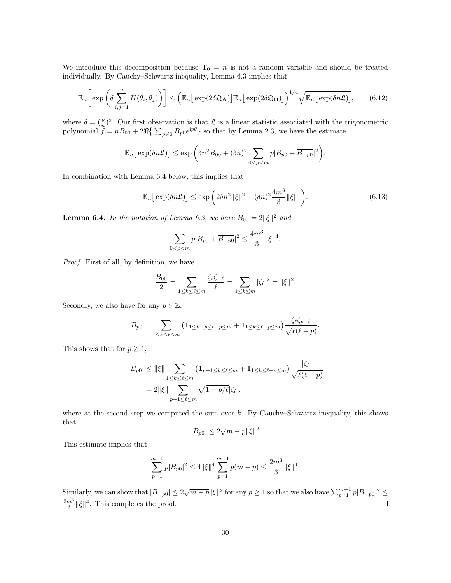We introduce this decomposition because  $T_0 = n$  is not a random variable and should be treated individually. By Cauchy–Schwartz inequality, Lemma [6.3](#page-28-0) implies that

<span id="page-29-1"></span>
$$
\mathbb{E}_n\bigg[\exp\bigg(\delta\sum_{i,j=1}^n H(\theta_i,\theta_j)\bigg)\bigg] \leq \bigg(\mathbb{E}_n\big[\exp(2\delta\mathfrak{Q}_{\mathbf{A}})\big]\mathbb{E}_n\big[\exp(2\delta\mathfrak{Q}_{\mathbf{B}})\big]\bigg)^{1/4}\sqrt{\mathbb{E}_n\big[\exp(\delta n\mathfrak{L})\big]},\qquad(6.12)
$$

where  $\delta = (\frac{\nu}{n})^2$ . Our first observation is that  $\mathfrak L$  is a linear statistic associated with the trigonometric polynomial  $\hat{f} = nB_{00} + 2\Re\{\sum_{p\neq 0} B_{p0}e^{ip\theta}\}\$  so that by Lemma [2.3,](#page-7-2) we have the estimate

$$
\mathbb{E}_n\big[\exp(\delta n\mathfrak{L})\big] \le \exp\bigg(\delta n^2 B_{00} + (\delta n)^2 \sum_{0 < p < m} p|B_{p0} + \overline{B_{-p0}}|^2\bigg).
$$

In combination with Lemma [6.4](#page-29-0) below, this implies that

<span id="page-29-2"></span>
$$
\mathbb{E}_n\big[\exp(\delta n\mathfrak{L})\big] \le \exp\bigg(2\delta n^2 \|\xi\|^2 + (\delta n)^2 \frac{4m^3}{3} \|\xi\|^4\bigg). \tag{6.13}
$$

<span id="page-29-0"></span>**Lemma 6.4.** In the notation of Lemma [6.3,](#page-28-0) we have  $B_{00} = 2 \|\xi\|^2$  and

$$
\sum_{0 < p < m} p|B_{p0} + \overline{B_{-p0}}|^2 \le \frac{4m^3}{3} \|\xi\|^4.
$$

Proof. First of all, by definition, we have

$$
\frac{B_{00}}{2} = \sum_{1 \le k \le \ell \le m} \frac{\zeta_{\ell} \zeta_{-\ell}}{\ell} = \sum_{1 \le k \le m} |\zeta_{\ell}|^2 = ||\xi||^2.
$$

Secondly, we also have for any  $p \in \mathbb{Z}$ ,

$$
B_{p0} = \sum_{1 \leq k \leq \ell \leq m} \left( \mathbf{1}_{1 \leq k-p \leq \ell-p \leq m} + \mathbf{1}_{1 \leq k \leq \ell-p \leq m} \right) \frac{\zeta_{\ell} \zeta_{p-\ell}}{\sqrt{\ell(\ell-p)}}.
$$

This shows that for  $p \geq 1$ ,

$$
|B_{p0}| \le ||\xi|| \sum_{1 \le k \le \ell \le m} (1_{p+1 \le k \le \ell \le m} + 1_{1 \le k \le \ell - p \le m}) \frac{|\zeta_{\ell}|}{\sqrt{\ell(\ell - p)}}
$$
  
= 2||\xi|| \sum\_{p+1 \le \ell \le m} \sqrt{1 - p/\ell} |\zeta\_{\ell}|,

where at the second step we computed the sum over  $k$ . By Cauchy–Schwartz inequality, this shows that √

$$
|B_{p0}|\leq 2\sqrt{m-p}\|\xi\|^2
$$

This estimate implies that

$$
\sum_{p=1}^{m-1} p|B_{p0}|^2 \le 4 \|\xi\|^4 \sum_{p=1}^{m-1} p(m-p) \le \frac{2m^3}{3} \|\xi\|^4.
$$

Similarly, we can show that  $|B_{-p0}| \le 2\sqrt{m-p} \|\xi\|^2$  for any  $p \ge 1$  so that we also have  $\sum_{p=1}^{m-1} p|B_{-p0}|^2 \le$  $\frac{2m^3}{3}$  || $\xi$ ||<sup>4</sup>. This completes the proof.  $\Box$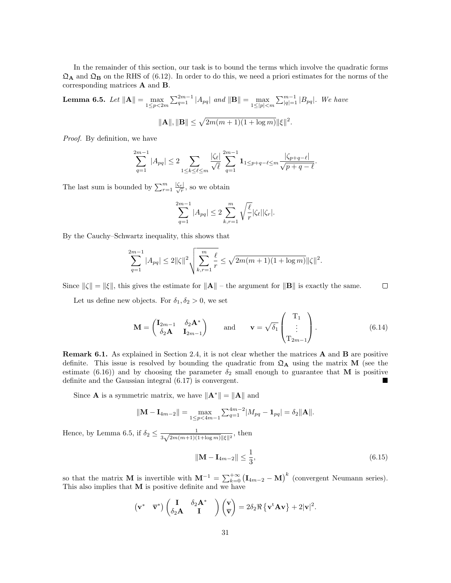In the remainder of this section, our task is to bound the terms which involve the quadratic forms  $\mathfrak{Q}_A$  and  $\mathfrak{Q}_B$  on the RHS of [\(6.12\)](#page-29-1). In order to do this, we need a priori estimates for the norms of the corresponding matrices A and B.

<span id="page-30-1"></span>**Lemma 6.5.** Let  $||\mathbf{A}|| = \max_{1 \leq p < 2m} \sum_{q=1}^{2m-1} |A_{pq}|$  and  $||\mathbf{B}|| = \max_{1 \leq |p| < m} \sum_{|q|=1}^{m-1} |B_{pq}|$ . We have

$$
\|\mathbf{A}\|, \|\mathbf{B}\| \le \sqrt{2m(m+1)(1+\log m)} \|\xi\|^2.
$$

Proof. By definition, we have

$$
\sum_{q=1}^{2m-1} |A_{pq}| \leq 2 \sum_{1 \leq k \leq \ell \leq m} \frac{|\zeta_{\ell}|}{\sqrt{\ell}} \sum_{q=1}^{2m-1} \mathbf{1}_{1 \leq p+q-\ell \leq m} \frac{|\zeta_{p+q-\ell}|}{\sqrt{p+q-\ell}}.
$$

The last sum is bounded by  $\sum_{r=1}^{m} \frac{|\zeta_r|}{\sqrt{r}}$ , so we obtain

$$
\sum_{q=1}^{2m-1} |A_{pq}| \le 2 \sum_{k,r=1}^m \sqrt{\frac{\ell}{r}} |\zeta_{\ell}| |\zeta_r|.
$$

By the Cauchy–Schwartz inequality, this shows that

$$
\sum_{q=1}^{2m-1} |A_{pq}| \le 2 \|\zeta\|^2 \sqrt{\sum_{k,r=1}^m \frac{\ell}{r}} \le \sqrt{2m(m+1)(1+\log m)} \|\zeta\|^2.
$$

Since  $\|\zeta\| = \|\zeta\|$ , this gives the estimate for  $\|\mathbf{A}\|$  – the argument for  $\|\mathbf{B}\|$  is exactly the same.  $\Box$ 

Let us define new objects. For  $\delta_1, \delta_2 > 0$ , we set

<span id="page-30-2"></span>
$$
\mathbf{M} = \begin{pmatrix} \mathbf{I}_{2m-1} & \delta_2 \mathbf{A}^* \\ \delta_2 \mathbf{A} & \mathbf{I}_{2m-1} \end{pmatrix} \quad \text{and} \quad \mathbf{v} = \sqrt{\delta_1} \begin{pmatrix} \mathbf{T}_1 \\ \vdots \\ \mathbf{T}_{2m-1} \end{pmatrix} . \tag{6.14}
$$

<span id="page-30-0"></span>Remark 6.1. As explained in Section [2.4,](#page-9-0) it is not clear whether the matrices A and B are positive definite. This issue is resolved by bounding the quadratic from  $\mathfrak{Q}_A$  using the matrix M (see the estimate [\(6.16\)](#page-31-0)) and by choosing the parameter  $\delta_2$  small enough to guarantee that M is positive definite and the Gaussian integral [\(6.17\)](#page-31-1) is convergent.

Since **A** is a symmetric matrix, we have  $\|\mathbf{A}^*\| = \|\mathbf{A}\|$  and

$$
\|\mathbf{M} - \mathbf{I}_{4m-2}\| = \max_{1 \le p < 4m-1} \sum_{q=1}^{4m-2} |M_{pq} - \mathbf{1}_{pq}| = \delta_2 \|\mathbf{A}\|.
$$

Hence, by Lemma [6.5,](#page-30-1) if  $\delta_2 \leq \frac{1}{2\sqrt{2m(m+1)(\epsilon)}}$  $\frac{1}{3\sqrt{2m(m+1)(1+\log m)}\|\xi\|^2}$ , then

<span id="page-30-3"></span>
$$
\|\mathbf{M} - \mathbf{I}_{4m-2}\| \le \frac{1}{3},\tag{6.15}
$$

so that the matrix **M** is invertible with  $\mathbf{M}^{-1} = \sum_{k=0}^{+\infty} (\mathbf{I}_{4m-2} - \mathbf{M})^k$  (convergent Neumann series). This also implies that  $M$  is positive definite and we have

$$
\begin{pmatrix} \mathbf{v}^* & \overline{\mathbf{v}}^* \end{pmatrix} \begin{pmatrix} \mathbf{I} & \delta_2 \mathbf{A}^* \\ \delta_2 \mathbf{A} & \mathbf{I} \end{pmatrix} \begin{pmatrix} \mathbf{v} \\ \overline{\mathbf{v}} \end{pmatrix} = 2\delta_2 \Re \left\{ \mathbf{v}^{\mathrm{t}} \mathbf{A} \mathbf{v} \right\} + 2|\mathbf{v}|^2.
$$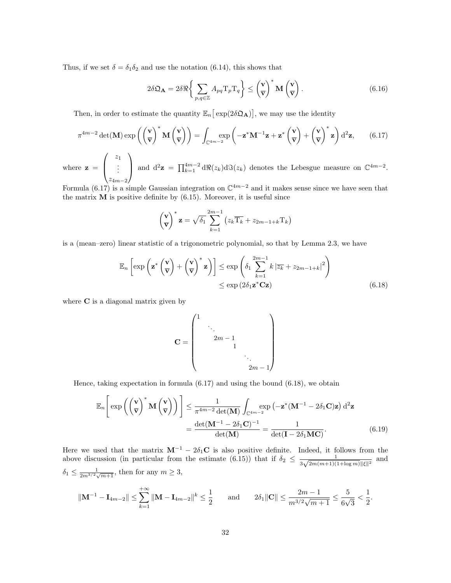Thus, if we set  $\delta = \delta_1 \delta_2$  and use the notation [\(6.14\)](#page-30-2), this shows that

<span id="page-31-0"></span>
$$
2\delta\mathfrak{Q}_{\mathbf{A}} = 2\delta\Re\bigg\{\sum_{p,q\in\mathbb{Z}} A_{pq} \mathrm{T}_p \mathrm{T}_q \bigg\} \leq \left(\frac{\mathbf{v}}{\mathbf{v}}\right)^* \mathbf{M} \left(\frac{\mathbf{v}}{\mathbf{v}}\right). \tag{6.16}
$$

Then, in order to estimate the quantity  $\mathbb{E}_n\left[\exp(2\delta\mathfrak{Q}_A)\right]$ , we may use the identity

<span id="page-31-1"></span>
$$
\pi^{4m-2} \det(\mathbf{M}) \exp\left(\left(\frac{\mathbf{v}}{\mathbf{v}}\right)^* \mathbf{M}\left(\frac{\mathbf{v}}{\mathbf{v}}\right)\right) = \int_{\mathbb{C}^{4m-2}} \exp\left(-\mathbf{z}^* \mathbf{M}^{-1} \mathbf{z} + \mathbf{z}^* \left(\frac{\mathbf{v}}{\mathbf{v}}\right) + \left(\frac{\mathbf{v}}{\mathbf{v}}\right)^* \mathbf{z}\right) d^2 \mathbf{z},\qquad(6.17)
$$

where  $z =$  $\sqrt{ }$  $\left\vert \right\vert$  $\overline{z}_1$ . . .  $z_{4m-2}$  $\setminus$ and  $d^2z = \prod_{k=1}^{4m-2} d\Re(z_k) d\Im(z_k)$  denotes the Lebesgue measure on  $\mathbb{C}^{4m-2}$ .

Formula [\(6.17\)](#page-31-1) is a simple Gaussian integration on  $\mathbb{C}^{4m-2}$  and it makes sense since we have seen that the matrix  $M$  is positive definite by  $(6.15)$ . Moreover, it is useful since

$$
\left(\frac{\mathbf{v}}{\mathbf{v}}\right)^{*} \mathbf{z} = \sqrt{\delta_1} \sum_{k=1}^{2m-1} \left(z_k \overline{T_k} + z_{2m-1+k} T_k\right)
$$

is a (mean–zero) linear statistic of a trigonometric polynomial, so that by Lemma [2.3,](#page-7-2) we have

$$
\mathbb{E}_n \left[ \exp \left( \mathbf{z}^* \left( \frac{\mathbf{v}}{\mathbf{v}} \right) + \left( \frac{\mathbf{v}}{\mathbf{v}} \right)^* \mathbf{z} \right) \right] \le \exp \left( \delta_1 \sum_{k=1}^{2m-1} k \left| \overline{z_k} + z_{2m-1+k} \right|^2 \right) \le \exp \left( 2 \delta_1 \mathbf{z}^* \mathbf{C} \mathbf{z} \right) \tag{6.18}
$$

where C is a diagonal matrix given by

<span id="page-31-3"></span><span id="page-31-2"></span>
$$
\mathbf{C} = \begin{pmatrix} 1 & & & & & \\ & \ddots & & & & \\ & & 2m - 1 & & & \\ & & & 1 & & \\ & & & & \ddots & \\ & & & & & 2m - 1 \end{pmatrix}
$$

Hence, taking expectation in formula [\(6.17\)](#page-31-1) and using the bound [\(6.18\)](#page-31-2), we obtain

$$
\mathbb{E}_n\left[\exp\left(\left(\frac{\mathbf{v}}{\mathbf{v}}\right)^* \mathbf{M}\left(\frac{\mathbf{v}}{\mathbf{v}}\right)\right)\right] \leq \frac{1}{\pi^{4m-2} \det(\mathbf{M})} \int_{\mathbb{C}^{4m-2}} \exp\left(-\mathbf{z}^* (\mathbf{M}^{-1} - 2\delta_1 \mathbf{C}) \mathbf{z}\right) d^2 \mathbf{z}
$$

$$
= \frac{\det(\mathbf{M}^{-1} - 2\delta_1 \mathbf{C})^{-1}}{\det(\mathbf{M})} = \frac{1}{\det(\mathbf{I} - 2\delta_1 \mathbf{M} \mathbf{C})}.
$$
(6.19)

Here we used that the matrix  $M^{-1} - 2\delta_1 C$  is also positive definite. Indeed, it follows from the above discussion (in particular from the estimate [\(6.15\)](#page-30-3)) that if  $\delta_2 \leq \frac{1}{2\sqrt{2\pi(1-\frac{1}{2})}}$  $\frac{1}{3\sqrt{2m(m+1)(1+\log m)}\|\xi\|^2}$  and  $\delta_1 \leq \frac{1}{2m^{3/2}\sqrt{m+1}}$ , then for any  $m \geq 3$ ,

$$
\|\mathbf{M}^{-1} - \mathbf{I}_{4m-2}\| \le \sum_{k=1}^{+\infty} \|\mathbf{M} - \mathbf{I}_{4m-2}\|^k \le \frac{1}{2} \quad \text{and} \quad 2\delta_1 \|\mathbf{C}\| \le \frac{2m-1}{m^{3/2}\sqrt{m+1}} \le \frac{5}{6\sqrt{3}} < \frac{1}{2}.
$$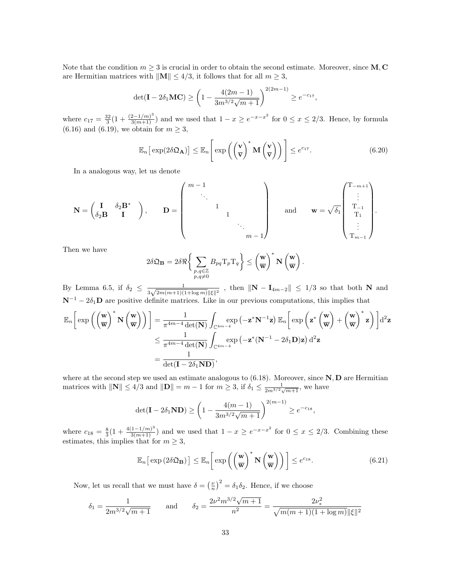Note that the condition  $m \geq 3$  is crucial in order to obtain the second estimate. Moreover, since M, C are Hermitian matrices with  $\|\mathbf{M}\| \leq 4/3$ , it follows that for all  $m \geq 3$ ,

$$
\det(\mathbf{I} - 2\delta_1 \mathbf{M} \mathbf{C}) \ge \left(1 - \frac{4(2m - 1)}{3m^{3/2}\sqrt{m+1}}\right)^{2(2m-1)} \ge e^{-c_{17}},
$$

where  $c_{17} = \frac{32}{3}(1 + \frac{(2-1/m)^3}{3(m+1)})$  and we used that  $1 - x \ge e^{-x-x^2}$  for  $0 \le x \le 2/3$ . Hence, by formula  $(6.16)$  and  $(6.19)$ , we obtain for  $m \geq 3$ ,

<span id="page-32-0"></span>
$$
\mathbb{E}_n\big[\exp(2\delta\mathfrak{Q}_{\mathbf{A}})\big] \leq \mathbb{E}_n\Bigg[\exp\left(\left(\frac{\mathbf{v}}{\mathbf{v}}\right)^* \mathbf{M}\left(\frac{\mathbf{v}}{\mathbf{v}}\right)\right)\Bigg] \leq e^{c_1 \tau}.\tag{6.20}
$$

In a analogous way, let us denote

$$
\mathbf{N} = \begin{pmatrix} \mathbf{I} & \delta_2 \mathbf{B}^* \\ \delta_2 \mathbf{B} & \mathbf{I} \end{pmatrix}, \qquad \mathbf{D} = \begin{pmatrix} m-1 & & & \\ & \ddots & & & \\ & & 1 & & \\ & & & 1 & \\ & & & & \ddots \\ & & & & & m-1 \end{pmatrix} \qquad \text{and} \qquad \mathbf{w} = \sqrt{\delta_1} \begin{pmatrix} T_{-m+1} \\ \vdots \\ T_{-1} \\ \vdots \\ T_{m-1} \end{pmatrix}.
$$

Then we have

$$
2\delta\mathfrak{Q}_{\mathbf{B}} = 2\delta\Re\bigg\{\sum_{\substack{p,q\in\mathbb{Z}\\p,q\neq 0}}B_{pq}\mathrm{T}_p\mathrm{T}_q\bigg\} \leq \left(\frac{\mathbf{w}}{\mathbf{w}}\right)^*\mathbf{N}\left(\frac{\mathbf{w}}{\mathbf{w}}\right).
$$

By Lemma [6.5,](#page-30-1) if  $\delta_2 \leq \frac{1}{2\sqrt{2m(m+1)(n+1)}}$  $\frac{1}{3\sqrt{2m(m+1)(1+\log m)}\|\xi\|^2}$ , then  $\|\mathbf{N}-\mathbf{I}_{4m-2}\|\leq 1/3$  so that both N and  $N^{-1} - 2\delta_1$ **D** are positive definite matrices. Like in our previous computations, this implies that

$$
\mathbb{E}_n\bigg[\exp\bigg(\bigg(\frac{\mathbf{w}}{\mathbf{w}}\bigg)^*\,\mathbf{N}\left(\frac{\mathbf{w}}{\mathbf{w}}\right)\bigg)\bigg] = \frac{1}{\pi^{4m-4}\det(\mathbf{N})}\int_{\mathbb{C}^{4m-4}} \exp\left(-\mathbf{z}^*\mathbf{N}^{-1}\mathbf{z}\right)\mathbb{E}_n\bigg[\exp\bigg(\mathbf{z}^*\left(\frac{\mathbf{w}}{\mathbf{w}}\right) + \left(\frac{\mathbf{w}}{\mathbf{w}}\right)^*\mathbf{z}\bigg)\bigg]d^2\mathbf{z}
$$
  

$$
\leq \frac{1}{\pi^{4m-4}\det(\mathbf{N})}\int_{\mathbb{C}^{4m-4}} \exp\left(-\mathbf{z}^*(\mathbf{N}^{-1} - 2\delta_1\mathbf{D})\mathbf{z}\right)d^2\mathbf{z}
$$
  

$$
= \frac{1}{\det(\mathbf{I} - 2\delta_1\mathbf{N}\mathbf{D})},
$$

where at the second step we used an estimate analogous to  $(6.18)$ . Moreover, since  $N, D$  are Hermitian matrices with  $\|\mathbf{N}\| \leq 4/3$  and  $\|\mathbf{D}\| = m - 1$  for  $m \geq 3$ , if  $\delta_1 \leq \frac{1}{2m^{3/2}\sqrt{m+1}}$ , we have

$$
\det(\mathbf{I} - 2\delta_1 \mathbf{ND}) \ge \left(1 - \frac{4(m-1)}{3m^{3/2}\sqrt{m+1}}\right)^{2(m-1)} \ge e^{-c_{18}},
$$

where  $c_{18} = \frac{8}{3}(1 + \frac{4(1-1/m)^3}{3(m+1)})$  and we used that  $1-x \ge e^{-x-x^2}$  for  $0 \le x \le 2/3$ . Combining these estimates, this implies that for  $m \geq 3$ ,

<span id="page-32-1"></span>
$$
\mathbb{E}_n\big[\exp\left(2\delta\mathfrak{Q}_{\mathbf{B}}\right)\big]\leq \mathbb{E}_n\bigg[\exp\left(\left(\frac{\mathbf{w}}{\mathbf{w}}\right)^*\mathbf{N}\left(\frac{\mathbf{w}}{\mathbf{w}}\right)\right)\bigg]\leq e^{c_1s}.\tag{6.21}
$$

Now, let us recall that we must have  $\delta = \left(\frac{\nu}{n}\right)^2 = \delta_1 \delta_2$ . Hence, if we choose

$$
\delta_1 = \frac{1}{2m^{3/2}\sqrt{m+1}} \quad \text{and} \quad \delta_2 = \frac{2\nu^2 m^{3/2}\sqrt{m+1}}{n^2} = \frac{2\nu_*^2}{\sqrt{m(m+1)(1+\log m)}\|\xi\|^2}
$$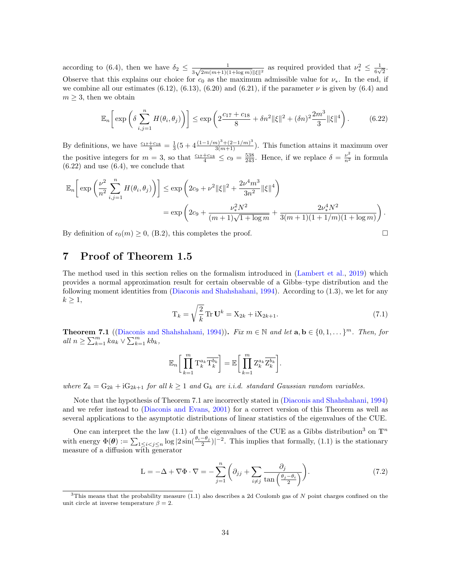according to [\(6.4\)](#page-24-3), then we have  $\delta_2 \leq \frac{1}{2\sqrt{2m(m+1)}\sqrt{n}}$  $\frac{1}{3\sqrt{2m(m+1)(1+\log m)}\|\xi\|^2}$  as required provided that  $\nu_*^2 \leq \frac{1}{6\nu^2}$  $\frac{1}{6\sqrt{2}}.$ Observe that this explains our choice for  $c_0$  as the maximum admissible value for  $\nu_*$ . In the end, if we combine all our estimates  $(6.12)$ ,  $(6.13)$ ,  $(6.20)$  and  $(6.21)$ , if the parameter  $\nu$  is given by  $(6.4)$  and  $m \geq 3$ , then we obtain

<span id="page-33-2"></span>
$$
\mathbb{E}_n\bigg[\exp\bigg(\delta \sum_{i,j=1}^n H(\theta_i, \theta_j)\bigg)\bigg] \le \exp\bigg(2\frac{c_{17} + c_{18}}{8} + \delta n^2 \|\xi\|^2 + (\delta n)^2 \frac{2m^3}{3} \|\xi\|^4\bigg). \tag{6.22}
$$

By definitions, we have  $\frac{c_{17}+c_{18}}{8}=\frac{1}{3}(5+4\frac{(1-1/m)^3+(2-1/m)^3}{3(m+1)})$ . This function attains it maximum over the positive integers for  $m = 3$ , so that  $\frac{c_{17} + c_{18}}{4} \leq c_9 = \frac{538}{243}$ . Hence, if we replace  $\delta = \frac{\nu^2}{n^2}$  in formula  $(6.22)$  and use  $(6.4)$ , we conclude that

$$
\mathbb{E}_n\bigg[\exp\bigg(\frac{\nu^2}{n^2}\sum_{i,j=1}^n H(\theta_i,\theta_j)\bigg)\bigg] \le \exp\bigg(2c_9 + \nu^2 \|\xi\|^2 + \frac{2\nu^4 m^3}{3n^2} \|\xi\|^4\bigg) \n= \exp\bigg(2c_9 + \frac{\nu_*^2 N^2}{(m+1)\sqrt{1+\log m}} + \frac{2\nu_*^4 N^2}{3(m+1)(1+1/m)(1+\log m)}\bigg)\,.
$$

By definition of  $\epsilon_0(m) \ge 0$ , [\(B.2\)](#page-39-4), this completes the proof.

## <span id="page-33-1"></span>7 Proof of Theorem [1.5](#page-3-1)

The method used in this section relies on the formalism introduced in [\(Lambert et al.,](#page-46-5) [2019\)](#page-46-5) which provides a normal approximation result for certain observable of a Gibbs–type distribution and the following moment identities from [\(Diaconis and Shahshahani,](#page-46-1) [1994\)](#page-46-1). According to [\(1.3\)](#page-1-3), we let for any  $k \geq 1$ ,

$$
T_k = \sqrt{\frac{2}{k}} \operatorname{Tr} \mathbf{U}^k = X_{2k} + iX_{2k+1}.
$$
 (7.1)

.

<span id="page-33-0"></span>**Theorem 7.1** ([\(Diaconis and Shahshahani,](#page-46-1) [1994\)](#page-46-1)). Fix  $m \in \mathbb{N}$  and let  $\mathbf{a}, \mathbf{b} \in \{0, 1, \dots\}^m$ . Then, for all  $n \geq \sum_{k=1}^m k a_k \vee \sum_{k=1}^m k b_k$ ,

$$
\mathbb{E}_n\bigg[\prod_{k=1}^m\mathrm{T}_k^{a_k}\overline{\mathrm{T}_k^{b_k}}\bigg]=\mathbb{E}\bigg[\prod_{k=1}^m\mathrm{Z}_k^{a_k}\overline{\mathrm{Z}_k^{b_k}}\bigg]
$$

where  $Z_k = G_{2k} + iG_{2k+1}$  for all  $k \ge 1$  and  $G_k$  are i.i.d. standard Gaussian random variables.

Note that the hypothesis of Theorem [7.1](#page-33-0) are incorrectly stated in [\(Diaconis and Shahshahani,](#page-46-1) [1994\)](#page-46-1) and we refer instead to [\(Diaconis and Evans,](#page-45-10) [2001\)](#page-45-10) for a correct version of this Theorem as well as several applications to the asymptotic distributions of linear statistics of the eigenvalues of the CUE.

One can interpret the the law [\(1.1\)](#page-0-0) of the eigenvalues of the CUE as a Gibbs distribution<sup>[3](#page-33-3)</sup> on  $\mathbb{T}^n$ with energy  $\Phi(\theta) := \sum_{1 \leq i < j \leq n} \log |2 \sin(\frac{\theta_i - \theta_j}{2})|^{-2}$ . This implies that formally, [\(1.1\)](#page-0-0) is the stationary measure of a diffusion with generator

<span id="page-33-4"></span>
$$
L = -\Delta + \nabla \Phi \cdot \nabla = -\sum_{j=1}^{n} \left( \partial_{jj} + \sum_{i \neq j} \frac{\partial_j}{\tan\left(\frac{\theta_j - \theta_i}{2}\right)} \right).
$$
 (7.2)

<span id="page-33-3"></span> $3$ This means that the probability measure [\(1.1\)](#page-0-0) also describes a 2d Coulomb gas of N point charges confined on the unit circle at inverse temperature  $\beta = 2$ .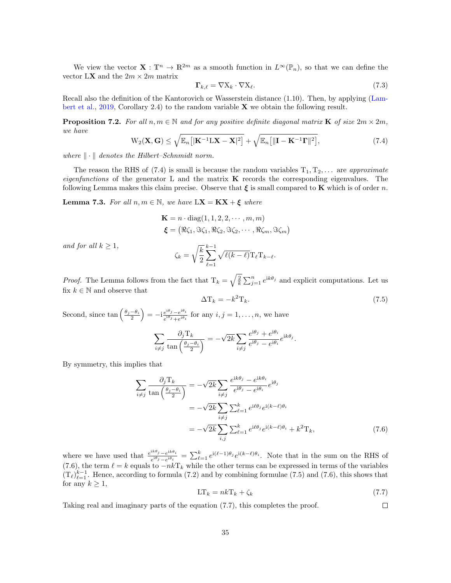We view the vector  $\mathbf{X}: \mathbb{T}^n \to \mathbb{R}^{2m}$  as a smooth function in  $L^{\infty}(\mathbb{P}_n)$ , so that we can define the vector L**X** and the  $2m \times 2m$  matrix

<span id="page-34-6"></span>
$$
\Gamma_{k,\ell} = \nabla X_k \cdot \nabla X_\ell. \tag{7.3}
$$

Recall also the definition of the Kantorovich or Wasserstein distance [\(1.10\)](#page-3-5). Then, by applying [\(Lam](#page-46-5)[bert et al.,](#page-46-5) [2019,](#page-46-5) Corollary 2.4) to the random variable  $X$  we obtain the following result.

<span id="page-34-0"></span>**Proposition 7.2.** For all  $n, m \in \mathbb{N}$  and for any positive definite diagonal matrix **K** of size  $2m \times 2m$ , we have

<span id="page-34-2"></span>
$$
W_2(\mathbf{X}, \mathbf{G}) \le \sqrt{\mathbb{E}_n[|\mathbf{K}^{-1}L\mathbf{X} - \mathbf{X}|^2]} + \sqrt{\mathbb{E}_n[||\mathbf{I} - \mathbf{K}^{-1}\mathbf{\Gamma}||^2]},
$$
\n(7.4)

where  $\|\cdot\|$  denotes the Hilbert–Schnmidt norm.

The reason the RHS of [\(7.4\)](#page-34-2) is small is because the random variables  $T_1, T_2, \ldots$  are approximate *eigenfunctions* of the generator L and the matrix  $\bf{K}$  records the corresponding eigenvalues. The following Lemma makes this claim precise. Observe that  $\xi$  is small compared to **K** which is of order n.

<span id="page-34-1"></span>**Lemma 7.3.** For all  $n, m \in \mathbb{N}$ , we have  $LX = KX + \xi$  where

$$
\mathbf{K} = n \cdot \text{diag}(1, 1, 2, 2, \cdots, m, m)
$$

$$
\boldsymbol{\xi} = (\Re \zeta_1, \Im \zeta_1, \Re \zeta_2, \Im \zeta_2, \cdots, \Re \zeta_m, \Im \zeta_m)
$$

and for all  $k \geq 1$ ,

$$
\zeta_k = \sqrt{\frac{k}{2}} \sum_{\ell=1}^{k-1} \sqrt{\ell(k-\ell)} \mathrm{T}_{\ell} \mathrm{T}_{k-\ell}.
$$

*Proof.* The Lemma follows from the fact that  $T_k = \sqrt{\frac{2}{k}} \sum_{j=1}^n e^{ik\theta_j}$  and explicit computations. Let us fix  $k\in\mathbb{N}$  and observe that

<span id="page-34-4"></span>
$$
\Delta T_k = -k^2 T_k. \tag{7.5}
$$

Second, since  $\tan\left(\frac{\theta_j-\theta_i}{2}\right) = -i\frac{e^{i\theta_j}-e^{i\theta_i}}{e^{i\theta_j}+e^{i\theta_i}}$  $e^{i\theta_j} - e^{i\theta_i} \over e^{i\theta_j} + e^{i\theta_i}$  for any  $i, j = 1, \ldots, n$ , we have

$$
\sum_{i \neq j} \frac{\partial_j \mathcal{T}_k}{\tan\left(\frac{\theta_j - \theta_i}{2}\right)} = -\sqrt{2k} \sum_{i \neq j} \frac{e^{i\theta_j} + e^{i\theta_i}}{e^{i\theta_j} - e^{i\theta_i}} e^{ik\theta_j}.
$$

By symmetry, this implies that

$$
\sum_{i \neq j} \frac{\partial_j T_k}{\tan\left(\frac{\theta_j - \theta_i}{2}\right)} = -\sqrt{2k} \sum_{i \neq j} \frac{e^{ik\theta_j} - e^{ik\theta_i}}{e^{i\theta_j} - e^{i\theta_i}} e^{i\theta_j}
$$

$$
= -\sqrt{2k} \sum_{i \neq j} \sum_{\ell=1}^k e^{i\ell\theta_j} e^{i(k-\ell)\theta_i}
$$

$$
= -\sqrt{2k} \sum_{i,j} \sum_{\ell=1}^k e^{i\ell\theta_j} e^{i(k-\ell)\theta_i} + k^2 T_k,
$$
(7.6)

where we have used that  $\frac{e^{ik\theta}j-e^{ik\theta}i}{i\theta_j}$  $\frac{i\epsilon\theta_j - e^{ik\theta_i}}{e^{i\theta_j} - e^{i\theta_i}} = \sum_{\ell=1}^k e^{i(\ell-1)\theta_j} e^{i(k-\ell)\theta_i}$ . Note that in the sum on the RHS of [\(7.6\)](#page-34-3), the term  $\ell = k$  equals to  $-nk\Gamma_k$  while the other terms can be expressed in terms of the variables  $(T_{\ell})_{\ell=1}^{k-1}$ . Hence, according to formula [\(7.2\)](#page-33-4) and by combining formulae [\(7.5\)](#page-34-4) and [\(7.6\)](#page-34-3), this shows that for any  $k \geq 1$ ,

<span id="page-34-5"></span><span id="page-34-3"></span>
$$
LT_k = nkT_k + \zeta_k \tag{7.7}
$$

Taking real and imaginary parts of the equation [\(7.7\)](#page-34-5), this completes the proof.  $\Box$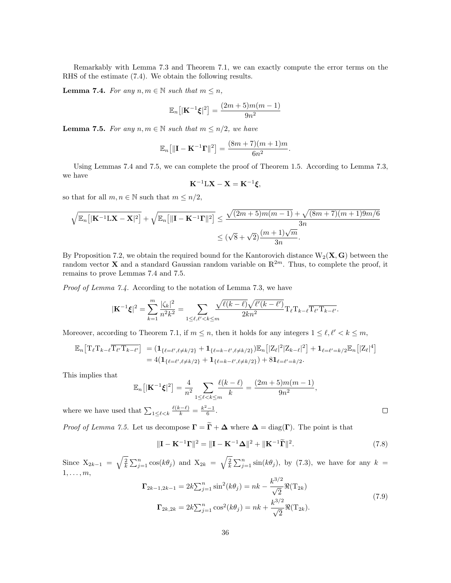Remarkably with Lemma [7.3](#page-34-1) and Theorem [7.1,](#page-33-0) we can exactly compute the error terms on the RHS of the estimate [\(7.4\)](#page-34-2). We obtain the following results.

<span id="page-35-0"></span>**Lemma 7.4.** For any  $n, m \in \mathbb{N}$  such that  $m \leq n$ ,

$$
\mathbb{E}_n[|\mathbf{K}^{-1}\boldsymbol{\xi}|^2] = \frac{(2m+5)m(m-1)}{9n^2}
$$

<span id="page-35-1"></span>**Lemma 7.5.** For any  $n, m \in \mathbb{N}$  such that  $m \leq n/2$ , we have

$$
\mathbb{E}_n\big[\|\mathbf{I}-\mathbf{K}^{-1}\mathbf{\Gamma}\|^2\big] = \frac{(8m+7)(m+1)m}{6n^2}.
$$

Using Lemmas [7.4](#page-35-0) and [7.5,](#page-35-1) we can complete the proof of Theorem [1.5.](#page-3-1) According to Lemma [7.3,](#page-34-1) we have

$$
\mathbf{K}^{-1}L\mathbf{X} - \mathbf{X} = \mathbf{K}^{-1}\boldsymbol{\xi},
$$

so that for all  $m,n\in\mathbb{N}$  such that  $m\leq n/2,$ 

$$
\sqrt{\mathbb{E}_n\left[|\mathbf{K}^{-1}\mathbf{L}\mathbf{X}-\mathbf{X}|^2\right]} + \sqrt{\mathbb{E}_n\left[|\mathbf{I}-\mathbf{K}^{-1}\mathbf{\Gamma}||^2\right]} \le \frac{\sqrt{(2m+5)m(m-1)} + \sqrt{(8m+7)(m+1)9m/6}}{3n}
$$

$$
\le (\sqrt{8} + \sqrt{2})\frac{(m+1)\sqrt{m}}{3n}.
$$

By Proposition [7.2,](#page-34-0) we obtain the required bound for the Kantorovich distance  $W_2(X, G)$  between the random vector **X** and a standard Gaussian random variable on  $\mathbb{R}^{2m}$ . Thus, to complete the proof, it remains to prove Lemmas [7.4](#page-35-0) and [7.5.](#page-35-1)

Proof of Lemma [7.4.](#page-35-0) According to the notation of Lemma [7.3,](#page-34-1) we have

$$
|\mathbf{K}^{-1}\boldsymbol{\xi}|^2 = \sum_{k=1}^m \frac{|\zeta_k|^2}{n^2 k^2} = \sum_{1 \leq \ell, \ell' < k \leq m} \frac{\sqrt{\ell(k-\ell)}\sqrt{\ell'(k-\ell')}}{2kn^2} \mathrm{T}_{\ell} \mathrm{T}_{k-\ell} \overline{\mathrm{T}_{\ell'} \mathrm{T}_{k-\ell'}}.
$$

Moreover, according to Theorem [7.1,](#page-33-0) if  $m \leq n$ , then it holds for any integers  $1 \leq \ell, \ell' < k \leq m$ ,

$$
\mathbb{E}_n \big[ T_{\ell} T_{k-\ell} \overline{T_{\ell'} T_{k-\ell'}} \big] = \left( \mathbf{1}_{\{\ell=\ell',\ell\neq k/2\}} + \mathbf{1}_{\{\ell=k-\ell',\ell\neq k/2\}} \right) \mathbb{E}_n \big[ |Z_{\ell}|^2 |Z_{k-\ell}|^2 \big] + \mathbf{1}_{\{\ell=\ell'=k/2\}} \mathbb{E}_n \big[ |Z_{\ell}|^4 \big] = 4 \big( \mathbf{1}_{\{\ell=\ell',\ell\neq k/2\}} + \mathbf{1}_{\{\ell=k-\ell',\ell\neq k/2\}} \big) + 8 \mathbf{1}_{\{\ell=\ell'=k/2\}}.
$$

This implies that

$$
\mathbb{E}_n[|\mathbf{K}^{-1}\xi|^2] = \frac{4}{n^2} \sum_{1 \le \ell < k \le m} \frac{\ell(k-\ell)}{k} = \frac{(2m+5)m(m-1)}{9n^2}
$$

where we have used that  $\sum_{1 \leq \ell < k} \frac{\ell(k-\ell)}{k} = \frac{k^2-1}{6}$ .

*Proof of Lemma [7.5.](#page-35-1)* Let us decompose  $\Gamma = \widetilde{\Gamma} + \Delta$  where  $\Delta = \text{diag}(\Gamma)$ . The point is that

<span id="page-35-2"></span>
$$
\|\mathbf{I} - \mathbf{K}^{-1}\mathbf{\Gamma}\|^2 = \|\mathbf{I} - \mathbf{K}^{-1}\mathbf{\Delta}\|^2 + \|\mathbf{K}^{-1}\widetilde{\mathbf{\Gamma}}\|^2.
$$
 (7.8)

,

Since  $X_{2k-1} = \sqrt{\frac{2}{k}} \sum_{j=1}^n \cos(k\theta_j)$  and  $X_{2k} = \sqrt{\frac{2}{k}} \sum_{j=1}^n \sin(k\theta_j)$ , by [\(7.3\)](#page-34-6), we have for any  $k =$  $1, \ldots, m$ ,

<span id="page-35-3"></span>
$$
\Gamma_{2k-1,2k-1} = 2k \sum_{j=1}^{n} \sin^2(k\theta_j) = nk - \frac{k^{3/2}}{\sqrt{2}} \Re(\mathbf{T}_{2k})
$$
  

$$
\Gamma_{2k,2k} = 2k \sum_{j=1}^{n} \cos^2(k\theta_j) = nk + \frac{k^{3/2}}{\sqrt{2}} \Re(\mathbf{T}_{2k}).
$$
 (7.9)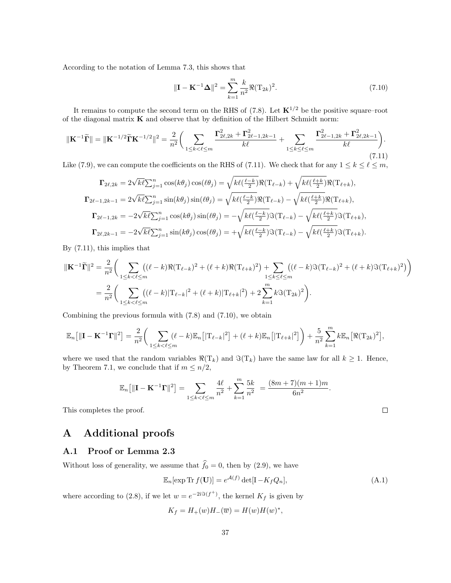According to the notation of Lemma [7.3,](#page-34-1) this shows that

<span id="page-36-2"></span>
$$
\|\mathbf{I} - \mathbf{K}^{-1} \mathbf{\Delta}\|^2 = \sum_{k=1}^{m} \frac{k}{n^2} \Re(\mathbf{T}_{2k})^2.
$$
 (7.10)

It remains to compute the second term on the RHS of [\(7.8\)](#page-35-2). Let  $\mathbf{K}^{1/2}$  be the positive square–root of the diagonal matrix  $K$  and observe that by definition of the Hilbert Schmidt norm:

<span id="page-36-1"></span>
$$
\|\mathbf{K}^{-1}\widetilde{\mathbf{\Gamma}}\| = \|\mathbf{K}^{-1/2}\widetilde{\mathbf{\Gamma}}\mathbf{K}^{-1/2}\|^2 = \frac{2}{n^2} \bigg( \sum_{1 \le k < \ell \le m} \frac{\Gamma_{2\ell,2k}^2 + \Gamma_{2\ell-1,2k-1}^2}{k\ell} + \sum_{1 \le k \le \ell \le m} \frac{\Gamma_{2\ell-1,2k}^2 + \Gamma_{2\ell,2k-1}^2}{k\ell} \bigg). \tag{7.11}
$$

Like [\(7.9\)](#page-35-3), we can compute the coefficients on the RHS of [\(7.11\)](#page-36-1). We check that for any  $1 \leq k \leq \ell \leq m$ ,

$$
\Gamma_{2\ell,2k} = 2\sqrt{k\ell} \sum_{j=1}^{n} \cos(k\theta_j) \cos(\ell\theta_j) = \sqrt{k\ell(\frac{\ell-k}{2})} \Re(\mathbf{T}_{\ell-k}) + \sqrt{k\ell(\frac{\ell+k}{2})} \Re(\mathbf{T}_{\ell+k}),
$$
  
\n
$$
\Gamma_{2\ell-1,2k-1} = 2\sqrt{k\ell} \sum_{j=1}^{n} \sin(k\theta_j) \sin(\ell\theta_j) = \sqrt{k\ell(\frac{\ell-k}{2})} \Re(\mathbf{T}_{\ell-k}) - \sqrt{k\ell(\frac{\ell+k}{2})} \Re(\mathbf{T}_{\ell+k}),
$$
  
\n
$$
\Gamma_{2\ell-1,2k} = -2\sqrt{k\ell} \sum_{j=1}^{n} \cos(k\theta_j) \sin(\ell\theta_j) = -\sqrt{k\ell(\frac{\ell-k}{2})} \Im(\mathbf{T}_{\ell-k}) - \sqrt{k\ell(\frac{\ell+k}{2})} \Im(\mathbf{T}_{\ell+k}),
$$
  
\n
$$
\Gamma_{2\ell,2k-1} = -2\sqrt{k\ell} \sum_{j=1}^{n} \sin(k\theta_j) \cos(\ell\theta_j) = +\sqrt{k\ell(\frac{\ell-k}{2})} \Im(\mathbf{T}_{\ell-k}) - \sqrt{k\ell(\frac{\ell+k}{2})} \Im(\mathbf{T}_{\ell+k}).
$$

By [\(7.11\)](#page-36-1), this implies that

$$
\begin{split} \|\mathbf{K}^{-1}\widetilde{\mathbf{\Gamma}}\|^{2} &= \frac{2}{n^{2}} \bigg( \sum_{1 \leq k < \ell \leq m} \big( (\ell - k) \Re(\mathrm{T}_{\ell-k})^{2} + (\ell + k) \Re(\mathrm{T}_{\ell+k})^{2} \big) + \sum_{1 \leq k \leq \ell \leq m} \big( (\ell - k) \Im(\mathrm{T}_{\ell-k})^{2} + (\ell + k) \Im(\mathrm{T}_{\ell+k})^{2} \big) \bigg) \\ &= \frac{2}{n^{2}} \bigg( \sum_{1 \leq k < \ell \leq m} \big( (\ell - k) |\mathrm{T}_{\ell-k}|^{2} + (\ell + k) |\mathrm{T}_{\ell+k}|^{2} \big) + 2 \sum_{k=1}^{m} k \Im(\mathrm{T}_{2k})^{2} \bigg). \end{split}
$$

Combining the previous formula with [\(7.8\)](#page-35-2) and [\(7.10\)](#page-36-2), we obtain

$$
\mathbb{E}_n[||\mathbf{I} - \mathbf{K}^{-1}\mathbf{\Gamma}||^2] = \frac{2}{n^2} \bigg( \sum_{1 \le k < \ell \le m} (\ell - k) \mathbb{E}_n[|T_{\ell - k}|^2] + (\ell + k) \mathbb{E}_n[|T_{\ell + k}|^2] \bigg) + \frac{5}{n^2} \sum_{k=1}^m k \mathbb{E}_n[ \Re(T_{2k})^2],
$$

where we used that the random variables  $\Re(T_k)$  and  $\Im(T_k)$  have the same law for all  $k \geq 1$ . Hence, by Theorem [7.1,](#page-33-0) we conclude that if  $m \leq n/2$ ,

$$
\mathbb{E}_n[||\mathbf{I} - \mathbf{K}^{-1}\mathbf{\Gamma}||^2] = \sum_{1 \le k < \ell \le m} \frac{4\ell}{n^2} + \sum_{k=1}^m \frac{5k}{n^2} = \frac{(8m+7)(m+1)m}{6n^2}.
$$

This completes the proof.

## A Additional proofs

### <span id="page-36-0"></span>A.1 Proof or Lemma [2.3](#page-7-2)

Without loss of generality, we assume that  $\hat{f}_0 = 0$ , then by [\(2.9\)](#page-6-2), we have

<span id="page-36-3"></span>
$$
\mathbb{E}_n[\exp \text{Tr } f(\mathbf{U})] = e^{\mathcal{A}(f)} \det[\mathbf{I} - K_f Q_n],\tag{A.1}
$$

,

 $\Box$ 

where according to [\(2.8\)](#page-6-3), if we let  $w = e^{-2i\Im(f^+)}$ , the kernel  $K_f$  is given by

$$
K_f = H_+(w)H_-(\overline{w}) = H(w)H(w)^*
$$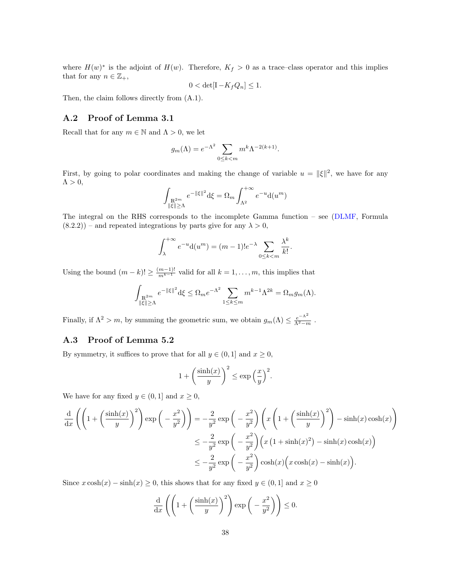where  $H(w)^*$  is the adjoint of  $H(w)$ . Therefore,  $K_f > 0$  as a trace–class operator and this implies that for any  $n \in \mathbb{Z}_+,$ 

$$
0 < \det[\mathbf{I} - K_f Q_n] \le 1.
$$

Then, the claim follows directly from [\(A.1\)](#page-36-3).

#### <span id="page-37-0"></span>A.2 Proof of Lemma [3.1](#page-12-2)

Recall that for any  $m \in \mathbb{N}$  and  $\Lambda > 0$ , we let

$$
g_m(\Lambda) = e^{-\Lambda^2} \sum_{0 \le k < m} m^k \Lambda^{-2(k+1)}.
$$

First, by going to polar coordinates and making the change of variable  $u = ||\xi||^2$ , we have for any  $\Lambda > 0$ ,

$$
\int_{\substack{\mathbb{R}^{2m} \\ \|\xi\| \geq \Lambda}} e^{-\|\xi\|^2} d\xi = \Omega_m \int_{\Lambda^2}^{+\infty} e^{-u} d(u^m)
$$

The integral on the RHS corresponds to the incomplete Gamma function – see [\(DLMF,](#page-46-16) Formula  $(8.2.2)$ ) – and repeated integrations by parts give for any  $\lambda > 0$ ,

$$
\int_{\lambda}^{+\infty} e^{-u} d(u^m) = (m-1)! e^{-\lambda} \sum_{0 \le k < m} \frac{\lambda^k}{k!}.
$$

Using the bound  $(m-k)! \geq \frac{(m-1)!}{m^{k-1}}$  valid for all  $k = 1, \ldots, m$ , this implies that

$$
\int_{\substack{\mathbb R^{2m}\\ \|\xi\|\geq \Lambda}} e^{-\|\xi\|^2} {\rm d} \xi \leq \Omega_m e^{-\Lambda^2} \sum_{1\leq k\leq m} m^{k-1}\Lambda^{2k} = \Omega_m g_m(\Lambda).
$$

Finally, if  $\Lambda^2 > m$ , by summing the geometric sum, we obtain  $g_m(\Lambda) \leq \frac{e^{-\Lambda^2}}{\Lambda^2 - m}$ .

### <span id="page-37-1"></span>A.3 Proof of Lemma [5.2](#page-20-3)

By symmetry, it suffices to prove that for all  $y \in (0,1]$  and  $x \ge 0$ ,

$$
1 + \left(\frac{\sinh(x)}{y}\right)^2 \le \exp\left(\frac{x}{y}\right)^2.
$$

We have for any fixed  $y \in (0, 1]$  and  $x \ge 0$ ,

$$
\frac{d}{dx}\left(\left(1+\left(\frac{\sinh(x)}{y}\right)^2\right)\exp\left(-\frac{x^2}{y^2}\right)\right) = -\frac{2}{y^2}\exp\left(-\frac{x^2}{y^2}\right)\left(x\left(1+\left(\frac{\sinh(x)}{y}\right)^2\right) - \sinh(x)\cosh(x)\right)
$$

$$
\le -\frac{2}{y^2}\exp\left(-\frac{x^2}{y^2}\right)\left(x\left(1+\sinh(x)^2\right) - \sinh(x)\cosh(x)\right)
$$

$$
\le -\frac{2}{y^2}\exp\left(-\frac{x^2}{y^2}\right)\cosh(x)\left(x\cosh(x) - \sinh(x)\right).
$$

Since  $x \cosh(x) - \sinh(x) \ge 0$ , this shows that for any fixed  $y \in (0, 1]$  and  $x \ge 0$ 

$$
\frac{\mathrm{d}}{\mathrm{d}x}\left(\left(1+\left(\frac{\sinh(x)}{y}\right)^2\right)\exp\left(-\frac{x^2}{y^2}\right)\right)\leq 0.
$$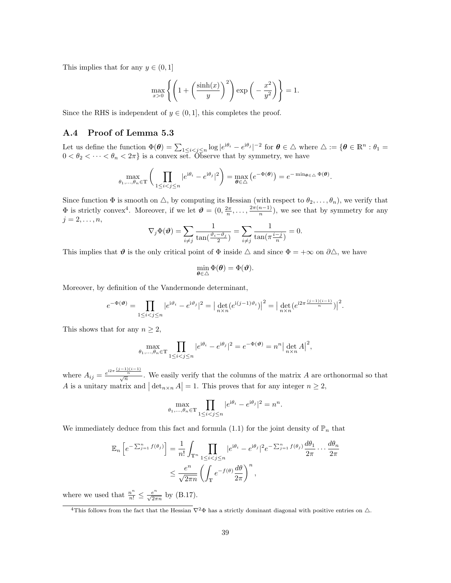This implies that for any  $y \in (0, 1]$ 

$$
\max_{x>0} \left\{ \left( 1 + \left( \frac{\sinh(x)}{y} \right)^2 \right) \exp\left( -\frac{x^2}{y^2} \right) \right\} = 1.
$$

Since the RHS is independent of  $y \in (0, 1]$ , this completes the proof.

### <span id="page-38-0"></span>A.4 Proof of Lemma [5.3](#page-22-0)

Let us define the function  $\Phi(\theta) = \sum_{1 \leq i < j \leq n} \log |e^{i\theta_i} - e^{i\theta_j}|^{-2}$  for  $\theta \in \Delta$  where  $\Delta := \{\theta \in \mathbb{R}^n : \theta_1 =$  $0 < \theta_2 < \cdots < \theta_n < 2\pi$  is a convex set. Observe that by symmetry, we have

$$
\max_{\theta_1,\ldots,\theta_n\in\mathbb{T}}\bigg(\prod_{1\leq i
$$

Since function  $\Phi$  is smooth on  $\triangle$ , by computing its Hessian (with respect to  $\theta_2, \ldots, \theta_n$ ), we verify that  $\Phi$  is strictly convex<sup>[4](#page-38-1)</sup>. Moreover, if we let  $\mathbf{\vartheta} = (0, \frac{2\pi}{n}, \dots, \frac{2\pi(n-1)}{n})$  $\frac{n-1}{n}$ , we see that by symmetry for any  $j = 2, \ldots, n$ 

$$
\nabla_j \Phi(\boldsymbol{\vartheta}) = \sum_{i \neq j} \frac{1}{\tan(\frac{\vartheta_i - \vartheta_j}{2})} = \sum_{i \neq j} \frac{1}{\tan(\pi \frac{i - j}{n})} = 0.
$$

This implies that  $\vartheta$  is the only critical point of  $\Phi$  inside  $\triangle$  and since  $\Phi = +\infty$  on  $\partial \triangle$ , we have

$$
\min_{\theta \in \triangle} \Phi(\theta) = \Phi(\theta).
$$

Moreover, by definition of the Vandermonde determinant,

$$
e^{-\Phi(\mathbf{\Theta})} = \prod_{1 \leq i < j \leq n} |e^{i\vartheta_i} - e^{i\vartheta_j}|^2 = \left| \det_{n \times n} (e^{i(j-1)\vartheta_i}) \right|^2 = \left| \det_{n \times n} (e^{i2\pi \frac{(j-1)(i-1)}{n}}) \right|^2.
$$

This shows that for any  $n \geq 2$ ,

$$
\max_{\theta_1,\dots,\theta_n \in \mathbb{T}} \prod_{1 \le i < j \le n} |e^{i\theta_i} - e^{i\theta_j}|^2 = e^{-\Phi(\boldsymbol{\vartheta})} = n^n \left| \det_{n \times n} A \right|^2,
$$

where  $A_{ij} = \frac{e^{i2\pi} \frac{(j-1)(i-1)}{n}}{\sqrt{n}}$ . We easily verify that the columns of the matrix A are orthonormal so that A is a unitary matrix and  $|\det_{n\times n} A| = 1$ . This proves that for any integer  $n \geq 2$ ,

$$
\max_{\theta_1,\dots,\theta_n\in\mathbb{T}}\prod_{1\leq i
$$

We immediately deduce from this fact and formula [\(1.1\)](#page-0-0) for the joint density of  $\mathbb{P}_n$  that

$$
\mathbb{E}_n\left[e^{-\sum_{j=1}^n f(\theta_j)}\right] = \frac{1}{n!} \int_{\mathbb{T}^n} \prod_{1 \le i < j \le n} |e^{i\theta_i} - e^{i\theta_j}|^2 e^{-\sum_{j=1}^n f(\theta_j)} \frac{d\theta_1}{2\pi} \cdots \frac{d\theta_n}{2\pi}
$$
\n
$$
\le \frac{e^n}{\sqrt{2\pi n}} \left(\int_{\mathbb{T}} e^{-f(\theta)} \frac{d\theta}{2\pi}\right)^n,
$$

where we used that  $\frac{n^n}{n!} \leq \frac{e^n}{\sqrt{2\pi n}}$  by [\(B.17\)](#page-42-0).

<span id="page-38-1"></span><sup>&</sup>lt;sup>4</sup>This follows from the fact that the Hessian  $\nabla^2 \Phi$  has a strictly dominant diagonal with positive entries on  $\Delta$ .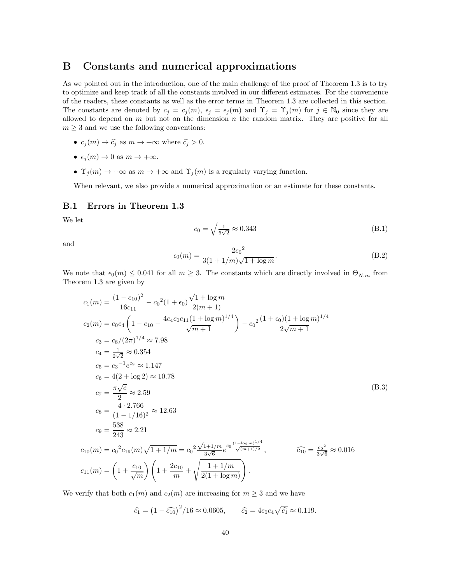## <span id="page-39-0"></span>B Constants and numerical approximations

As we pointed out in the introduction, one of the main challenge of the proof of Theorem [1.3](#page-3-0) is to try to optimize and keep track of all the constants involved in our different estimates. For the convenience of the readers, these constants as well as the error terms in Theorem [1.3](#page-3-0) are collected in this section. The constants are denoted by  $c_j = c_j(m)$ ,  $\epsilon_j = \epsilon_j(m)$  and  $\Upsilon_j = \Upsilon_j(m)$  for  $j \in \mathbb{N}_0$  since they are allowed to depend on  $m$  but not on the dimension  $n$  the random matrix. They are positive for all  $m \geq 3$  and we use the following conventions:

- $c_j(m) \to \widehat{c}_j$  as  $m \to +\infty$  where  $\widehat{c}_j > 0$ .
- $\epsilon_j(m) \to 0$  as  $m \to +\infty$ .
- $\Upsilon_j(m) \to +\infty$  as  $m \to +\infty$  and  $\Upsilon_j(m)$  is a regularly varying function.

When relevant, we also provide a numerical approximation or an estimate for these constants.

## <span id="page-39-1"></span>B.1 Errors in Theorem [1.3](#page-3-0)

We let

<span id="page-39-3"></span>
$$
c_0 = \sqrt{\frac{1}{6\sqrt{2}}} \approx 0.343
$$
 (B.1)

and

<span id="page-39-4"></span>
$$
\epsilon_0(m) = \frac{2c_0^2}{3(1+1/m)\sqrt{1+\log m}}.\tag{B.2}
$$

We note that  $\epsilon_0(m) \leq 0.041$  for all  $m \geq 3$ . The constants which are directly involved in  $\Theta_{N,m}$  from Theorem [1.3](#page-3-0) are given by

<span id="page-39-2"></span>
$$
c_1(m) = \frac{(1 - c_{10})^2}{16c_{11}} - c_0^2 (1 + \epsilon_0) \frac{\sqrt{1 + \log m}}{2(m+1)}
$$
  
\n
$$
c_2(m) = c_0 c_4 \left(1 - c_{10} - \frac{4c_4 c_0 c_{11} (1 + \log m)^{1/4}}{\sqrt{m+1}}\right) - c_0^2 \frac{(1 + \epsilon_0)(1 + \log m)^{1/4}}{2\sqrt{m+1}}
$$
  
\n
$$
c_3 = c_8/(2\pi)^{1/4} \approx 7.98
$$
  
\n
$$
c_4 = \frac{1}{2\sqrt{2}} \approx 0.354
$$
  
\n
$$
c_5 = c_3^{-1} e^{c_9} \approx 1.147
$$
  
\n
$$
c_6 = 4(2 + \log 2) \approx 10.78
$$
  
\n
$$
c_7 = \frac{\pi \sqrt{e}}{2} \approx 2.59
$$
  
\n
$$
c_8 = \frac{4 \cdot 2.766}{(1 - 1/16)^2} \approx 12.63
$$
  
\n
$$
c_9 = \frac{538}{243} \approx 2.21
$$
  
\n
$$
c_{10}(m) = c_0^2 c_{19}(m) \sqrt{1 + 1/m} = c_0^2 \frac{\sqrt{1 + 1/m}}{3\sqrt{6}} e^{c_0 \frac{(1 + \log m)^{1/4}}{\sqrt{(m+1)/2}}}, \qquad \widehat{c_{10}} = \frac{c_0^2}{3\sqrt{6}} \approx 0.016
$$
  
\n
$$
c_{11}(m) = \left(1 + \frac{c_{10}}{\sqrt{m}}\right) \left(1 + \frac{2c_{10}}{m} + \sqrt{\frac{1 + 1/m}{2(1 + \log m)}}\right).
$$

We verify that both  $c_1(m)$  and  $c_2(m)$  are increasing for  $m \geq 3$  and we have

$$
\hat{c}_1 = (1 - \hat{c}_{10})^2 / 16 \approx 0.0605
$$
,  $\hat{c}_2 = 4c_0 c_4 \sqrt{\hat{c}_1} \approx 0.119$ .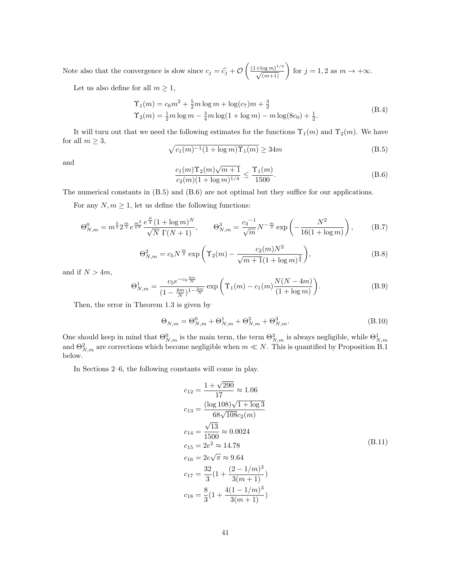Note also that the convergence is slow since  $c_j = \hat{c}_j + \mathcal{O}\left(\frac{(1+\log m)^{1/4}}{\sqrt{(m+1)}}\right)$  for  $j = 1, 2$  as  $m \to +\infty$ .

Let us also define for all  $m\geq 1,$ 

<span id="page-40-5"></span>
$$
\begin{aligned} \Upsilon_1(m) &= c_6 m^2 + \frac{5}{2} m \log m + \log(c_7) m + \frac{3}{2} \\ \Upsilon_2(m) &= \frac{1}{2} m \log m - \frac{3}{4} m \log(1 + \log m) - m \log(8c_0) + \frac{1}{2}. \end{aligned} \tag{B.4}
$$

It will turn out that we need the following estimates for the functions  $\Upsilon_1(m)$  and  $\Upsilon_2(m)$ . We have for all  $m \geq 3$ ,

<span id="page-40-6"></span>
$$
\sqrt{c_1(m)^{-1}(1 + \log m)\Upsilon_1(m)} \ge 34m\tag{B.5}
$$

and

<span id="page-40-7"></span>
$$
\frac{c_1(m)\Upsilon_2(m)\sqrt{m+1}}{c_2(m)(1+\log m)^{1/4}} \le \frac{\Upsilon_1(m)}{1500}.
$$
\n(B.6)

The numerical constants in [\(B.5\)](#page-40-6) and [\(B.6\)](#page-40-7) are not optimal but they suffice for our applications.

For any  $N,m\geq 1,$  let us define the following functions:

<span id="page-40-1"></span>
$$
\Theta_{N,m}^0 = m^{\frac{5}{2}} 2^{\frac{m}{2}} e^{\frac{m^2}{4N}} \frac{e^{\frac{N}{2}} (1 + \log m)^N}{\sqrt{N} \Gamma(N+1)}, \qquad \Theta_{N,m}^3 = \frac{c_3^{-1}}{\sqrt{m}} N^{-\frac{m}{2}} \exp\left(-\frac{N^2}{16(1 + \log m)}\right), \tag{B.7}
$$

<span id="page-40-3"></span>
$$
\Theta_{N,m}^2 = c_5 N^{\frac{m}{2}} \exp\left(\Upsilon_2(m) - \frac{c_2(m)N^2}{\sqrt{m+1}(1+\log m)^{\frac{3}{4}}}\right),\tag{B.8}
$$

and if  $N > 4m$ ,

<span id="page-40-2"></span>
$$
\Theta_{N,m}^1 = \frac{c_5 e^{-c_9 \frac{4m}{N}}}{(1 - \frac{4m}{N})^{1 - \frac{2m}{N}}} \exp\left(\Upsilon_1(m) - c_1(m) \frac{N(N - 4m)}{(1 + \log m)}\right).
$$
(B.9)

Then, the error in Theorem [1.3](#page-3-0) is given by

<span id="page-40-0"></span>
$$
\Theta_{N,m} = \Theta_{N,m}^0 + \Theta_{N,m}^1 + \Theta_{N,m}^2 + \Theta_{N,m}^3.
$$
\n(B.10)

One should keep in mind that  $\Theta_{N,m}^0$  is the main term, the term  $\Theta_{N,m}^3$  is always negligible, while  $\Theta_{N,m}^1$ and  $\Theta_{N,m}^2$  are corrections which become negligible when  $m \ll N$ . This is quantified by Proposition [B.1](#page-41-2) below.

In Sections [2](#page-4-2)[–6,](#page-24-0) the following constants will come in play.

<span id="page-40-4"></span>
$$
c_{12} = \frac{1 + \sqrt{290}}{17} \approx 1.06
$$
  
\n
$$
c_{13} = \frac{(\log 108)\sqrt{1 + \log 3}}{68\sqrt{108}c_2(m)}
$$
  
\n
$$
c_{14} = \frac{\sqrt{13}}{1500} \approx 0.0024
$$
  
\n
$$
c_{15} = 2e^2 \approx 14.78
$$
  
\n
$$
c_{16} = 2e\sqrt{\pi} \approx 9.64
$$
  
\n
$$
c_{17} = \frac{32}{3}(1 + \frac{(2 - 1/m)^3}{3(m + 1)})
$$
  
\n
$$
c_{18} = \frac{8}{3}(1 + \frac{4(1 - 1/m)^3}{3(m + 1)})
$$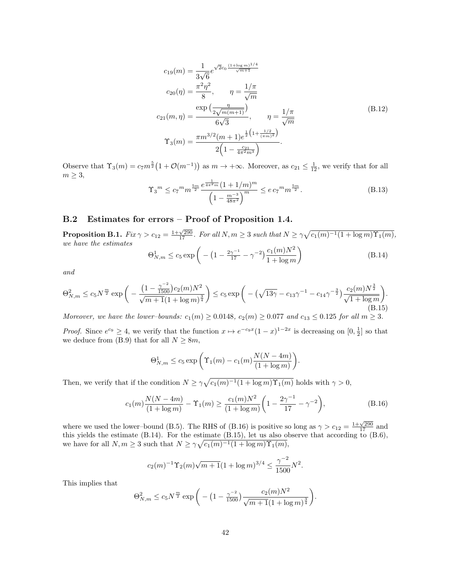$$
c_{19}(m) = \frac{1}{3\sqrt{6}} e^{\sqrt{2}c_0 \frac{(1+\log m)^{1/4}}{\sqrt{m+1}}}
$$
  
\n
$$
c_{20}(\eta) = \frac{\pi^2 \eta^2}{8}, \qquad \eta = \frac{1/\pi}{\sqrt{m}}
$$
  
\n
$$
c_{21}(m, \eta) = \frac{\exp\left(\frac{\eta}{2\sqrt{m(m+1)}}\right)}{6\sqrt{3}}, \qquad \eta = \frac{1/\pi}{\sqrt{m}}
$$
  
\n
$$
\Upsilon_3(m) = \frac{\pi m^{3/2}(m+1)e^{\frac{1}{2}\left(1+\frac{1/2}{(\pi m)^2}\right)}}{2\left(1-\frac{c_{21}}{4\pi^2 m^3}\right)}.
$$
\n(B.12)

Observe that  $\Upsilon_3(m) = c_7 m^{\frac{5}{2}} (1 + \mathcal{O}(m^{-1}))$  as  $m \to +\infty$ . Moreover, as  $c_{21} \leq \frac{1}{12}$ , we verify that for all  $m \geq 3$ ,

<span id="page-41-1"></span>
$$
\Upsilon_3^m \le c_7^m m^{\frac{5m}{2}} \frac{e^{\frac{1}{4\pi^2 m} \left(1 + 1/m\right)^m}}{\left(1 - \frac{m^{-3}}{48\pi^2}\right)^m} \le e c_7^m m^{\frac{5m}{2}}.
$$
\n(B.13)

### <span id="page-41-0"></span>B.2 Estimates for errors – Proof of Proposition [1.4.](#page-3-2)

<span id="page-41-2"></span>**Proposition B.1.**  $Fix \gamma > c_{12} = \frac{1+\sqrt{290}}{17}$ . For all  $N, m \geq 3$  such that  $N \geq \gamma \sqrt{c_1(m)^{-1}(1 + \log m)\Upsilon_1(m)}$ , we have the estimates

<span id="page-41-4"></span>
$$
\Theta_{N,m}^1 \le c_5 \exp\left(-\left(1 - \frac{2\gamma^{-1}}{17} - \gamma^{-2}\right) \frac{c_1(m)N^2}{1 + \log m}\right) \tag{B.14}
$$

and

<span id="page-41-5"></span>
$$
\Theta_{N,m}^2 \le c_5 N^{\frac{m}{2}} \exp\bigg(-\frac{\left(1 - \frac{\gamma^{-2}}{1500}\right) c_2(m) N^2}{\sqrt{m+1} (1 + \log m)^{\frac{3}{4}}}\bigg) \le c_5 \exp\bigg(-\left(\sqrt{13\gamma} - c_{13}\gamma^{-1} - c_{14}\gamma^{-\frac{3}{2}}\right) \frac{c_2(m) N^{\frac{3}{2}}}{\sqrt{1 + \log m}}\bigg). \tag{B.15}
$$

Moreover, we have the lower–bounds:  $c_1(m) \ge 0.0148$ ,  $c_2(m) \ge 0.077$  and  $c_{13} \le 0.125$  for all  $m \ge 3$ .

*Proof.* Since  $e^{c_9} \geq 4$ , we verify that the function  $x \mapsto e^{-c_9x}(1-x)^{1-2x}$  is decreasing on  $[0, \frac{1}{2}]$  so that we deduce from [\(B.9\)](#page-40-2) that for all  $N \geq 8m$ ,

$$
\Theta_{N,m}^1 \le c_5 \exp\left(\Upsilon_1(m) - c_1(m) \frac{N(N-4m)}{(1+\log m)}\right).
$$

Then, we verify that if the condition  $N \geq \gamma \sqrt{c_1(m)^{-1}(1 + \log m)\Upsilon_1(m)}$  holds with  $\gamma > 0$ ,

<span id="page-41-3"></span>
$$
c_1(m)\frac{N(N-4m)}{(1+\log m)} - \Upsilon_1(m) \ge \frac{c_1(m)N^2}{(1+\log m)} \left(1 - \frac{2\gamma^{-1}}{17} - \gamma^{-2}\right),\tag{B.16}
$$

where we used the lower–bound [\(B.5\)](#page-40-6). The RHS of [\(B.16\)](#page-41-3) is positive so long as  $\gamma > c_{12} = \frac{1+\sqrt{290}}{17}$  and this yields the estimate [\(B.14\)](#page-41-4). For the estimate [\(B.15\)](#page-41-5), let us also observe that according to [\(B.6\)](#page-40-7), we have for all  $N, m \geq 3$  such that  $N \geq \gamma \sqrt{c_1(m)^{-1}(1 + \log m)\Upsilon_1(m)}$ ,

$$
c_2(m)^{-1} \Upsilon_2(m) \sqrt{m+1} (1 + \log m)^{3/4} \le \frac{\gamma^{-2}}{1500} N^2.
$$

This implies that

$$
\Theta_{N,m}^2 \le c_5 N^{\frac{m}{2}} \exp\bigg(-\big(1-\tfrac{\gamma^{-2}}{1500}\big)\frac{c_2(m)N^2}{\sqrt{m+1}(1+\log m)^{\frac{3}{4}}}\bigg).
$$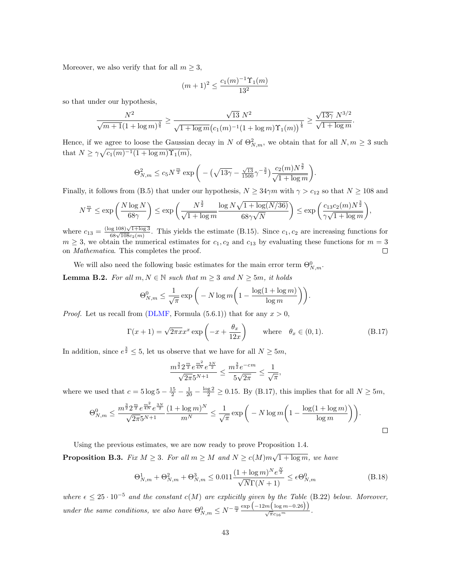Moreover, we also verify that for all  $m \geq 3$ ,

$$
(m+1)^2 \le \frac{c_1(m)^{-1} \Upsilon_1(m)}{13^2}
$$

so that under our hypothesis,

$$
\frac{N^2}{\sqrt{m+1}(1+\log m)^{\frac{3}{4}}} \ge \frac{\sqrt{13} N^2}{\sqrt{1+\log m} (c_1(m)^{-1}(1+\log m)\Upsilon_1(m))^{\frac{1}{4}}} \ge \frac{\sqrt{13\gamma} N^{3/2}}{\sqrt{1+\log m}}.
$$

Hence, if we agree to loose the Gaussian decay in N of  $\Theta_{N,m}^2$ , we obtain that for all  $N, m \geq 3$  such that  $N \geq \gamma \sqrt{c_1(m)^{-1}(1 + \log m)\Upsilon_1(m)}$ ,

$$
\Theta_{N,m}^2 \le c_5 N^{\frac{m}{2}} \exp\bigg(-\left(\sqrt{13\gamma} - \frac{\sqrt{13}}{1500}\gamma^{-\frac{3}{2}}\right) \frac{c_2(m)N^{\frac{3}{2}}}{\sqrt{1 + \log m}}\bigg)
$$

Finally, it follows from [\(B.5\)](#page-40-6) that under our hypothesis,  $N \geq 34\gamma m$  with  $\gamma > c_{12}$  so that  $N \geq 108$  and

$$
N^{\frac{m}{2}} \le \exp\left(\frac{N\log N}{68\gamma}\right) \le \exp\left(\frac{N^{\frac{3}{2}}}{\sqrt{1+\log m}}\frac{\log N\sqrt{1+\log(N/36)}}{68\gamma\sqrt{N}}\right) \le \exp\left(\frac{c_{13}c_2(m)N^{\frac{3}{2}}}{\gamma\sqrt{1+\log m}}\right),
$$

where  $c_{13} = \frac{(\log 108)\sqrt{1+\log 3}}{68\sqrt{108}c_2(m)}$ . This yields the estimate [\(B.15\)](#page-41-5). Since  $c_1, c_2$  are increasing functions for  $m \geq 3$ , we obtain the numerical estimates for  $c_1, c_2$  and  $c_{13}$  by evaluating these functions for  $m = 3$ on Mathematica. This completes the proof.  $\Box$ 

We will also need the following basic estimates for the main error term  $\Theta_{N,m}^0$ .

<span id="page-42-3"></span>**Lemma B.2.** For all  $m, N \in \mathbb{N}$  such that  $m \geq 3$  and  $N \geq 5m$ , it holds

$$
\Theta_{N,m}^0 \le \frac{1}{\sqrt{\pi}} \exp\bigg(-N \log m \bigg(1 - \frac{\log(1 + \log m)}{\log m}\bigg)\bigg).
$$

*Proof.* Let us recall from [\(DLMF,](#page-46-16) Formula (5.6.1)) that for any  $x > 0$ ,

<span id="page-42-0"></span>
$$
\Gamma(x+1) = \sqrt{2\pi x} x^x \exp\left(-x + \frac{\theta_x}{12x}\right) \quad \text{where} \quad \theta_x \in (0,1). \tag{B.17}
$$

.

In addition, since  $e^{\frac{3}{2}} \leq 5$ , let us observe that we have for all  $N \geq 5m$ ,

$$
\frac{m^{\frac{3}{2}} 2^{\frac{m}{2}} e^{\frac{m^2}{4N}} e^{\frac{3N}{2}}}{\sqrt{2\pi} 5^{N+1}} \le \frac{m^{\frac{3}{2}} e^{-cm}}{5\sqrt{2\pi}} \le \frac{1}{\sqrt{\pi}},
$$

where we used that  $c = 5 \log 5 - \frac{15}{2} - \frac{1}{20} - \frac{\log 2}{2} \ge 0.15$ . By [\(B.17\)](#page-42-0), this implies that for all  $N \ge 5m$ ,

$$
\Theta_{N,m}^0 \le \frac{m^{\frac{3}{2}} 2^{\frac{m}{2}} e^{\frac{m^2}{4N}} e^{\frac{3N}{2}}}{\sqrt{2\pi} 5^{N+1}} \frac{(1 + \log m)^N}{m^N} \le \frac{1}{\sqrt{\pi}} \exp\bigg(-N \log m \bigg(1 - \frac{\log(1 + \log m)}{\log m}\bigg)\bigg).
$$

Using the previous estimates, we are now ready to prove Proposition [1.4.](#page-3-2)

<span id="page-42-1"></span>**Proposition B.3.** Fix  $M \geq 3$ . For all  $m \geq M$  and  $N \geq c(M)m\sqrt{1 + \log m}$ , we have

<span id="page-42-2"></span>
$$
\Theta_{N,m}^1 + \Theta_{N,m}^2 + \Theta_{N,m}^3 \le 0.011 \frac{(1 + \log m)^N e^{\frac{N}{2}}}{\sqrt{N} \Gamma(N+1)} \le \epsilon \Theta_{N,m}^0
$$
\n(B.18)

where  $\epsilon \leq 25 \cdot 10^{-5}$  and the constant  $c(M)$  are explicitly given by the Table [\(B.22\)](#page-43-0) below. Moreover, under the same conditions, we also have  $\Theta_{N,m}^0 \leq N^{-\frac{m}{2}} \frac{\exp \left( -12 m \left( \log m - 0.26 \right) \right)}{\sqrt{\pi} c_{16}^m}$ .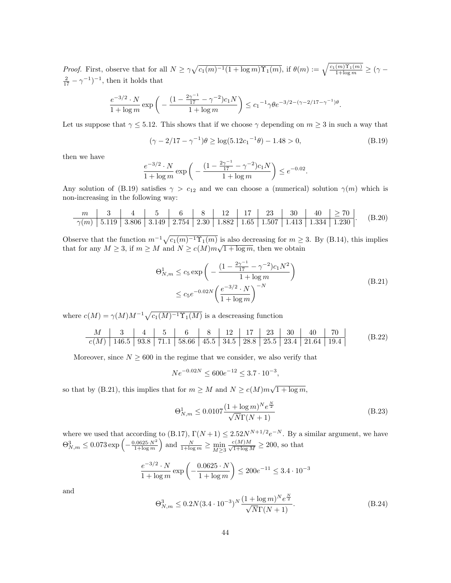*Proof.* First, observe that for all  $N \ge \gamma \sqrt{c_1(m)^{-1}(1 + \log m)\Upsilon_1(m)}$ , if  $\theta(m) := \sqrt{\frac{c_1(m)\Upsilon_1(m)}{1 + \log m}} \ge (\gamma - \sqrt{\frac{c_1(m)\Upsilon_1(m)}{1 + \log m}})$  $\frac{2}{17} - \gamma^{-1}$ , then it holds that

$$
\frac{e^{-3/2} \cdot N}{1 + \log m} \exp\left(-\frac{(1 - \frac{2\gamma^{-1}}{17} - \gamma^{-2})c_1N}{1 + \log m}\right) \le c_1^{-1}\gamma \theta e^{-3/2 - (\gamma - 2/17 - \gamma^{-1})\theta}.
$$

Let us suppose that  $\gamma \leq 5.12$ . This shows that if we choose  $\gamma$  depending on  $m \geq 3$  in such a way that

<span id="page-43-1"></span>
$$
(\gamma - 2/17 - \gamma^{-1})\theta \ge \log(5.12c_1^{-1}\theta) - 1.48 > 0,
$$
\n(B.19)

then we have

$$
\frac{e^{-3/2} \cdot N}{1 + \log m} \exp\left(-\frac{\left(1 - \frac{2\gamma^{-1}}{17} - \gamma^{-2}\right)c_1 N}{1 + \log m}\right) \le e^{-0.02}.
$$

Any solution of [\(B.19\)](#page-43-1) satisfies  $\gamma > c_{12}$  and we can choose a (numerical) solution  $\gamma(m)$  which is non-increasing in the following way:

<span id="page-43-3"></span>m 3 4 5 6 8 12 17 23 30 40 ≥ 70 <sup>γ</sup>(m) <sup>5</sup>.<sup>119</sup> <sup>3</sup>.<sup>806</sup> <sup>3</sup>.<sup>149</sup> <sup>2</sup>.<sup>754</sup> <sup>2</sup>.<sup>30</sup> <sup>1</sup>.<sup>882</sup> <sup>1</sup>.<sup>65</sup> <sup>1</sup>.<sup>507</sup> <sup>1</sup>.<sup>413</sup> <sup>1</sup>.<sup>334</sup> <sup>1</sup>.<sup>230</sup> . (B.20)

Observe that the function  $m^{-1}\sqrt{c_1(m)^{-1}\Upsilon_1(m)}$  is also decreasing for  $m \geq 3$ . By [\(B.14\)](#page-41-4), this implies Observe that the function  $m \sqrt{c_1(m) + 1_1(m)}$  is also decreasing for  $m \ge$ <br>that for any  $M \geq 3$ , if  $m \geq M$  and  $N \geq c(M)m\sqrt{1 + \log m}$ , then we obtain

<span id="page-43-2"></span>
$$
\Theta_{N,m}^1 \le c_5 \exp\left(-\frac{(1 - \frac{2\gamma^{-1}}{17} - \gamma^{-2})c_1N^2}{1 + \log m}\right)
$$
\n
$$
\le c_5 e^{-0.02N} \left(\frac{e^{-3/2} \cdot N}{1 + \log m}\right)^{-N}
$$
\n(B.21)

where  $c(M) = \gamma(M)M^{-1}\sqrt{c_1(M)^{-1}\Upsilon_1(M)}$  is a descreasing function

<span id="page-43-0"></span>

| $M$    | 3     | 4    | 5    | 6     | 8    | 12   | 17   | 23   | 30   | 40    | 70   |
|--------|-------|------|------|-------|------|------|------|------|------|-------|------|
| $c(M)$ | 146.5 | 93.8 | 71.1 | 58.66 | 45.5 | 34.5 | 28.8 | 25.5 | 23.4 | 21.64 | 19.4 |

Moreover, since  $N \geq 600$  in the regime that we consider, we also verify that

$$
Ne^{-0.02N} \le 600e^{-12} \le 3.7 \cdot 10^{-3},
$$

so that by [\(B.21\)](#page-43-2), this implies that for  $m \geq M$  and  $N \geq c(M)m\sqrt{1 + \log m}$ ,

<span id="page-43-4"></span>
$$
\Theta_{N,m}^1 \le 0.0107 \frac{(1 + \log m)^N e^{\frac{N}{2}}}{\sqrt{N} \Gamma(N+1)}
$$
(B.23)

where we used that according to [\(B.17\)](#page-42-0),  $\Gamma(N+1) \leq 2.52N^{N+1/2}e^{-N}$ . By a similar argument, we have  $\Theta_{N,m}^3 \leq 0.073 \exp\left(-\frac{0.0625 \cdot N^2}{1 + \log m}\right)$  and  $\frac{N}{1 + \log m} \geq \min_{M \geq 3} \frac{c(M)M}{\sqrt{1 + \log M}}$  $\frac{\sum\{M\}M}{1+\log M} \geq 200$ , so that

$$
\frac{e^{-3/2} \cdot N}{1 + \log m} \exp\left(-\frac{0.0625 \cdot N}{1 + \log m}\right) \le 200e^{-11} \le 3.4 \cdot 10^{-3}
$$

and

<span id="page-43-5"></span>
$$
\Theta_{N,m}^3 \le 0.2N(3.4 \cdot 10^{-3})^N \frac{(1 + \log m)^N e^{\frac{N}{2}}}{\sqrt{N} \Gamma(N+1)}.
$$
\n(B.24)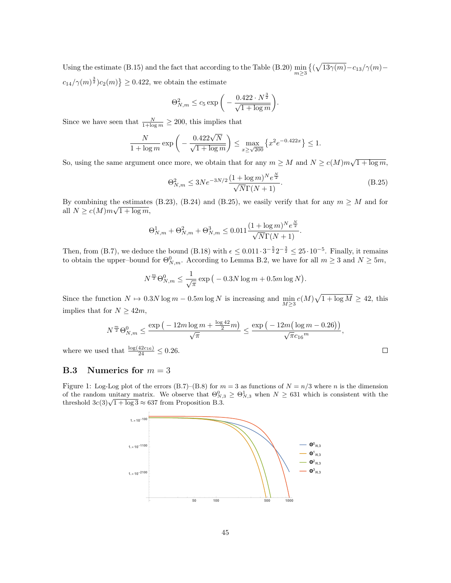Using the estimate [\(B.15\)](#page-41-5) and the fact that according to the Table [\(B.20\)](#page-43-3)  $\min_{m\geq 3} \left\{ (\sqrt{13\gamma(m)} - c_{13}/\gamma(m)$  $c_{14}/\gamma(m)^{\frac{3}{2}}c_{2}(m)\}\geq 0.422$ , we obtain the estimate

$$
\Theta_{N,m}^2 \le c_5 \exp\bigg(-\frac{0.422 \cdot N^{\frac{3}{2}}}{\sqrt{1+\log m}}\bigg).
$$

Since we have seen that  $\frac{N}{1+\log m} \geq 200$ , this implies that

$$
\frac{N}{1 + \log m} \exp\left(-\frac{0.422\sqrt{N}}{\sqrt{1 + \log m}}\right) \le \max_{x \ge \sqrt{200}} \left\{ x^2 e^{-0.422x} \right\} \le 1.
$$

So, using the same argument once more, we obtain that for any  $m \geq M$  and  $N \geq c(M)m\sqrt{1 + \log m}$ ,

<span id="page-44-1"></span>
$$
\Theta_{N,m}^2 \le 3Ne^{-3N/2} \frac{(1 + \log m)^N e^{\frac{N}{2}}}{\sqrt{N}\Gamma(N+1)}.
$$
\n(B.25)

By combining the estimates [\(B.23\)](#page-43-4), [\(B.24\)](#page-43-5) and [\(B.25\)](#page-44-1), we easily verify that for any  $m \geq M$  and for all  $N \ge c(M)m\sqrt{1+\log m}$ ,

$$
\Theta_{N,m}^1 + \Theta_{N,m}^2 + \Theta_{N,m}^3 \le 0.011 \frac{(1 + \log m)^N e^{\frac{N}{2}}}{\sqrt{N} \Gamma(N+1)}.
$$

Then, from [\(B.7\)](#page-40-1), we deduce the bound [\(B.18\)](#page-42-2) with  $\epsilon \leq 0.011 \cdot 3^{-\frac{5}{2}} 2^{-\frac{3}{2}} \leq 25 \cdot 10^{-5}$ . Finally, it remains to obtain the upper–bound for  $\Theta_{N,m}^0$ . According to Lemma [B.2,](#page-42-3) we have for all  $m \geq 3$  and  $N \geq 5m$ ,

$$
N^{\frac{m}{2}} \Theta_{N,m}^0 \le \frac{1}{\sqrt{\pi}} \exp(-0.3N \log m + 0.5m \log N).
$$

Since the function  $N \mapsto 0.3N \log m - 0.5m \log N$  is increasing and  $\min_{M \ge 3} c(M) \sqrt{1 + \log M} \ge 42$ , this implies that for  $N \geq 42m$ ,

$$
N^{\frac{m}{2}}\Theta_{N,m}^0\leq \frac{\exp\big(-12m\log m+\frac{\log 42}{2}m\big)}{\sqrt{\pi}}\leq \frac{\exp\big(-12m\big(\log m-0.26\big)\big)}{\sqrt{\pi}c_{16}^m},
$$

where we used that  $\frac{\log(42c_{16})}{24} \leq 0.26$ .

### <span id="page-44-0"></span>**B.3** Numerics for  $m = 3$

Figure 1: Log-Log plot of the errors [\(B.7\)](#page-40-1)–[\(B.8\)](#page-40-3) for  $m = 3$  as functions of  $N = n/3$  where n is the dimension of the random unitary matrix. We observe that  $\Theta_{N,3}^0 \geq \Theta_{N,3}^1$  when  $N \geq 631$  which is consistent with the of the random unitary matrix. We observe that  $\Theta_{N,i}$ ,<br>threshold  $3c(3)\sqrt{1 + \log 3} \approx 637$  from Proposition [B.3.](#page-42-1)

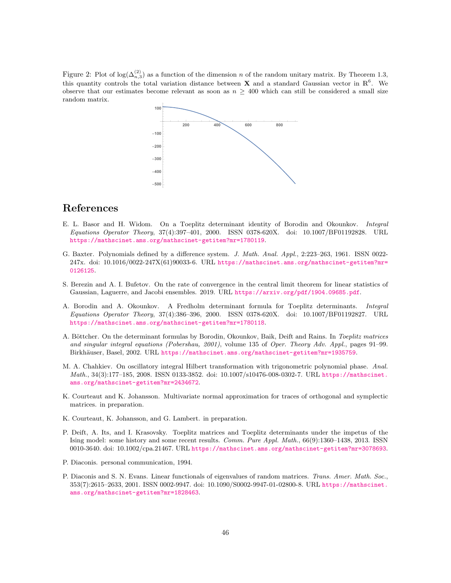Figure 2: Plot of  $\log(\Delta_{n,3}^{(2)})$  as a function of the dimension n of the random unitary matrix. By Theorem [1.3,](#page-3-0) this quantity controls the total variation distance between **X** and a standard Gaussian vector in  $\mathbb{R}^6$ . We observe that our estimates become relevant as soon as  $n \geq 400$  which can still be considered a small size random matrix.



## References

- <span id="page-45-6"></span>E. L. Basor and H. Widom. On a Toeplitz determinant identity of Borodin and Okounkov. Integral Equations Operator Theory, 37(4):397–401, 2000. ISSN 0378-620X. doi: 10.1007/BF01192828. URL <https://mathscinet.ams.org/mathscinet-getitem?mr=1780119>.
- <span id="page-45-8"></span>G. Baxter. Polynomials defined by a difference system. J. Math. Anal. Appl., 2:223–263, 1961. ISSN 0022- 247x. doi: 10.1016/0022-247X(61)90033-6. URL [https://mathscinet.ams.org/mathscinet-getitem?mr=](https://mathscinet.ams.org/mathscinet-getitem?mr=0126125) [0126125](https://mathscinet.ams.org/mathscinet-getitem?mr=0126125).
- <span id="page-45-3"></span>S. Berezin and A. I. Bufetov. On the rate of convergence in the central limit theorem for linear statistics of Gaussian, Laguerre, and Jacobi ensembles. 2019. URL <https://arxiv.org/pdf/1904.09685.pdf>.
- <span id="page-45-5"></span>A. Borodin and A. Okounkov. A Fredholm determinant formula for Toeplitz determinants. Integral Equations Operator Theory, 37(4):386–396, 2000. ISSN 0378-620X. doi: 10.1007/BF01192827. URL <https://mathscinet.ams.org/mathscinet-getitem?mr=1780118>.
- <span id="page-45-7"></span>A. Böttcher. On the determinant formulas by Borodin, Okounkov, Baik, Deift and Rains. In Toeplitz matrices and singular integral equations (Pobershau, 2001), volume 135 of Oper. Theory Adv. Appl., pages 91–99. Birkhäuser, Basel, 2002. URL <https://mathscinet.ams.org/mathscinet-getitem?mr=1935759>.
- <span id="page-45-9"></span>M. A. Chahkiev. On oscillatory integral Hilbert transformation with trigonometric polynomial phase. Anal. Math., 34(3):177–185, 2008. ISSN 0133-3852. doi: 10.1007/s10476-008-0302-7. URL [https://mathscinet.](https://mathscinet.ams.org/mathscinet-getitem?mr=2434672) [ams.org/mathscinet-getitem?mr=2434672](https://mathscinet.ams.org/mathscinet-getitem?mr=2434672).
- <span id="page-45-1"></span>K. Courteaut and K. Johansson. Multivariate normal approximation for traces of orthogonal and symplectic matrices. in preparation.
- <span id="page-45-2"></span>K. Courteaut, K. Johansson, and G. Lambert. in preparation.
- <span id="page-45-4"></span>P. Deift, A. Its, and I. Krasovsky. Toeplitz matrices and Toeplitz determinants under the impetus of the Ising model: some history and some recent results. Comm. Pure Appl. Math., 66(9):1360–1438, 2013. ISSN 0010-3640. doi: 10.1002/cpa.21467. URL <https://mathscinet.ams.org/mathscinet-getitem?mr=3078693>.
- <span id="page-45-0"></span>P. Diaconis. personal communication, 1994.
- <span id="page-45-10"></span>P. Diaconis and S. N. Evans. Linear functionals of eigenvalues of random matrices. Trans. Amer. Math. Soc., 353(7):2615–2633, 2001. ISSN 0002-9947. doi: 10.1090/S0002-9947-01-02800-8. URL [https://mathscinet.](https://mathscinet.ams.org/mathscinet-getitem?mr=1828463) [ams.org/mathscinet-getitem?mr=1828463](https://mathscinet.ams.org/mathscinet-getitem?mr=1828463).